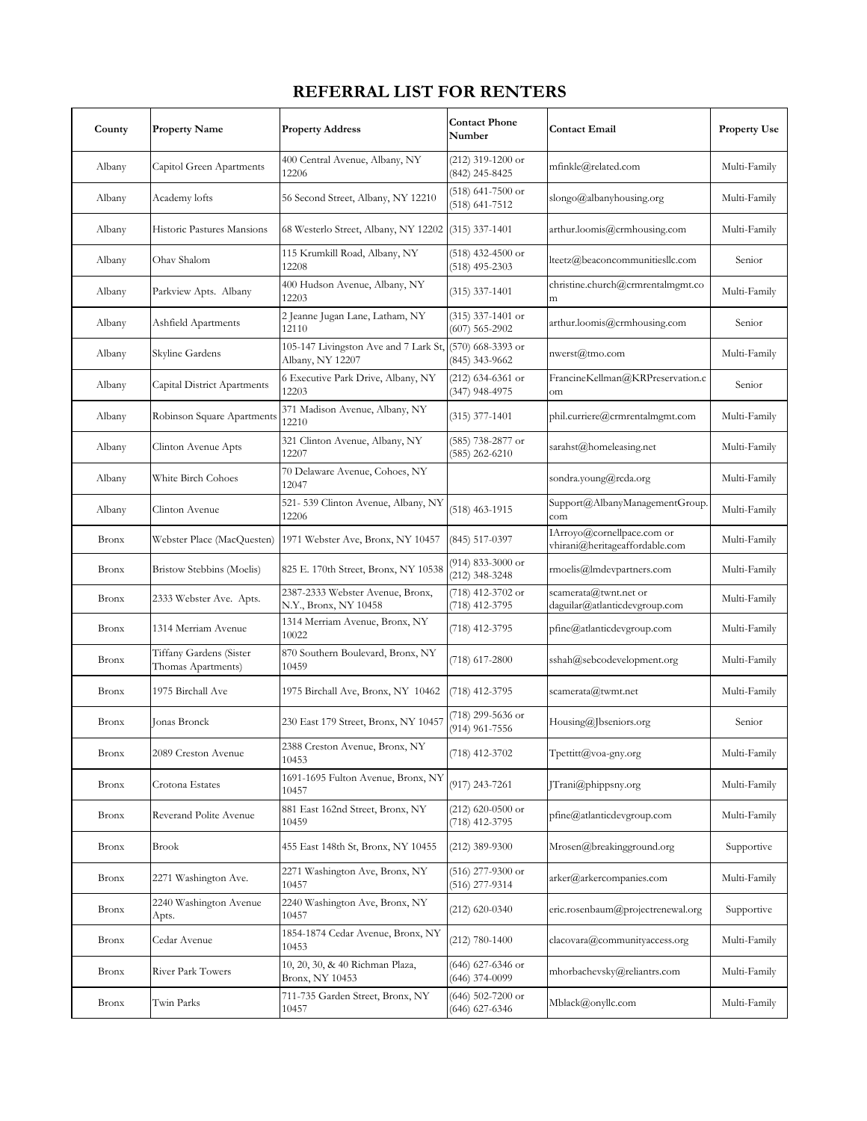## **REFERRAL LIST FOR RENTERS**

| County       | <b>Property Name</b>                          | <b>Property Address</b>                                   | <b>Contact Phone</b><br>Number            | <b>Contact Email</b>                                         | <b>Property Use</b> |
|--------------|-----------------------------------------------|-----------------------------------------------------------|-------------------------------------------|--------------------------------------------------------------|---------------------|
| Albany       | Capitol Green Apartments                      | 400 Central Avenue, Albany, NY<br>12206                   | (212) 319-1200 or<br>(842) 245-8425       | mfinkle@related.com                                          | Multi-Family        |
| Albany       | Academy lofts                                 | 56 Second Street, Albany, NY 12210                        | $(518)$ 641-7500 or<br>(518) 641-7512     | slongo@albanyhousing.org                                     | Multi-Family        |
| Albany       | Historic Pastures Mansions                    | 68 Westerlo Street, Albany, NY 12202                      | $(315)$ 337-1401                          | arthur.loomis@crmhousing.com                                 | Multi-Family        |
| Albany       | Ohav Shalom                                   | 115 Krumkill Road, Albany, NY<br>12208                    | (518) 432-4500 or<br>$(518)$ 495-2303     | lteetz@beaconcommunitiesllc.com                              | Senior              |
| Albany       | Parkview Apts. Albany                         | 400 Hudson Avenue, Albany, NY<br>12203                    | $(315)$ 337-1401                          | christine.church@crmrentalmgmt.co<br>m                       | Multi-Family        |
| Albany       | Ashfield Apartments                           | 2 Jeanne Jugan Lane, Latham, NY<br>12110                  | $(315)$ 337-1401 or<br>$(607)$ 565-2902   | arthur.loomis@crmhousing.com                                 | Senior              |
| Albany       | Skyline Gardens                               | 105-147 Livingston Ave and 7 Lark St,<br>Albany, NY 12207 | $(570)$ 668-3393 or<br>(845) 343-9662     | nwerst@tmo.com                                               | Multi-Family        |
| Albany       | Capital District Apartments                   | 6 Executive Park Drive, Albany, NY<br>12203               | (212) 634-6361 or<br>(347) 948-4975       | FrancineKellman@KRPreservation.c<br>om                       | Senior              |
| Albany       | Robinson Square Apartments                    | 371 Madison Avenue, Albany, NY<br>12210                   | $(315)$ 377-1401                          | phil.curriere@crmrentalmgmt.com                              | Multi-Family        |
| Albany       | Clinton Avenue Apts                           | 321 Clinton Avenue, Albany, NY<br>12207                   | (585) 738-2877 or<br>$(585)$ 262-6210     | sarahst@homeleasing.net                                      | Multi-Family        |
| Albany       | White Birch Cohoes                            | 70 Delaware Avenue, Cohoes, NY<br>12047                   |                                           | sondra.young@rcda.org                                        | Multi-Family        |
| Albany       | Clinton Avenue                                | 521-539 Clinton Avenue, Albany, NY<br>12206               | $(518)$ 463-1915                          | Support@AlbanyManagementGroup.<br>com                        | Multi-Family        |
| <b>Bronx</b> | Webster Place (MacQuesten)                    | 1971 Webster Ave, Bronx, NY 10457                         | $(845)$ 517-0397                          | IArroyo@cornellpace.com or<br>vhirani@heritageaffordable.com | Multi-Family        |
| <b>Bronx</b> | Bristow Stebbins (Moelis)                     | 825 E. 170th Street, Bronx, NY 10538                      | (914) 833-3000 or<br>(212) 348-3248       | rmoelis@lmdevpartners.com                                    | Multi-Family        |
| <b>Bronx</b> | 2333 Webster Ave. Apts.                       | 2387-2333 Webster Avenue, Bronx,<br>N.Y., Bronx, NY 10458 | (718) 412-3702 or<br>(718) 412-3795       | scamerata@twnt.net or<br>daguilar@atlanticdevgroup.com       | Multi-Family        |
| <b>Bronx</b> | 1314 Merriam Avenue                           | 1314 Merriam Avenue, Bronx, NY<br>10022                   | (718) 412-3795                            | pfine@atlanticdevgroup.com                                   | Multi-Family        |
| <b>Bronx</b> | Tiffany Gardens (Sister<br>Thomas Apartments) | 870 Southern Boulevard, Bronx, NY<br>10459                | $(718)$ 617-2800                          | sshah@sebcodevelopment.org                                   | Multi-Family        |
| <b>Bronx</b> | 1975 Birchall Ave                             | 1975 Birchall Ave, Bronx, NY 10462                        | $(718)$ 412-3795                          | scamerata@twmt.net                                           | Multi-Family        |
| <b>Bronx</b> | <b>Jonas Bronck</b>                           | 230 East 179 Street, Bronx, NY 10457                      | (718) 299-5636 or<br>(914) 961-7556       | Housing@Jbseniors.org                                        | Senior              |
| <b>Bronx</b> | 2089 Creston Avenue                           | 2388 Creston Avenue, Bronx, NY<br>10453                   | (718) 412-3702                            | Tpettitt@voa-gny.org                                         | Multi-Family        |
| <b>Bronx</b> | Crotona Estates                               | 1691-1695 Fulton Avenue, Bronx, NY<br>10457               | $(917)$ 243-7261                          | [Trani@phippsny.org]                                         | Multi-Family        |
| <b>Bronx</b> | Reverand Polite Avenue                        | 881 East 162nd Street, Bronx, NY<br>10459                 | $(212)$ 620-0500 or<br>(718) 412-3795     | pfine@atlanticdevgroup.com                                   | Multi-Family        |
| <b>Bronx</b> | Brook                                         | 455 East 148th St, Bronx, NY 10455                        | $(212)$ 389-9300                          | Mrosen@breakingground.org                                    | Supportive          |
| <b>Bronx</b> | 2271 Washington Ave.                          | 2271 Washington Ave, Bronx, NY<br>10457                   | (516) 277-9300 or<br>(516) 277-9314       | arker@arkercompanies.com                                     | Multi-Family        |
| <b>Bronx</b> | 2240 Washington Avenue<br>Apts.               | 2240 Washington Ave, Bronx, NY<br>10457                   | $(212)$ 620-0340                          | eric.rosenbaum@projectrenewal.org                            | Supportive          |
| <b>Bronx</b> | Cedar Avenue                                  | 1854-1874 Cedar Avenue, Bronx, NY<br>10453                | $(212) 780 - 1400$                        | clacovara@communityaccess.org                                | Multi-Family        |
| <b>Bronx</b> | River Park Towers                             | 10, 20, 30, & 40 Richman Plaza,<br>Bronx, NY 10453        | (646) 627-6346 or<br>$(646)$ 374-0099     | mhorbachevsky@reliantrs.com                                  | Multi-Family        |
| <b>Bronx</b> | Twin Parks                                    | 711-735 Garden Street, Bronx, NY<br>10457                 | $(646)$ 502-7200 or<br>$(646) 627 - 6346$ | Mblack@onyllc.com                                            | Multi-Family        |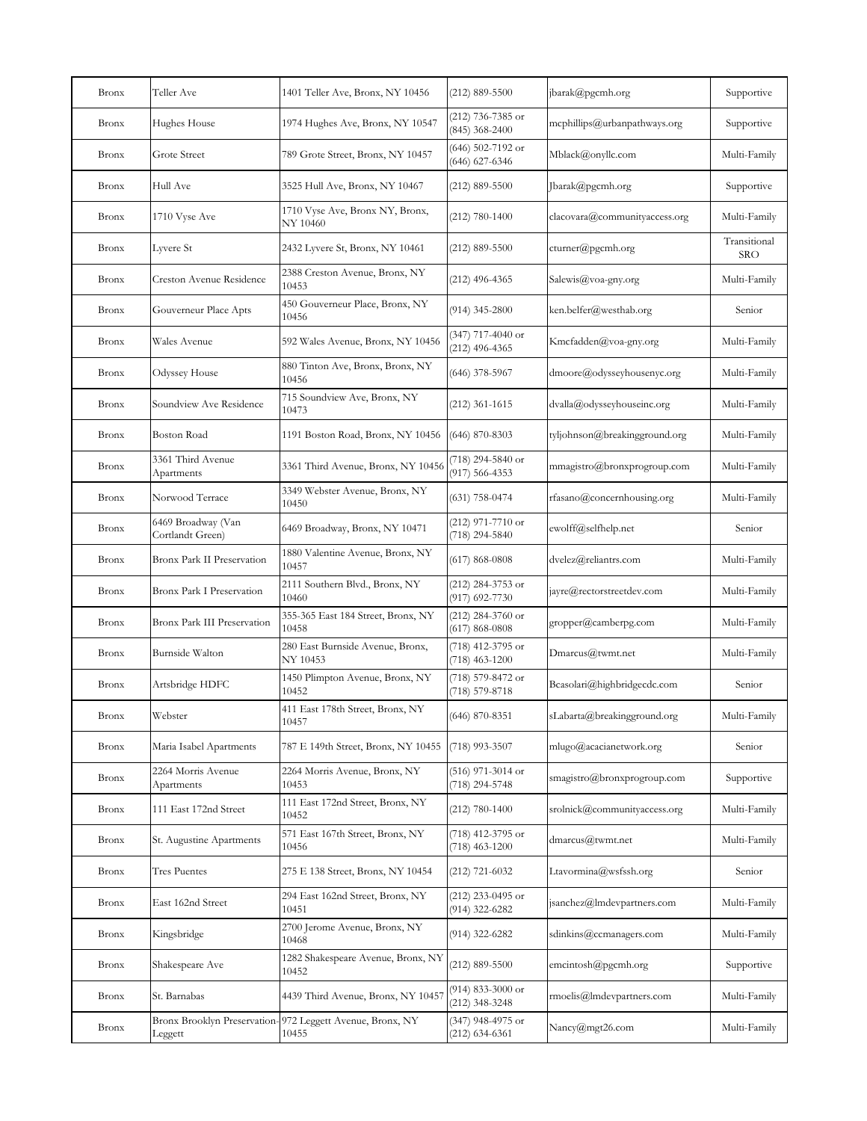| <b>Bronx</b> | Teller Ave                             | 1401 Teller Ave, Bronx, NY 10456                                    | $(212) 889 - 5500$                        | jbarak@pgcmh.org              | Supportive                 |
|--------------|----------------------------------------|---------------------------------------------------------------------|-------------------------------------------|-------------------------------|----------------------------|
| <b>Bronx</b> | Hughes House                           | 1974 Hughes Ave, Bronx, NY 10547                                    | (212) 736-7385 or<br>$(845)$ 368-2400     | mcphillips@urbanpathways.org  | Supportive                 |
| <b>Bronx</b> | Grote Street                           | 789 Grote Street, Bronx, NY 10457                                   | (646) 502-7192 or<br>(646) 627-6346       | Mblack@onyllc.com             | Multi-Family               |
| <b>Bronx</b> | Hull Ave                               | 3525 Hull Ave, Bronx, NY 10467                                      | (212) 889-5500                            | Jbarak@pgcmh.org              | Supportive                 |
| <b>Bronx</b> | 1710 Vyse Ave                          | 1710 Vyse Ave, Bronx NY, Bronx,<br>NY 10460                         | $(212) 780 - 1400$                        | clacovara@communityaccess.org | Multi-Family               |
| <b>Bronx</b> | Lyvere St                              | 2432 Lyvere St, Bronx, NY 10461                                     | $(212) 889 - 5500$                        | cturner@pgcmh.org             | Transitional<br><b>SRO</b> |
| <b>Bronx</b> | Creston Avenue Residence               | 2388 Creston Avenue, Bronx, NY<br>10453                             | $(212)$ 496-4365                          | Salewis@voa-gny.org           | Multi-Family               |
| <b>Bronx</b> | Gouverneur Place Apts                  | 450 Gouverneur Place, Bronx, NY<br>10456                            | $(914)$ 345-2800                          | ken.belfer@westhab.org        | Senior                     |
| <b>Bronx</b> | Wales Avenue                           | 592 Wales Avenue, Bronx, NY 10456                                   | (347) 717-4040 or<br>$(212)$ 496-4365     | Kmcfadden@voa-gny.org         | Multi-Family               |
| <b>Bronx</b> | Odyssey House                          | 880 Tinton Ave, Bronx, Bronx, NY<br>10456                           | $(646)$ 378-5967                          | dmoore@odysseyhousenyc.org    | Multi-Family               |
| <b>Bronx</b> | Soundview Ave Residence                | 715 Soundview Ave, Bronx, NY<br>10473                               | $(212)$ 361-1615                          | dvalla@odysseyhouseinc.org    | Multi-Family               |
| <b>Bronx</b> | Boston Road                            | 1191 Boston Road, Bronx, NY 10456                                   | $(646)$ 870-8303                          | tyljohnson@breakingground.org | Multi-Family               |
| <b>Bronx</b> | 3361 Third Avenue<br>Apartments        | 3361 Third Avenue, Bronx, NY 10456                                  | (718) 294-5840 or<br>(917) 566-4353       | mmagistro@bronxprogroup.com   | Multi-Family               |
| <b>Bronx</b> | Norwood Terrace                        | 3349 Webster Avenue, Bronx, NY<br>10450                             | $(631)$ 758-0474                          | rfasano@concernhousing.org    | Multi-Family               |
| <b>Bronx</b> | 6469 Broadway (Van<br>Cortlandt Green) | 6469 Broadway, Bronx, NY 10471                                      | (212) 971-7710 or<br>(718) 294-5840       | ewolff@selfhelp.net           | Senior                     |
| <b>Bronx</b> | Bronx Park II Preservation             | 1880 Valentine Avenue, Bronx, NY<br>10457                           | $(617) 868 - 0808$                        | dvelez@reliantrs.com          | Multi-Family               |
| <b>Bronx</b> | Bronx Park I Preservation              | 2111 Southern Blvd., Bronx, NY<br>10460                             | (212) 284-3753 or<br>(917) 692-7730       | jayre@rectorstreetdev.com     | Multi-Family               |
| <b>Bronx</b> | <b>Bronx Park III Preservation</b>     | 355-365 East 184 Street, Bronx, NY<br>10458                         | $(212)$ 284-3760 or<br>$(617) 868 - 0808$ | gropper@camberpg.com          | Multi-Family               |
| <b>Bronx</b> | Burnside Walton                        | 280 East Burnside Avenue, Bronx,<br>NY 10453                        | (718) 412-3795 or<br>$(718)$ 463-1200     | Dmarcus@twmt.net              | Multi-Family               |
| <b>Bronx</b> | Artsbridge HDFC                        | 1450 Plimpton Avenue, Bronx, NY<br>10452                            | (718) 579-8472 or<br>(718) 579-8718       | Bcasolari@highbridgecdc.com   | Senior                     |
| <b>Bronx</b> | Webster                                | 411 East 178th Street, Bronx, NY<br>10457                           | $(646)$ 870-8351                          | sLabarta@breakingground.org   | Multi-Family               |
| <b>Bronx</b> | Maria Isabel Apartments                | 787 E 149th Street, Bronx, NY 10455                                 | (718) 993-3507                            | mlugo@acacianetwork.org       | Senior                     |
| <b>Bronx</b> | 2264 Morris Avenue<br>Apartments       | 2264 Morris Avenue, Bronx, NY<br>10453                              | (516) 971-3014 or<br>(718) 294-5748       | smagistro@bronxprogroup.com   | Supportive                 |
| <b>Bronx</b> | 111 East 172nd Street                  | 111 East 172nd Street, Bronx, NY<br>10452                           | $(212) 780 - 1400$                        | srolnick@communityaccess.org  | Multi-Family               |
| <b>Bronx</b> | St. Augustine Apartments               | 571 East 167th Street, Bronx, NY<br>10456                           | (718) 412-3795 or<br>$(718)$ 463-1200     | dmarcus@twmt.net              | Multi-Family               |
| <b>Bronx</b> | Tres Puentes                           | 275 E 138 Street, Bronx, NY 10454                                   | (212) 721-6032                            | Ltavormina@wsfssh.org         | Senior                     |
| <b>Bronx</b> | East 162nd Street                      | 294 East 162nd Street, Bronx, NY<br>10451                           | (212) 233-0495 or<br>(914) 322-6282       | jsanchez@lmdevpartners.com    | Multi-Family               |
| <b>Bronx</b> | Kingsbridge                            | 2700 Jerome Avenue, Bronx, NY<br>10468                              | (914) 322-6282                            | sdinkins@ccmanagers.com       | Multi-Family               |
| <b>Bronx</b> | Shakespeare Ave                        | 1282 Shakespeare Avenue, Bronx, NY<br>10452                         | $(212) 889 - 5500$                        | emcintosh@pgcmh.org           | Supportive                 |
| <b>Bronx</b> | St. Barnabas                           | 4439 Third Avenue, Bronx, NY 10457                                  | (914) 833-3000 or<br>(212) 348-3248       | rmoelis@lmdevpartners.com     | Multi-Family               |
| <b>Bronx</b> | Leggett                                | Bronx Brooklyn Preservation- 972 Leggett Avenue, Bronx, NY<br>10455 | (347) 948-4975 or<br>(212) 634-6361       | Nancy@mgt26.com               | Multi-Family               |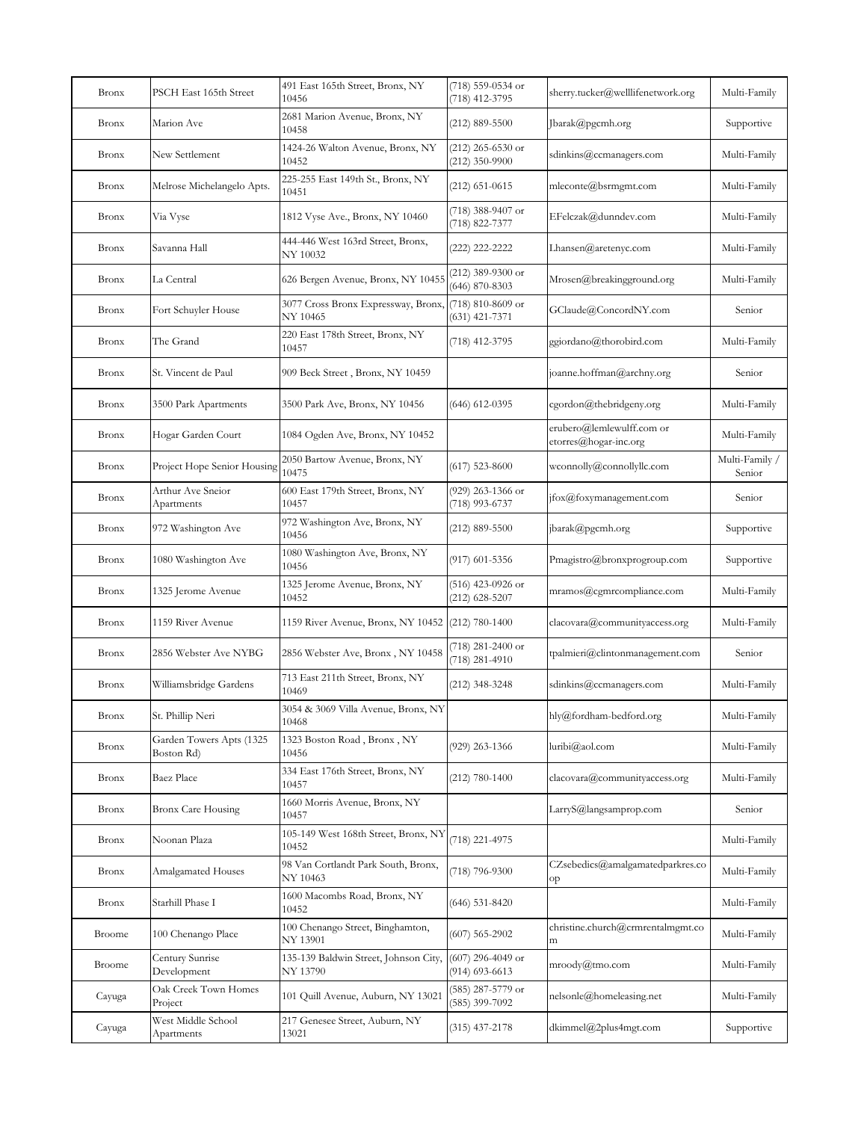| <b>Bronx</b>  | PSCH East 165th Street                 | 491 East 165th Street, Bronx, NY<br>10456          | (718) 559-0534 or<br>(718) 412-3795       | sherry.tucker@welllifenetwork.org                  | Multi-Family             |
|---------------|----------------------------------------|----------------------------------------------------|-------------------------------------------|----------------------------------------------------|--------------------------|
| <b>Bronx</b>  | Marion Ave                             | 2681 Marion Avenue, Bronx, NY<br>10458             | $(212) 889 - 5500$                        | Jbarak@pgcmh.org                                   | Supportive               |
| <b>Bronx</b>  | New Settlement                         | 1424-26 Walton Avenue, Bronx, NY<br>10452          | $(212)$ 265-6530 or<br>$(212)$ 350-9900   | sdinkins@ccmanagers.com                            | Multi-Family             |
| <b>Bronx</b>  | Melrose Michelangelo Apts.             | 225-255 East 149th St., Bronx, NY<br>10451         | $(212)$ 651-0615                          | mleconte@bsrmgmt.com                               | Multi-Family             |
| <b>Bronx</b>  | Via Vyse                               | 1812 Vyse Ave., Bronx, NY 10460                    | (718) 388-9407 or<br>(718) 822-7377       | EFelczak@dunndev.com                               | Multi-Family             |
| <b>Bronx</b>  | Savanna Hall                           | 444-446 West 163rd Street, Bronx,<br>NY 10032      | (222) 222-2222                            | Lhansen@aretenyc.com                               | Multi-Family             |
| <b>Bronx</b>  | La Central                             | 626 Bergen Avenue, Bronx, NY 10455                 | $(212)$ 389-9300 or<br>$(646) 870 - 8303$ | Mrosen@breakingground.org                          | Multi-Family             |
| <b>Bronx</b>  | Fort Schuyler House                    | 3077 Cross Bronx Expressway, Bronx,<br>NY 10465    | (718) 810-8609 or<br>$(631)$ 421-7371     | GClaude@ConcordNY.com                              | Senior                   |
| <b>Bronx</b>  | The Grand                              | 220 East 178th Street, Bronx, NY<br>10457          | (718) 412-3795                            | ggiordano@thorobird.com                            | Multi-Family             |
| <b>Bronx</b>  | St. Vincent de Paul                    | 909 Beck Street, Bronx, NY 10459                   |                                           | joanne.hoffman@archny.org                          | Senior                   |
| <b>Bronx</b>  | 3500 Park Apartments                   | 3500 Park Ave, Bronx, NY 10456                     | $(646)$ 612-0395                          | cgordon@thebridgeny.org                            | Multi-Family             |
| <b>Bronx</b>  | Hogar Garden Court                     | 1084 Ogden Ave, Bronx, NY 10452                    |                                           | erubero@lemlewulff.com or<br>etorres@hogar-inc.org | Multi-Family             |
| <b>Bronx</b>  | Project Hope Senior Housing            | 2050 Bartow Avenue, Bronx, NY<br>10475             | $(617)$ 523-8600                          | wconnolly@connollyllc.com                          | Multi-Family /<br>Senior |
| <b>Bronx</b>  | Arthur Ave Sneior<br>Apartments        | 600 East 179th Street, Bronx, NY<br>10457          | (929) 263-1366 or<br>(718) 993-6737       | jfox@foxymanagement.com                            | Senior                   |
| <b>Bronx</b>  | 972 Washington Ave                     | 972 Washington Ave, Bronx, NY<br>10456             | $(212) 889 - 5500$                        | jbarak@pgcmh.org                                   | Supportive               |
| <b>Bronx</b>  | 1080 Washington Ave                    | 1080 Washington Ave, Bronx, NY<br>10456            | (917) 601-5356                            | Pmagistro@bronxprogroup.com                        | Supportive               |
| <b>Bronx</b>  | 1325 Jerome Avenue                     | 1325 Jerome Avenue, Bronx, NY<br>10452             | (516) 423-0926 or<br>(212) 628-5207       | mramos@cgmrcompliance.com                          | Multi-Family             |
| <b>Bronx</b>  | 1159 River Avenue                      | 1159 River Avenue, Bronx, NY 10452 [(212) 780-1400 |                                           | clacovara@communityaccess.org                      | Multi-Family             |
| <b>Bronx</b>  | 2856 Webster Ave NYBG                  | 2856 Webster Ave, Bronx, NY 10458                  | (718) 281-2400 or<br>$(718)$ 281-4910     | tpalmieri@clintonmanagement.com                    | Senior                   |
| <b>Bronx</b>  | Williamsbridge Gardens                 | 713 East 211th Street, Bronx, NY<br>10469          | (212) 348-3248                            | sdinkins@ccmanagers.com                            | Multi-Family             |
| <b>Bronx</b>  | St. Phillip Neri                       | 3054 & 3069 Villa Avenue, Bronx, NY<br>10468       |                                           | hly@fordham-bedford.org                            | Multi-Family             |
| <b>Bronx</b>  | Garden Towers Apts (1325<br>Boston Rd) | 1323 Boston Road, Bronx, NY<br>10456               | (929) 263-1366                            | luribi@aol.com                                     | Multi-Family             |
| <b>Bronx</b>  | Baez Place                             | 334 East 176th Street, Bronx, NY<br>10457          | $(212) 780 - 1400$                        | clacovara@communityaccess.org                      | Multi-Family             |
| <b>Bronx</b>  | Bronx Care Housing                     | 1660 Morris Avenue, Bronx, NY<br>10457             |                                           | LarryS@langsamprop.com                             | Senior                   |
| <b>Bronx</b>  | Noonan Plaza                           | 105-149 West 168th Street, Bronx, NY<br>10452      | (718) 221-4975                            |                                                    | Multi-Family             |
| <b>Bronx</b>  | Amalgamated Houses                     | 98 Van Cortlandt Park South, Bronx,<br>NY 10463    | (718) 796-9300                            | CZsebedics@amalgamatedparkres.co<br>op             | Multi-Family             |
| <b>Bronx</b>  | Starhill Phase I                       | 1600 Macombs Road, Bronx, NY<br>10452              | $(646)$ 531-8420                          |                                                    | Multi-Family             |
| <b>Broome</b> | 100 Chenango Place                     | 100 Chenango Street, Binghamton,<br>NY 13901       | $(607)$ 565-2902                          | christine.church@crmrentalmgmt.co<br>m             | Multi-Family             |
| <b>Broome</b> | Century Sunrise<br>Development         | 135-139 Baldwin Street, Johnson City,<br>NY 13790  | $(607)$ 296-4049 or<br>$(914)$ 693-6613   | mroody@tmo.com                                     | Multi-Family             |
| Cayuga        | Oak Creek Town Homes<br>Project        | 101 Quill Avenue, Auburn, NY 13021                 | (585) 287-5779 or<br>(585) 399-7092       | nelsonle@homeleasing.net                           | Multi-Family             |
| Cayuga        | West Middle School<br>Apartments       | 217 Genesee Street, Auburn, NY<br>13021            | (315) 437-2178                            | dkimmel@2plus4mgt.com                              | Supportive               |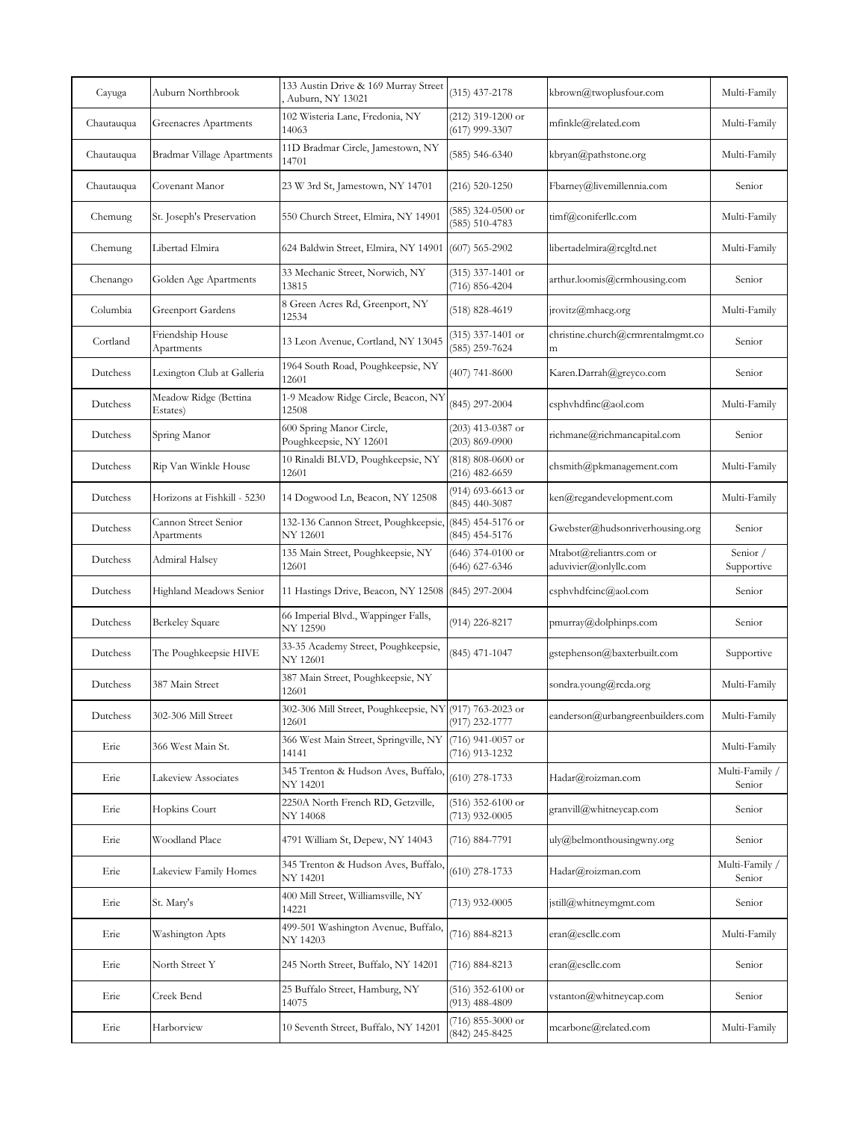| Cayuga     | Auburn Northbrook                  | 133 Austin Drive & 169 Murray Street<br>Auburn, NY 13021         | $(315)$ 437-2178                          | kbrown@twoplusfour.com                           | Multi-Family             |
|------------|------------------------------------|------------------------------------------------------------------|-------------------------------------------|--------------------------------------------------|--------------------------|
| Chautauqua | Greenacres Apartments              | 102 Wisteria Lane, Fredonia, NY<br>14063                         | $(212)$ 319-1200 or<br>$(617)$ 999-3307   | mfinkle@related.com                              | Multi-Family             |
| Chautauqua | Bradmar Village Apartments         | 11D Bradmar Circle, Jamestown, NY<br>14701                       | $(585) 546 - 6340$                        | kbryan@pathstone.org                             | Multi-Family             |
| Chautauqua | Covenant Manor                     | 23 W 3rd St, Jamestown, NY 14701                                 | (216) 520-1250                            | Fbarney@livemillennia.com                        | Senior                   |
| Chemung    | St. Joseph's Preservation          | 550 Church Street, Elmira, NY 14901                              | (585) 324-0500 or<br>$(585) 510 - 4783$   | timf@coniferllc.com                              | Multi-Family             |
| Chemung    | Libertad Elmira                    | 624 Baldwin Street, Elmira, NY 14901                             | $(607)$ 565-2902                          | libertadelmira@rcgltd.net                        | Multi-Family             |
| Chenango   | Golden Age Apartments              | 33 Mechanic Street, Norwich, NY<br>13815                         | $(315)$ 337-1401 or<br>$(716) 856 - 4204$ | arthur.loomis@crmhousing.com                     | Senior                   |
| Columbia   | <b>Greenport Gardens</b>           | 8 Green Acres Rd, Greenport, NY<br>12534                         | (518) 828-4619                            | jrovitz@mhacg.org                                | Multi-Family             |
| Cortland   | Friendship House<br>Apartments     | 13 Leon Avenue, Cortland, NY 13045                               | $(315)$ 337-1401 or<br>(585) 259-7624     | christine.church@crmrentalmgmt.co<br>m           | Senior                   |
| Dutchess   | Lexington Club at Galleria         | 1964 South Road, Poughkeepsie, NY<br>12601                       | $(407)$ 741-8600                          | Karen.Darrah@greyco.com                          | Senior                   |
| Dutchess   | Meadow Ridge (Bettina<br>Estates)  | 1-9 Meadow Ridge Circle, Beacon, NY<br>12508                     | (845) 297-2004                            | csphyhdfinc@aol.com                              | Multi-Family             |
| Dutchess   | Spring Manor                       | 600 Spring Manor Circle,<br>Poughkeepsie, NY 12601               | $(203)$ 413-0387 or<br>$(203) 869 - 0900$ | richmane@richmancapital.com                      | Senior                   |
| Dutchess   | Rip Van Winkle House               | 10 Rinaldi BLVD, Poughkeepsie, NY<br>12601                       | $(818)$ 808-0600 or<br>(216) 482-6659     | chsmith@pkmanagement.com                         | Multi-Family             |
| Dutchess   | Horizons at Fishkill - 5230        | 14 Dogwood Ln, Beacon, NY 12508                                  | (914) 693-6613 or<br>$(845)$ 440-3087     | ken@regandevelopment.com                         | Multi-Family             |
| Dutchess   | Cannon Street Senior<br>Apartments | 132-136 Cannon Street, Poughkeepsie,<br>NY 12601                 | (845) 454-5176 or<br>(845) 454-5176       | Gwebster@hudsonriverhousing.org                  | Senior                   |
| Dutchess   | Admiral Halsey                     | 135 Main Street, Poughkeepsie, NY<br>12601                       | $(646)$ 374-0100 or<br>(646) 627-6346     | Mtabot@reliantrs.com or<br>aduvivier@onlyllc.com | Senior /<br>Supportive   |
| Dutchess   | Highland Meadows Senior            | 11 Hastings Drive, Beacon, NY 12508 (845) 297-2004               |                                           | csphyhdfcinc@aol.com                             | Senior                   |
| Dutchess   | Berkeley Square                    | 66 Imperial Blvd., Wappinger Falls,<br>NY 12590                  | (914) 226-8217                            | pmurray@dolphinps.com                            | Senior                   |
| Dutchess   | The Poughkeepsie HIVE              | 33-35 Academy Street, Poughkeepsie,<br>NY 12601                  | (845) 471-1047                            | gstephenson@baxterbuilt.com                      | Supportive               |
| Dutchess   | 387 Main Street                    | 387 Main Street, Poughkeepsie, NY<br>12601                       |                                           | sondra.young@rcda.org                            | Multi-Family             |
| Dutchess   | 302-306 Mill Street                | 302-306 Mill Street, Poughkeepsie, NY (917) 763-2023 or<br>12601 | (917) 232-1777                            | eanderson@urbangreenbuilders.com                 | Multi-Family             |
| Erie       | 366 West Main St.                  | 366 West Main Street, Springville, NY<br>14141                   | (716) 941-0057 or<br>(716) 913-1232       |                                                  | Multi-Family             |
| Erie       | Lakeview Associates                | 345 Trenton & Hudson Aves, Buffalo,<br>NY 14201                  | $(610)$ 278-1733                          | Hadar@roizman.com                                | Multi-Family /<br>Senior |
| Erie       | Hopkins Court                      | 2250A North French RD, Getzville,<br>NY 14068                    | $(516)$ 352-6100 or<br>$(713)$ 932-0005   | granvill@whitneycap.com                          | Senior                   |
| Erie       | Woodland Place                     | 4791 William St, Depew, NY 14043                                 | (716) 884-7791                            | uly@belmonthousingwny.org                        | Senior                   |
| Erie       | Lakeview Family Homes              | 345 Trenton & Hudson Aves, Buffalo,<br>NY 14201                  | $(610)$ 278-1733                          | Hadar@roizman.com                                | Multi-Family /<br>Senior |
| Erie       | St. Mary's                         | 400 Mill Street, Williamsville, NY<br>14221                      | $(713)$ 932-0005                          | jstill@whitneymgmt.com                           | Senior                   |
| Erie       | Washington Apts                    | 499-501 Washington Avenue, Buffalo,<br>NY 14203                  | (716) 884-8213                            | eran@escllc.com                                  | Multi-Family             |
| Erie       | North Street Y                     | 245 North Street, Buffalo, NY 14201                              | (716) 884-8213                            | eran@escllc.com                                  | Senior                   |
| Erie       | Creek Bend                         | 25 Buffalo Street, Hamburg, NY<br>14075                          | (516) 352-6100 or<br>(913) 488-4809       | vstanton@whitneycap.com                          | Senior                   |
| Erie       | Harborview                         | 10 Seventh Street, Buffalo, NY 14201                             | (716) 855-3000 or<br>(842) 245-8425       | mcarbone@related.com                             | Multi-Family             |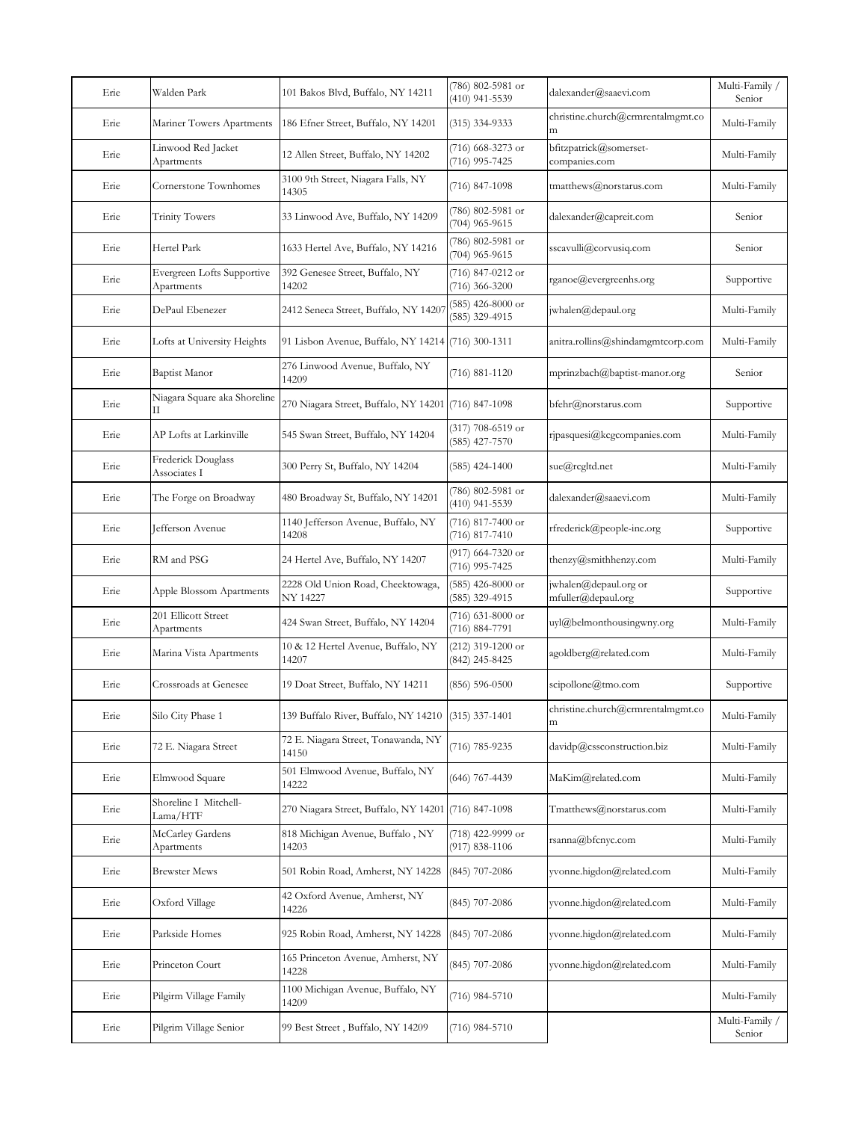| Erie | Walden Park                              | 101 Bakos Blvd, Buffalo, NY 14211                    | (786) 802-5981 or<br>(410) 941-5539   | dalexander@saaevi.com                       | Multi-Family /<br>Senior |
|------|------------------------------------------|------------------------------------------------------|---------------------------------------|---------------------------------------------|--------------------------|
| Erie | Mariner Towers Apartments                | 186 Efner Street, Buffalo, NY 14201                  | $(315)$ 334-9333                      | christine.church@crmrentalmgmt.co<br>m      | Multi-Family             |
| Erie | Linwood Red Jacket<br>Apartments         | 12 Allen Street, Buffalo, NY 14202                   | (716) 668-3273 or<br>(716) 995-7425   | bfitzpatrick@somerset-<br>companies.com     | Multi-Family             |
| Erie | Cornerstone Townhomes                    | 3100 9th Street, Niagara Falls, NY<br>14305          | (716) 847-1098                        | tmatthews@norstarus.com                     | Multi-Family             |
| Erie | <b>Trinity Towers</b>                    | 33 Linwood Ave, Buffalo, NY 14209                    | (786) 802-5981 or<br>$(704)$ 965-9615 | dalexander@capreit.com                      | Senior                   |
| Erie | Hertel Park                              | 1633 Hertel Ave, Buffalo, NY 14216                   | (786) 802-5981 or<br>(704) 965-9615   | sscavulli@corvusiq.com                      | Senior                   |
| Erie | Evergreen Lofts Supportive<br>Apartments | 392 Genesee Street, Buffalo, NY<br>14202             | (716) 847-0212 or<br>$(716)$ 366-3200 | rganoe@evergreenhs.org                      | Supportive               |
| Erie | DePaul Ebenezer                          | 2412 Seneca Street, Buffalo, NY 14207                | $(585)$ 426-8000 or<br>(585) 329-4915 | jwhalen@depaul.org                          | Multi-Family             |
| Erie | Lofts at University Heights              | 91 Lisbon Avenue, Buffalo, NY 14214 (716) 300-1311   |                                       | anitra.rollins@shindamgmtcorp.com           | Multi-Family             |
| Erie | Baptist Manor                            | 276 Linwood Avenue, Buffalo, NY<br>14209             | $(716) 881 - 1120$                    | mprinzbach@baptist-manor.org                | Senior                   |
| Erie | Niagara Square aka Shoreline<br>П        | 270 Niagara Street, Buffalo, NY 14201                | $(716)$ 847-1098                      | bfehr@norstarus.com                         | Supportive               |
| Erie | AP Lofts at Larkinville                  | 545 Swan Street, Buffalo, NY 14204                   | (317) 708-6519 or<br>$(585)$ 427-7570 | ripasquesi@kcgcompanies.com                 | Multi-Family             |
| Erie | Frederick Douglass<br>Associates I       | 300 Perry St, Buffalo, NY 14204                      | $(585)$ 424-1400                      | sue@rcgltd.net                              | Multi-Family             |
| Erie | The Forge on Broadway                    | 480 Broadway St, Buffalo, NY 14201                   | (786) 802-5981 or<br>(410) 941-5539   | dalexander@saaevi.com                       | Multi-Family             |
| Erie | Jefferson Avenue                         | 1140 Jefferson Avenue, Buffalo, NY<br>14208          | (716) 817-7400 or<br>$(716)$ 817-7410 | rfrederick@people-inc.org                   | Supportive               |
| Erie | RM and PSG                               | 24 Hertel Ave, Buffalo, NY 14207                     | (917) 664-7320 or<br>(716) 995-7425   | thenzy@smithhenzy.com                       | Multi-Family             |
| Erie | Apple Blossom Apartments                 | 2228 Old Union Road, Cheektowaga,<br><b>NY 14227</b> | $(585)$ 426-8000 or<br>(585) 329-4915 | jwhalen@depaul.org or<br>mfuller@depaul.org | Supportive               |
| Erie | 201 Ellicott Street<br>Apartments        | 424 Swan Street, Buffalo, NY 14204                   | $(716)$ 631-8000 or<br>(716) 884-7791 | uyl@belmonthousingwny.org                   | Multi-Family             |
| Erie | Marina Vista Apartments                  | 10 & 12 Hertel Avenue, Buffalo, NY<br>14207          | (212) 319-1200 or<br>(842) 245-8425   | agoldberg@related.com                       | Multi-Family             |
| Erie | Crossroads at Genesee                    | 19 Doat Street, Buffalo, NY 14211                    | $(856) 596 - 0500$                    | scipollone@tmo.com                          | Supportive               |
| Erie | Silo City Phase 1                        | 139 Buffalo River, Buffalo, NY 14210                 | $(315)$ 337-1401                      | christine.church@crmrentalmgmt.co<br>m      | Multi-Family             |
| Erie | 72 E. Niagara Street                     | 72 E. Niagara Street, Tonawanda, NY<br>14150         | $(716) 785 - 9235$                    | davidp@cssconstruction.biz                  | Multi-Family             |
| Erie | Elmwood Square                           | 501 Elmwood Avenue, Buffalo, NY<br>14222             | $(646)$ 767-4439                      | MaKim@related.com                           | Multi-Family             |
| Erie | Shoreline I Mitchell-<br>Lama/HTF        | 270 Niagara Street, Buffalo, NY 14201                | $(716)$ 847-1098                      | Tmatthews@norstarus.com                     | Multi-Family             |
| Erie | McCarley Gardens<br>Apartments           | 818 Michigan Avenue, Buffalo, NY<br>14203            | (718) 422-9999 or<br>$(917)$ 838-1106 | rsanna@bfcnyc.com                           | Multi-Family             |
| Erie | <b>Brewster Mews</b>                     | 501 Robin Road, Amherst, NY 14228                    | $(845)$ 707-2086                      | yvonne.higdon@related.com                   | Multi-Family             |
| Ene  | Oxford Village                           | 42 Oxford Avenue, Amherst, NY<br>14226               | (845) 707-2086                        | yvonne.higdon@related.com                   | Multi-Family             |
| Ene  | Parkside Homes                           | 925 Robin Road, Amherst, NY 14228                    | (845) 707-2086                        | yvonne.higdon@related.com                   | Multi-Family             |
| Ene  | Princeton Court                          | 165 Princeton Avenue, Amherst, NY<br>14228           | $(845)$ 707-2086                      | yvonne.higdon@related.com                   | Multi-Family             |
| Ene  | Pilgirm Village Family                   | 1100 Michigan Avenue, Buffalo, NY<br>14209           | $(716)$ 984-5710                      |                                             | Multi-Family             |
| Erie | Pilgrim Village Senior                   | 99 Best Street, Buffalo, NY 14209                    | $(716)$ 984-5710                      |                                             | Multi-Family /<br>Senior |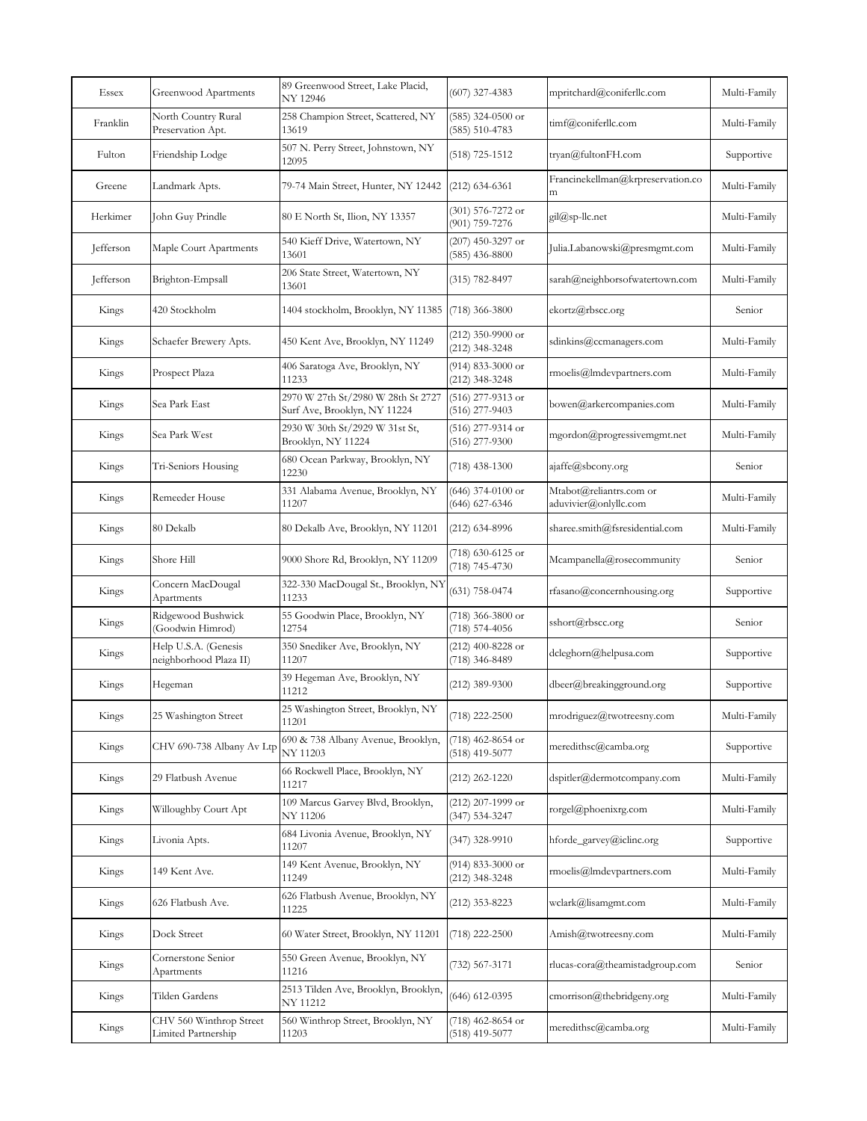| Essex     | Greenwood Apartments                           | 89 Greenwood Street, Lake Placid,<br><b>NY 12946</b>               | $(607)$ 327-4383                          | mpritchard@coniferllc.com                        | Multi-Family |
|-----------|------------------------------------------------|--------------------------------------------------------------------|-------------------------------------------|--------------------------------------------------|--------------|
| Franklin  | North Country Rural<br>Preservation Apt.       | 258 Champion Street, Scattered, NY<br>13619                        | $(585)$ 324-0500 or<br>$(585) 510 - 4783$ | timf@coniferllc.com                              | Multi-Family |
| Fulton    | Friendship Lodge                               | 507 N. Perry Street, Johnstown, NY<br>12095                        | $(518)$ 725-1512                          | tryan@fultonFH.com                               | Supportive   |
| Greene    | Landmark Apts.                                 | 79-74 Main Street, Hunter, NY 12442                                | $(212)$ 634-6361                          | Francinekellman@krpreservation.co<br>m           | Multi-Family |
| Herkimer  | John Guy Prindle                               | 80 E North St, Ilion, NY 13357                                     | $(301)$ 576-7272 or<br>(901) 759-7276     | gil@sp-llc.net                                   | Multi-Family |
| Jefferson | Maple Court Apartments                         | 540 Kieff Drive, Watertown, NY<br>13601                            | $(207)$ 450-3297 or<br>$(585)$ 436-8800   | Julia.Labanowski@presmgmt.com                    | Multi-Family |
| Jefferson | Brighton-Empsall                               | 206 State Street, Watertown, NY<br>13601                           | (315) 782-8497                            | sarah@neighborsofwatertown.com                   | Multi-Family |
| Kings     | 420 Stockholm                                  | 1404 stockholm, Brooklyn, NY 11385                                 | $(718)$ 366-3800                          | ekortz@rbscc.org                                 | Senior       |
| Kings     | Schaefer Brewery Apts.                         | 450 Kent Ave, Brooklyn, NY 11249                                   | $(212)$ 350-9900 or<br>(212) 348-3248     | sdinkins@ccmanagers.com                          | Multi-Family |
| Kings     | Prospect Plaza                                 | 406 Saratoga Ave, Brooklyn, NY<br>11233                            | $(914)$ 833-3000 or<br>(212) 348-3248     | rmoelis@lmdevpartners.com                        | Multi-Family |
| Kings     | Sea Park East                                  | 2970 W 27th St/2980 W 28th St 2727<br>Surf Ave, Brooklyn, NY 11224 | $(516)$ 277-9313 or<br>$(516)$ 277-9403   | bowen@arkercompanies.com                         | Multi-Family |
| Kings     | Sea Park West                                  | 2930 W 30th St/2929 W 31st St,<br>Brooklyn, NY 11224               | (516) 277-9314 or<br>$(516)$ 277-9300     | mgordon@progressivemgmt.net                      | Multi-Family |
| Kings     | Tri-Seniors Housing                            | 680 Ocean Parkway, Brooklyn, NY<br>12230                           | $(718)$ 438-1300                          | ajaffe@sbcony.org                                | Senior       |
| Kings     | Remeeder House                                 | 331 Alabama Avenue, Brooklyn, NY<br>11207                          | $(646)$ 374-0100 or<br>(646) 627-6346     | Mtabot@reliantrs.com or<br>aduvivier@onlyllc.com | Multi-Family |
| Kings     | 80 Dekalb                                      | 80 Dekalb Ave, Brooklyn, NY 11201                                  | (212) 634-8996                            | sharee.smith@fsresidential.com                   | Multi-Family |
| Kings     | Shore Hill                                     | 9000 Shore Rd, Brooklyn, NY 11209                                  | (718) 630-6125 or<br>$(718) 745 - 4730$   | Mcampanella@rosecommunity                        | Senior       |
| Kings     | Concern MacDougal<br>Apartments                | 322-330 MacDougal St., Brooklyn, NY<br>11233                       | $(631)$ 758-0474                          | rfasano@concernhousing.org                       | Supportive   |
| Kings     | Ridgewood Bushwick<br>(Goodwin Himrod)         | 55 Goodwin Place, Brooklyn, NY<br>12754                            | (718) 366-3800 or<br>(718) 574-4056       | sshort@rbscc.org                                 | Senior       |
| Kings     | Help U.S.A. (Genesis<br>neighborhood Plaza II) | 350 Snediker Ave, Brooklyn, NY<br>11207                            | (212) 400-8228 or<br>(718) 346-8489       | dcleghorn@helpusa.com                            | Supportive   |
| Kings     | Hegeman                                        | 39 Hegeman Ave, Brooklyn, NY<br>11212                              | $(212)$ 389-9300                          | dbeer@breakingground.org                         | Supportive   |
| Kings     | 25 Washington Street                           | 25 Washington Street, Brooklyn, NY<br>11201                        | (718) 222-2500                            | mrodriguez@twotreesny.com                        | Multi-Family |
| Kings     | CHV 690-738 Albany Av Ltp                      | 690 & 738 Albany Avenue, Brooklyn,<br>NY 11203                     | (718) 462-8654 or<br>$(518)$ 419-5077     | meredithsc@camba.org                             | Supportive   |
| Kings     | 29 Flatbush Avenue                             | 66 Rockwell Place, Brooklyn, NY<br>11217                           | $(212)$ 262-1220                          | dspitler@dermotcompany.com                       | Multi-Family |
| Kings     | Willoughby Court Apt                           | 109 Marcus Garvey Blvd, Brooklyn,<br>NY 11206                      | (212) 207-1999 or<br>(347) 534-3247       | rorgel@phoenixrg.com                             | Multi-Family |
| Kings     | Livonia Apts.                                  | 684 Livonia Avenue, Brooklyn, NY<br>11207                          | $(347)$ 328-9910                          | hforde_garvey@iclinc.org                         | Supportive   |
| Kings     | 149 Kent Ave.                                  | 149 Kent Avenue, Brooklyn, NY<br>11249                             | (914) 833-3000 or<br>(212) 348-3248       | rmoelis@lmdevpartners.com                        | Multi-Family |
| Kings     | 626 Flatbush Ave.                              | 626 Flatbush Avenue, Brooklyn, NY<br>11225                         | (212) 353-8223                            | wclark@lisamgmt.com                              | Multi-Family |
| Kings     | Dock Street                                    | 60 Water Street, Brooklyn, NY 11201                                | $(718)$ 222-2500                          | Amish@twotreesny.com                             | Multi-Family |
| Kings     | Cornerstone Senior<br>Apartments               | 550 Green Avenue, Brooklyn, NY<br>11216                            | (732) 567-3171                            | rlucas-cora@theamistadgroup.com                  | Senior       |
| Kings     | Tilden Gardens                                 | 2513 Tilden Ave, Brooklyn, Brooklyn,<br>NY 11212                   | $(646)$ 612-0395                          | cmorrison@thebridgeny.org                        | Multi-Family |
| Kings     | CHV 560 Winthrop Street<br>Limited Partnership | 560 Winthrop Street, Brooklyn, NY<br>11203                         | (718) 462-8654 or<br>$(518)$ 419-5077     | meredithsc@camba.org                             | Multi-Family |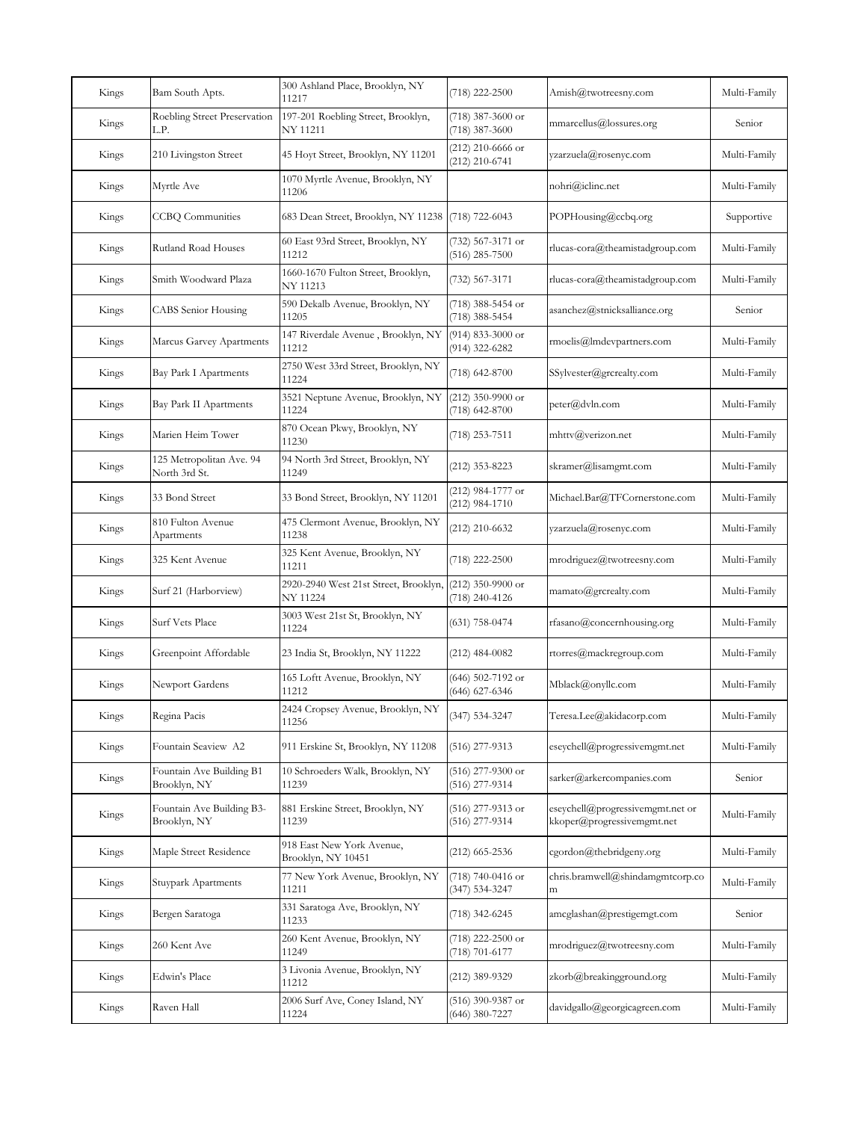| Kings | Bam South Apts.                           | 300 Ashland Place, Brooklyn, NY<br>11217          | $(718)$ 222-2500                        | Amish@twotreesny.com                                           | Multi-Family |
|-------|-------------------------------------------|---------------------------------------------------|-----------------------------------------|----------------------------------------------------------------|--------------|
| Kings | Roebling Street Preservation<br>L.P.      | 197-201 Roebling Street, Brooklyn,<br>NY 11211    | (718) 387-3600 or<br>$(718)$ 387-3600   | mmarcellus@lossures.org                                        | Senior       |
| Kings | 210 Livingston Street                     | 45 Hoyt Street, Brooklyn, NY 11201                | $(212)$ 210-6666 or<br>$(212)$ 210-6741 | yzarzuela@rosenyc.com                                          | Multi-Family |
| Kings | Myrtle Ave                                | 1070 Myrtle Avenue, Brooklyn, NY<br>11206         |                                         | nohri@iclinc.net                                               | Multi-Family |
| Kings | <b>CCBQ</b> Communities                   | 683 Dean Street, Brooklyn, NY 11238               | $(718)$ 722-6043                        | POPHousing@ccbq.org                                            | Supportive   |
| Kings | Rutland Road Houses                       | 60 East 93rd Street, Brooklyn, NY<br>11212        | (732) 567-3171 or<br>$(516)$ 285-7500   | rlucas-cora@theamistadgroup.com                                | Multi-Family |
| Kings | Smith Woodward Plaza                      | 1660-1670 Fulton Street, Brooklyn,<br>NY 11213    | (732) 567-3171                          | rlucas-cora@theamistadgroup.com                                | Multi-Family |
| Kings | <b>CABS</b> Senior Housing                | 590 Dekalb Avenue, Brooklyn, NY<br>11205          | (718) 388-5454 or<br>(718) 388-5454     | asanchez@stnicksalliance.org                                   | Senior       |
| Kings | Marcus Garvey Apartments                  | 147 Riverdale Avenue, Brooklyn, NY<br>11212       | (914) 833-3000 or<br>(914) 322-6282     | rmoelis@lmdevpartners.com                                      | Multi-Family |
| Kings | <b>Bay Park I Apartments</b>              | 2750 West 33rd Street, Brooklyn, NY<br>11224      | (718) 642-8700                          | SSylvester@grcrealty.com                                       | Multi-Family |
| Kings | Bay Park II Apartments                    | 3521 Neptune Avenue, Brooklyn, NY<br>11224        | $(212)$ 350-9900 or<br>(718) 642-8700   | peter@dvln.com                                                 | Multi-Family |
| Kings | Marien Heim Tower                         | 870 Ocean Pkwy, Brooklyn, NY<br>11230             | (718) 253-7511                          | mhttv@verizon.net                                              | Multi-Family |
| Kings | 125 Metropolitan Ave. 94<br>North 3rd St. | 94 North 3rd Street, Brooklyn, NY<br>11249        | (212) 353-8223                          | skramer@lisamgmt.com                                           | Multi-Family |
| Kings | 33 Bond Street                            | 33 Bond Street, Brooklyn, NY 11201                | (212) 984-1777 or<br>$(212)$ 984-1710   | Michael.Bar@TFCornerstone.com                                  | Multi-Family |
| Kings | 810 Fulton Avenue<br>Apartments           | 475 Clermont Avenue, Brooklyn, NY<br>11238        | (212) 210-6632                          | yzarzuela@rosenyc.com                                          | Multi-Family |
| Kings | 325 Kent Avenue                           | 325 Kent Avenue, Brooklyn, NY<br>11211            | $(718)$ 222-2500                        | mrodriguez@twotreesny.com                                      | Multi-Family |
| Kings | Surf 21 (Harborview)                      | 2920-2940 West 21st Street, Brooklyn,<br>NY 11224 | $(212)$ 350-9900 or<br>(718) 240-4126   | mamato@grcrealty.com                                           | Multi-Family |
| Kings | Surf Vets Place                           | 3003 West 21st St, Brooklyn, NY<br>11224          | $(631)$ 758-0474                        | rfasano@concernhousing.org                                     | Multi-Family |
| Kings | Greenpoint Affordable                     | 23 India St, Brooklyn, NY 11222                   | $(212)$ 484-0082                        | rtorres@mackregroup.com                                        | Multi-Family |
| Kings | Newport Gardens                           | 165 Loftt Avenue, Brooklyn, NY<br>11212           | (646) 502-7192 or<br>(646) 627-6346     | Mblack@onyllc.com                                              | Multi-Family |
| Kings | Regina Pacis                              | 2424 Cropsey Avenue, Brooklyn, NY<br>11256        | (347) 534-3247                          | Teresa.Lee@akidacorp.com                                       | Multi-Family |
| Kings | Fountain Seaview A2                       | 911 Erskine St, Brooklyn, NY 11208                | $(516)$ 277-9313                        | eseychell@progressivemgmt.net                                  | Multi-Family |
| Kings | Fountain Ave Building B1<br>Brooklyn, NY  | 10 Schroeders Walk, Brooklyn, NY<br>11239         | $(516)$ 277-9300 or<br>(516) 277-9314   | sarker@arkercompanies.com                                      | Senior       |
| Kings | Fountain Ave Building B3-<br>Brooklyn, NY | 881 Erskine Street, Brooklyn, NY<br>11239         | (516) 277-9313 or<br>(516) 277-9314     | eseychell@progressivemgmt.net or<br>kkoper@progressivemgmt.net | Multi-Family |
| Kings | Maple Street Residence                    | 918 East New York Avenue,<br>Brooklyn, NY 10451   | $(212)$ 665-2536                        | cgordon@thebridgeny.org                                        | Multi-Family |
| Kings | Stuypark Apartments                       | 77 New York Avenue, Brooklyn, NY<br>11211         | (718) 740-0416 or<br>(347) 534-3247     | chris.bramwell@shindamgmtcorp.co<br>m                          | Multi-Family |
| Kings | Bergen Saratoga                           | 331 Saratoga Ave, Brooklyn, NY<br>11233           | (718) 342-6245                          | amcglashan@prestigemgt.com                                     | Senior       |
| Kings | 260 Kent Ave                              | 260 Kent Avenue, Brooklyn, NY<br>11249            | (718) 222-2500 or<br>(718) 701-6177     | mrodriguez@twotreesny.com                                      | Multi-Family |
| Kings | Edwin's Place                             | 3 Livonia Avenue, Brooklyn, NY<br>11212           | (212) 389-9329                          | zkorb@breakingground.org                                       | Multi-Family |
| Kings | Raven Hall                                | 2006 Surf Ave, Coney Island, NY<br>11224          | (516) 390-9387 or<br>$(646)$ 380-7227   | davidgallo@georgicagreen.com                                   | Multi-Family |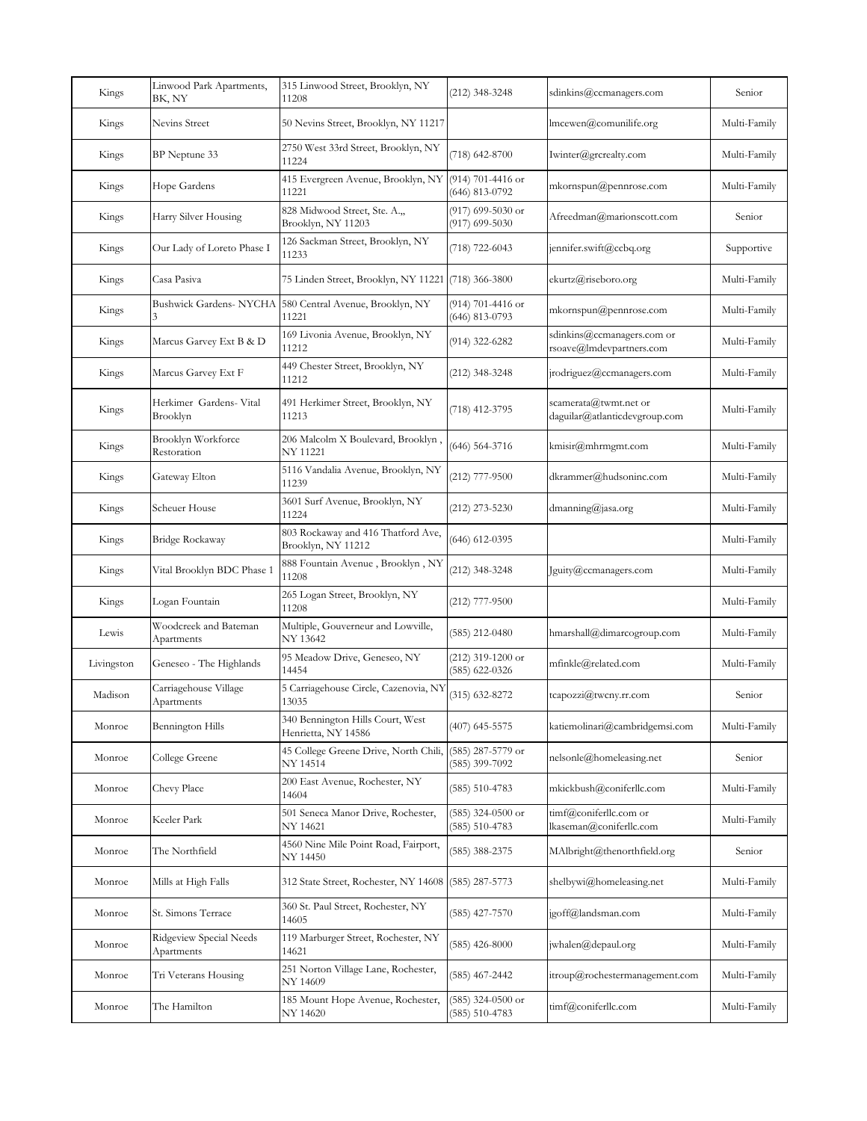| Kings      | Linwood Park Apartments,<br>BK, NY    | 315 Linwood Street, Brooklyn, NY<br>11208                | (212) 348-3248                            | sdinkins@ccmanagers.com                                | Senior       |
|------------|---------------------------------------|----------------------------------------------------------|-------------------------------------------|--------------------------------------------------------|--------------|
| Kings      | Nevins Street                         | 50 Nevins Street, Brooklyn, NY 11217                     |                                           | lmcewen@comunilife.org                                 | Multi-Family |
| Kings      | BP Neptune 33                         | 2750 West 33rd Street, Brooklyn, NY<br>11224             | (718) 642-8700                            | Iwinter@grcrealty.com                                  | Multi-Family |
| Kings      | Hope Gardens                          | 415 Evergreen Avenue, Brooklyn, NY<br>11221              | (914) 701-4416 or<br>(646) 813-0792       | mkornspun@pennrose.com                                 | Multi-Family |
| Kings      | Harry Silver Housing                  | 828 Midwood Street, Ste. A.,<br>Brooklyn, NY 11203       | $(917)$ 699-5030 or<br>$(917)$ 699-5030   | Afreedman@marionscott.com                              | Senior       |
| Kings      | Our Lady of Loreto Phase I            | 126 Sackman Street, Brooklyn, NY<br>11233                | (718) 722-6043                            | jennifer.swift@ccbq.org                                | Supportive   |
| Kings      | Casa Pasiva                           | 75 Linden Street, Brooklyn, NY 11221 (718) 366-3800      |                                           | ekurtz@riseboro.org                                    | Multi-Family |
| Kings      | Bushwick Gardens-NYCHA                | 580 Central Avenue, Brooklyn, NY<br>11221                | (914) 701-4416 or<br>(646) 813-0793       | mkornspun@pennrose.com                                 | Multi-Family |
| Kings      | Marcus Garvey Ext B & D               | 169 Livonia Avenue, Brooklyn, NY<br>11212                | (914) 322-6282                            | sdinkins@ccmanagers.com or<br>rsoave@lmdevpartners.com | Multi-Family |
| Kings      | Marcus Garvey Ext F                   | 449 Chester Street, Brooklyn, NY<br>11212                | (212) 348-3248                            | jrodriguez@ccmanagers.com                              | Multi-Family |
| Kings      | Herkimer Gardens- Vital<br>Brooklyn   | 491 Herkimer Street, Brooklyn, NY<br>11213               | (718) 412-3795                            | scamerata@twmt.net or<br>daguilar@atlanticdevgroup.com | Multi-Family |
| Kings      | Brooklyn Workforce<br>Restoration     | , 206 Malcolm X Boulevard, Brooklyn<br>NY 11221          | (646) 564-3716                            | kmisir@mhrmgmt.com                                     | Multi-Family |
| Kings      | Gateway Elton                         | 5116 Vandalia Avenue, Brooklyn, NY<br>11239              | $(212)$ 777-9500                          | dkrammer@hudsoninc.com                                 | Multi-Family |
| Kings      | Scheuer House                         | 3601 Surf Avenue, Brooklyn, NY<br>11224                  | $(212)$ 273-5230                          | $d$ manning@jasa.org                                   | Multi-Family |
| Kings      | Bridge Rockaway                       | 803 Rockaway and 416 Thatford Ave,<br>Brooklyn, NY 11212 | (646) 612-0395                            |                                                        | Multi-Family |
| Kings      | Vital Brooklyn BDC Phase 1            | 888 Fountain Avenue, Brooklyn, NY<br>11208               | (212) 348-3248                            | Jguity@ccmanagers.com                                  | Multi-Family |
| Kings      | Logan Fountain                        | 265 Logan Street, Brooklyn, NY<br>11208                  | $(212)$ 777-9500                          |                                                        | Multi-Family |
| Lewis      | Woodcreek and Bateman<br>Apartments   | Multiple, Gouverneur and Lowville,<br>NY 13642           | $(585)$ 212-0480                          | hmarshall@dimarcogroup.com                             | Multi-Family |
| Livingston | Geneseo - The Highlands               | 95 Meadow Drive, Geneseo, NY<br>14454                    | $(212)$ 319-1200 or<br>(585) 622-0326     | mfinkle@related.com                                    | Multi-Family |
| Madison    | Carriagehouse Village<br>Apartments   | 5 Carriagehouse Circle, Cazenovia, NY<br>13035           | $(315)$ 632-8272                          | tcapozzi@twcny.rr.com                                  | Senior       |
| Monroe     | Bennington Hills                      | 340 Bennington Hills Court, West<br>Henrietta, NY 14586  | $(407)$ 645-5575                          | katiemolinari@cambridgemsi.com                         | Multi-Family |
| Monroe     | College Greene                        | 45 College Greene Drive, North Chili,<br>NY 14514        | (585) 287-5779 or<br>(585) 399-7092       | nelsonle@homeleasing.net                               | Senior       |
| Monroe     | Chevy Place                           | 200 East Avenue, Rochester, NY<br>14604                  | (585) 510-4783                            | mkickbush@coniferllc.com                               | Multi-Family |
| Monroe     | Keeler Park                           | 501 Seneca Manor Drive, Rochester,<br>NY 14621           | $(585)$ 324-0500 or<br>$(585) 510 - 4783$ | timf@coniferllc.com or<br>lkaseman@coniferllc.com      | Multi-Family |
| Monroe     | The Northfield                        | 4560 Nine Mile Point Road, Fairport,<br>NY 14450         | (585) 388-2375                            | MAlbright@thenorthfield.org                            | Senior       |
| Monroe     | Mills at High Falls                   | 312 State Street, Rochester, NY 14608 (585) 287-5773     |                                           | shelbywi@homeleasing.net                               | Multi-Family |
| Monroe     | St. Simons Terrace                    | 360 St. Paul Street, Rochester, NY<br>14605              | $(585)$ 427-7570                          | jgoff@landsman.com                                     | Multi-Family |
| Monroe     | Ridgeview Special Needs<br>Apartments | 119 Marburger Street, Rochester, NY<br>14621             | $(585)$ 426-8000                          | jwhalen@depaul.org                                     | Multi-Family |
| Monroe     | Tri Veterans Housing                  | 251 Norton Village Lane, Rochester,<br>NY 14609          | (585) 467-2442                            | itroup@rochestermanagement.com                         | Multi-Family |
| Monroe     | The Hamilton                          | 185 Mount Hope Avenue, Rochester,<br>NY 14620            | (585) 324-0500 or<br>$(585) 510 - 4783$   | timf@coniferllc.com                                    | Multi-Family |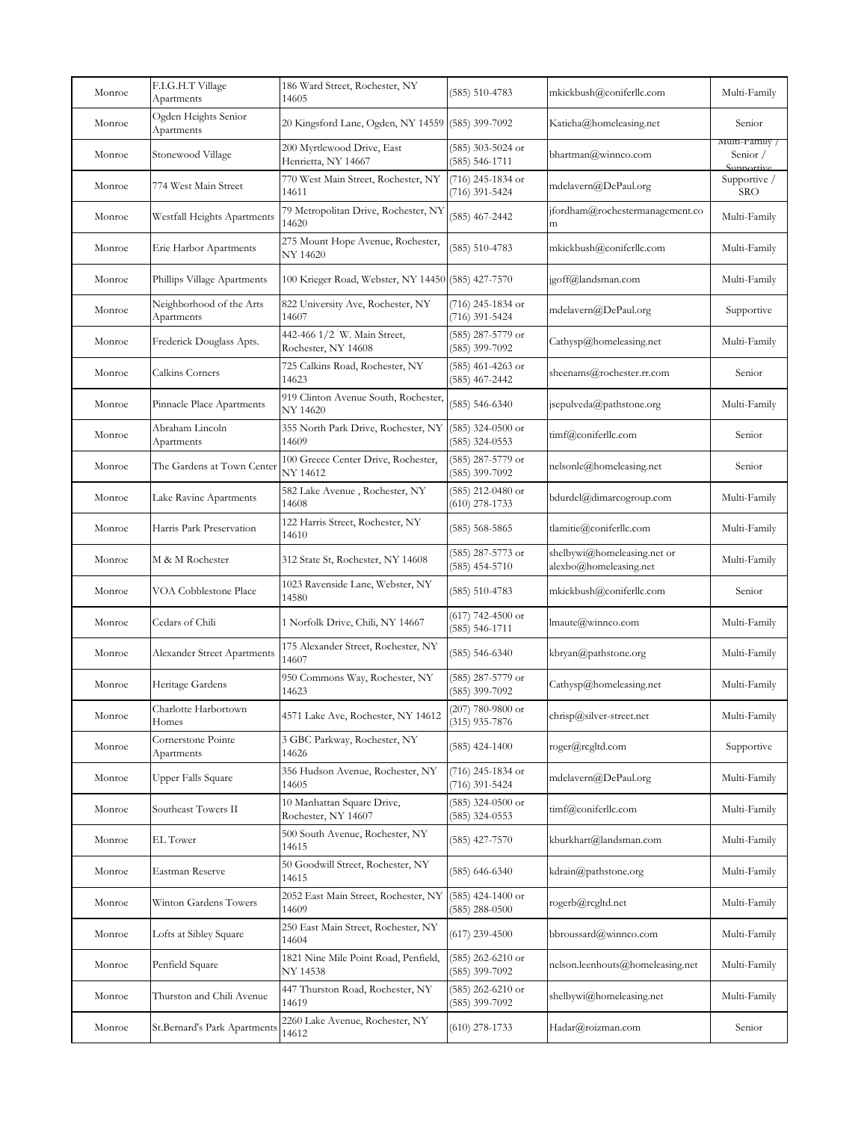| Monroe | F.I.G.H.T Village<br>Apartments        | 186 Ward Street, Rochester, NY<br>14605            | $(585) 510-4783$                        | mkickbush@coniferllc.com                              | Multi-Family                             |
|--------|----------------------------------------|----------------------------------------------------|-----------------------------------------|-------------------------------------------------------|------------------------------------------|
| Monroe | Ogden Heights Senior<br>Apartments     | 20 Kingsford Lane, Ogden, NY 14559 (585) 399-7092  |                                         | Katieha@homeleasing.net                               | Senior                                   |
| Monroe | Stonewood Village                      | 200 Myrtlewood Drive, East<br>Henrietta, NY 14667  | (585) 303-5024 or<br>(585) 546-1711     | bhartman@winnco.com                                   | Multi-Family /<br>Senior /<br>Supportive |
| Monroe | 774 West Main Street                   | 770 West Main Street, Rochester, NY<br>14611       | (716) 245-1834 or<br>(716) 391-5424     | mdelavern@DePaul.org                                  | Supportive /<br><b>SRO</b>               |
| Monroe | Westfall Heights Apartments            | 79 Metropolitan Drive, Rochester, NY<br>14620      | $(585)$ 467-2442                        | jfordham@rochestermanagement.co<br>m                  | Multi-Family                             |
| Monroe | Erie Harbor Apartments                 | 275 Mount Hope Avenue, Rochester,<br>NY 14620      | $(585) 510 - 4783$                      | mkickbush@coniferllc.com                              | Multi-Family                             |
| Monroe | Phillips Village Apartments            | 100 Krieger Road, Webster, NY 14450 (585) 427-7570 |                                         | jgoff@landsman.com                                    | Multi-Family                             |
| Monroe | Neighborhood of the Arts<br>Apartments | 822 University Ave, Rochester, NY<br>14607         | (716) 245-1834 or<br>(716) 391-5424     | mdelavern@DePaul.org                                  | Supportive                               |
| Monroe | Frederick Douglass Apts.               | 442-466 1/2 W. Main Street,<br>Rochester, NY 14608 | (585) 287-5779 or<br>(585) 399-7092     | Cathysp@homeleasing.net                               | Multi-Family                             |
| Monroe | Calkins Corners                        | 725 Calkins Road, Rochester, NY<br>14623           | (585) 461-4263 or<br>(585) 467-2442     | sheenams@rochester.rr.com                             | Senior                                   |
| Monroe | Pinnacle Place Apartments              | 919 Clinton Avenue South, Rochester,<br>NY 14620   | $(585) 546 - 6340$                      | jsepulveda@pathstone.org                              | Multi-Family                             |
| Monroe | Abraham Lincoln<br>Apartments          | 355 North Park Drive, Rochester, NY<br>14609       | (585) 324-0500 or<br>$(585)$ 324-0553   | timf@coniferllc.com                                   | Senior                                   |
| Monroe | The Gardens at Town Center             | 100 Greece Center Drive, Rochester,<br>NY 14612    | (585) 287-5779 or<br>(585) 399-7092     | nelsonle@homeleasing.net                              | Senior                                   |
| Monroe | Lake Ravine Apartments                 | 582 Lake Avenue, Rochester, NY<br>14608            | (585) 212-0480 or<br>$(610)$ 278-1733   | bdurdel@dimarcogroup.com                              | Multi-Family                             |
| Monroe | Harris Park Preservation               | 122 Harris Street, Rochester, NY<br>14610          | (585) 568-5865                          | tlamitie@coniferllc.com                               | Multi-Family                             |
| Monroe | M & M Rochester                        | 312 State St, Rochester, NY 14608                  | (585) 287-5773 or<br>$(585)$ 454-5710   | shelbywi@homeleasing.net or<br>alexbo@homeleasing.net | Multi-Family                             |
| Monroe | VOA Cobblestone Place                  | 1023 Ravenside Lane, Webster, NY<br>14580          | $(585) 510 - 4783$                      | mkickbush@coniferllc.com                              | Senior                                   |
| Monroe | Cedars of Chili                        | 1 Norfolk Drive, Chili, NY 14667                   | (617) 742-4500 or<br>(585) 546-1711     | lmaute@winnco.com                                     | Multi-Family                             |
| Monroe | Alexander Street Apartments            | 175 Alexander Street, Rochester, NY<br>14607       | $(585)$ 546-6340                        | kbryan@pathstone.org                                  | Multi-Family                             |
| Monroe | Heritage Gardens                       | 950 Commons Way, Rochester, NY<br>14623            | (585) 287-5779 or<br>(585) 399-7092     | Cathysp@homeleasing.net                               | Multi-Family                             |
| Monroe | Charlotte Harbortown<br>Homes          | 4571 Lake Ave, Rochester, NY 14612                 | $(207)$ 780-9800 or<br>$(315)$ 935-7876 | chrisp@silver-street.net                              | Multi-Family                             |
| Monroe | Cornerstone Pointe<br>Apartments       | 3 GBC Parkway, Rochester, NY<br>14626              | $(585)$ 424-1400                        | roger@rcgltd.com                                      | Supportive                               |
| Monroe | Upper Falls Square                     | 356 Hudson Avenue, Rochester, NY<br>14605          | (716) 245-1834 or<br>(716) 391-5424     | mdelavern@DePaul.org                                  | Multi-Family                             |
| Monroe | Southeast Towers II                    | 10 Manhattan Square Drive,<br>Rochester, NY 14607  | $(585)$ 324-0500 or<br>$(585)$ 324-0553 | timf@coniferllc.com                                   | Multi-Family                             |
| Monroe | EL Tower                               | 500 South Avenue, Rochester, NY<br>14615           | $(585)$ 427-7570                        | kburkhart@landsman.com                                | Multi-Family                             |
| Monroe | Eastman Reserve                        | 50 Goodwill Street, Rochester, NY<br>14615         | $(585)$ 646-6340                        | kdrain@pathstone.org                                  | Multi-Family                             |
| Monroe | Winton Gardens Towers                  | 2052 East Main Street, Rochester, NY<br>14609      | $(585)$ 424-1400 or<br>$(585)$ 288-0500 | rogerb@rcgltd.net                                     | Multi-Family                             |
| Monroe | Lofts at Sibley Square                 | 250 East Main Street, Rochester, NY<br>14604       | $(617)$ 239-4500                        | bbroussard@winnco.com                                 | Multi-Family                             |
| Monroe | Penfield Square                        | 1821 Nine Mile Point Road, Penfield,<br>NY 14538   | (585) 262-6210 or<br>(585) 399-7092     | nelson.leenhouts@homeleasing.net                      | Multi-Family                             |
| Monroe | Thurston and Chili Avenue              | 447 Thurston Road, Rochester, NY<br>14619          | (585) 262-6210 or<br>(585) 399-7092     | shelbywi@homeleasing.net                              | Multi-Family                             |
| Monroe | St.Bernard's Park Apartments           | 2260 Lake Avenue, Rochester, NY<br>14612           | $(610)$ 278-1733                        | Hadar@roizman.com                                     | Senior                                   |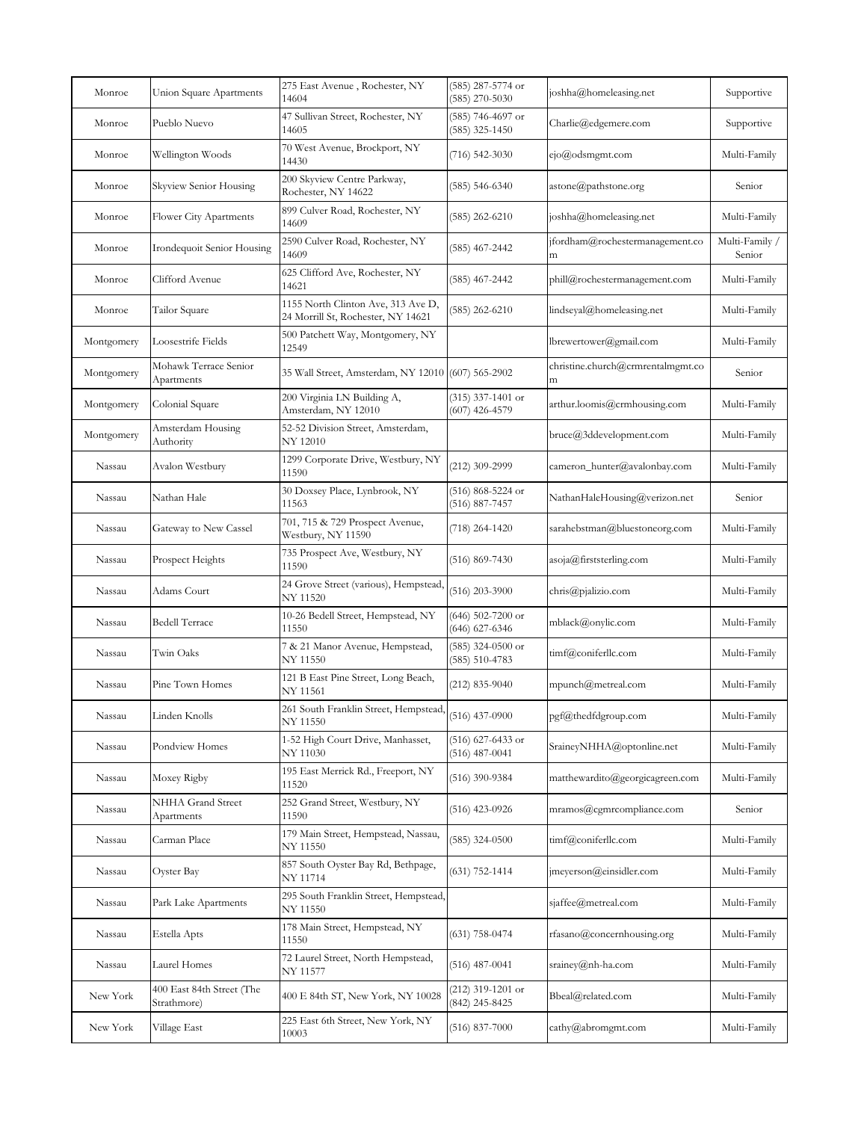| Monroe     | Union Square Apartments                  | 275 East Avenue, Rochester, NY<br>14604                                  | (585) 287-5774 or<br>$(585)$ 270-5030     | joshha@homeleasing.net                 | Supportive               |
|------------|------------------------------------------|--------------------------------------------------------------------------|-------------------------------------------|----------------------------------------|--------------------------|
| Monroe     | Pueblo Nuevo                             | 47 Sullivan Street, Rochester, NY<br>14605                               | (585) 746-4697 or<br>$(585)$ 325-1450     | Charlie@edgemere.com                   | Supportive               |
| Monroe     | Wellington Woods                         | 70 West Avenue, Brockport, NY<br>14430                                   | $(716)$ 542-3030                          | $e$ jo@odsmgmt.com                     | Multi-Family             |
| Monroe     | Skyview Senior Housing                   | 200 Skyview Centre Parkway,<br>Rochester, NY 14622                       | (585) 546-6340                            | astone@pathstone.org                   | Senior                   |
| Monroe     | Flower City Apartments                   | 899 Culver Road, Rochester, NY<br>14609                                  | (585) 262-6210                            | joshha@homeleasing.net                 | Multi-Family             |
| Monroe     | Irondequoit Senior Housing               | 2590 Culver Road, Rochester, NY<br>14609                                 | (585) 467-2442                            | jfordham@rochestermanagement.co<br>m   | Multi-Family /<br>Senior |
| Monroe     | Clifford Avenue                          | 625 Clifford Ave, Rochester, NY<br>14621                                 | (585) 467-2442                            | phill@rochestermanagement.com          | Multi-Family             |
| Monroe     | Tailor Square                            | 1155 North Clinton Ave, 313 Ave D,<br>24 Morrill St, Rochester, NY 14621 | (585) 262-6210                            | lindseyal@homeleasing.net              | Multi-Family             |
| Montgomery | Loosestrife Fields                       | 500 Patchett Way, Montgomery, NY<br>12549                                |                                           | lbrewertower@gmail.com                 | Multi-Family             |
| Montgomery | Mohawk Terrace Senior<br>Apartments      | 35 Wall Street, Amsterdam, NY 12010 (607) 565-2902                       |                                           | christine.church@crmrentalmgmt.co<br>m | Senior                   |
| Montgomery | Colonial Square                          | 200 Virginia LN Building A,<br>Amsterdam, NY 12010                       | $(315)$ 337-1401 or<br>$(607)$ 426-4579   | arthur.loomis@crmhousing.com           | Multi-Family             |
| Montgomery | Amsterdam Housing<br>Authority           | 52-52 Division Street, Amsterdam,<br>NY 12010                            |                                           | bruce@3ddevelopment.com                | Multi-Family             |
| Nassau     | Avalon Westbury                          | 1299 Corporate Drive, Westbury, NY<br>11590                              | (212) 309-2999                            | cameron_hunter@avalonbay.com           | Multi-Family             |
| Nassau     | Nathan Hale                              | 30 Doxsey Place, Lynbrook, NY<br>11563                                   | (516) 868-5224 or<br>(516) 887-7457       | NathanHaleHousing@verizon.net          | Senior                   |
| Nassau     | Gateway to New Cassel                    | 701, 715 & 729 Prospect Avenue,<br>Westbury, NY 11590                    | (718) 264-1420                            | sarahebstman@bluestoneorg.com          | Multi-Family             |
| Nassau     | Prospect Heights                         | 735 Prospect Ave, Westbury, NY<br>11590                                  | $(516) 869 - 7430$                        | asoja@firststerling.com                | Multi-Family             |
| Nassau     | Adams Court                              | 24 Grove Street (various), Hempstead,<br>NY 11520                        | $(516)$ 203-3900                          | chris@pjalizio.com                     | Multi-Family             |
| Nassau     | Bedell Terrace                           | 10-26 Bedell Street, Hempstead, NY<br>11550                              | $(646)$ 502-7200 or<br>$(646)$ 627-6346   | mblack@onylic.com                      | Multi-Family             |
| Nassau     | Twin Oaks                                | 7 & 21 Manor Avenue, Hempstead,<br>NY 11550                              | $(585)$ 324-0500 or<br>$(585) 510 - 4783$ | timf@coniferllc.com                    | Multi-Family             |
| Nassau     | Pine Town Homes                          | 121 B East Pine Street, Long Beach,<br>NY 11561                          | $(212) 835 - 9040$                        | mpunch@metreal.com                     | Multi-Family             |
| Nassau     | Linden Knolls                            | 261 South Franklin Street, Hempstead,<br>NY 11550                        | $(516)$ 437-0900                          | pgf@thedfdgroup.com                    | Multi-Family             |
| Nassau     | Pondview Homes                           | 1-52 High Court Drive, Manhasset,<br>NY 11030                            | $(516)$ 627-6433 or<br>$(516)$ 487-0041   | SraineyNHHA@optonline.net              | Multi-Family             |
| Nassau     | Moxey Rigby                              | 195 East Merrick Rd., Freeport, NY<br>11520                              | (516) 390-9384                            | matthewardito@georgicagreen.com        | Multi-Family             |
| Nassau     | NHHA Grand Street<br>Apartments          | 252 Grand Street, Westbury, NY<br>11590                                  | (516) 423-0926                            | mramos@cgmrcompliance.com              | Senior                   |
| Nassau     | Carman Place                             | 179 Main Street, Hempstead, Nassau,<br>NY 11550                          | $(585)$ 324-0500                          | timf@coniferllc.com                    | Multi-Family             |
| Nassau     | Oyster Bay                               | 857 South Oyster Bay Rd, Bethpage,<br>NY 11714                           | $(631)$ 752-1414                          | jmeyerson@einsidler.com                | Multi-Family             |
| Nassau     | Park Lake Apartments                     | 295 South Franklin Street, Hempstead,<br>NY 11550                        |                                           | sjaffee@metreal.com                    | Multi-Family             |
| Nassau     | Estella Apts                             | 178 Main Street, Hempstead, NY<br>11550                                  | $(631)$ 758-0474                          | rfasano@concernhousing.org             | Multi-Family             |
| Nassau     | Laurel Homes                             | 72 Laurel Street, North Hempstead,<br>NY 11577                           | $(516)$ 487-0041                          | srainey@nh-ha.com                      | Multi-Family             |
| New York   | 400 East 84th Street (The<br>Strathmore) | 400 E 84th ST, New York, NY 10028                                        | (212) 319-1201 or<br>(842) 245-8425       | Bbeal@related.com                      | Multi-Family             |
| New York   | Village East                             | 225 East 6th Street, New York, NY<br>10003                               | $(516)$ 837-7000                          | cathy@abromgmt.com                     | Multi-Family             |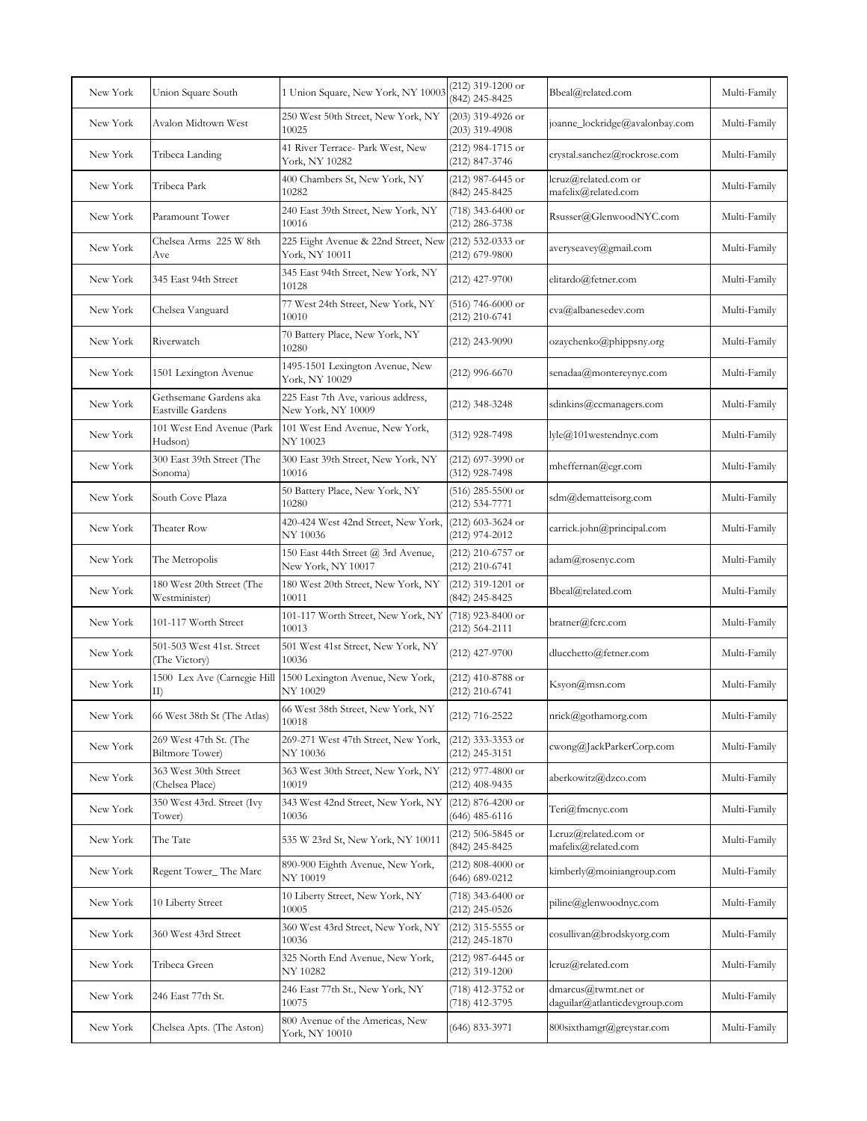| New York | Union Square South                                | 1 Union Square, New York, NY 10003                       | $(212)$ 319-1200 or<br>(842) 245-8425     | Bbeal@related.com                                    | Multi-Family |
|----------|---------------------------------------------------|----------------------------------------------------------|-------------------------------------------|------------------------------------------------------|--------------|
| New York | Avalon Midtown West                               | 250 West 50th Street, New York, NY<br>10025              | $(203)$ 319-4926 or<br>$(203)$ 319-4908   | joanne_lockridge@avalonbay.com                       | Multi-Family |
| New York | Tribeca Landing                                   | 41 River Terrace- Park West, New<br>York, NY 10282       | (212) 984-1715 or<br>(212) 847-3746       | crystal.sanchez@rockrose.com                         | Multi-Family |
| New York | Tribeca Park                                      | 400 Chambers St, New York, NY<br>10282                   | (212) 987-6445 or<br>(842) 245-8425       | lcruz@related.com or<br>mafelix@related.com          | Multi-Family |
| New York | Paramount Tower                                   | 240 East 39th Street, New York, NY<br>10016              | $(718)$ 343-6400 or<br>(212) 286-3738     | Rsusser@GlenwoodNYC.com                              | Multi-Family |
| New York | Chelsea Arms 225 W 8th<br>Ave                     | 225 Eight Avenue & 22nd Street, New<br>York, NY 10011    | (212) 532-0333 or<br>(212) 679-9800       | averyseavey@gmail.com                                | Multi-Family |
| New York | 345 East 94th Street                              | 345 East 94th Street, New York, NY<br>10128              | $(212)$ 427-9700                          | elitardo@fetner.com                                  | Multi-Family |
| New York | Chelsea Vanguard                                  | 77 West 24th Street, New York, NY<br>10010               | $(516)$ 746-6000 or<br>(212) 210-6741     | cva@albanesedev.com                                  | Multi-Family |
| New York | Riverwatch                                        | 70 Battery Place, New York, NY<br>10280                  | $(212)$ 243-9090                          | ozaychenko@phippsny.org                              | Multi-Family |
| New York | 1501 Lexington Avenue                             | 1495-1501 Lexington Avenue, New<br>York, NY 10029        | $(212)$ 996-6670                          | senadaa@montereynyc.com                              | Multi-Family |
| New York | Gethsemane Gardens aka<br>Eastville Gardens       | 225 East 7th Ave, various address,<br>New York, NY 10009 | (212) 348-3248                            | sdinkins@ccmanagers.com                              | Multi-Family |
| New York | 101 West End Avenue (Park<br>Hudson)              | 101 West End Avenue, New York,<br>NY 10023               | (312) 928-7498                            | lyle@101westendnyc.com                               | Multi-Family |
| New York | 300 East 39th Street (The<br>Sonoma)              | 300 East 39th Street, New York, NY<br>10016              | $(212)$ 697-3990 or<br>(312) 928-7498     | mheffernan@egr.com                                   | Multi-Family |
| New York | South Cove Plaza                                  | 50 Battery Place, New York, NY<br>10280                  | $(516)$ 285-5500 or<br>(212) 534-7771     | sdm@dematteisorg.com                                 | Multi-Family |
| New York | Theater Row                                       | 420-424 West 42nd Street, New York,<br>NY 10036          | $(212)$ 603-3624 or<br>(212) 974-2012     | carrick.john@principal.com                           | Multi-Family |
| New York | The Metropolis                                    | 150 East 44th Street @ 3rd Avenue,<br>New York, NY 10017 | $(212)$ 210-6757 or<br>$(212)$ 210-6741   | adam@rosenyc.com                                     | Multi-Family |
| New York | 180 West 20th Street (The<br>Westminister)        | 180 West 20th Street, New York, NY<br>10011              | (212) 319-1201 or<br>(842) 245-8425       | Bbeal@related.com                                    | Multi-Family |
| New York | 101-117 Worth Street                              | 101-117 Worth Street, New York, NY<br>10013              | (718) 923-8400 or<br>$(212) 564 - 2111$   | bratner@fcrc.com                                     | Multi-Family |
| New York | 501-503 West 41st. Street<br>(The Victory)        | 501 West 41st Street, New York, NY<br>10036              | $(212)$ 427-9700                          | dlucchetto@fetner.com                                | Multi-Family |
| New York | 1500 Lex Ave (Carnegie Hill<br>II)                | 1500 Lexington Avenue, New York,<br>NY 10029             | (212) 410-8788 or<br>(212) 210-6741       | Ksyon@msn.com                                        | Multi-Family |
| New York | 66 West 38th St (The Atlas)                       | 66 West 38th Street, New York, NY<br>10018               | (212) 716-2522                            | nrick@gothamorg.com                                  | Multi-Family |
| New York | 269 West 47th St. (The<br><b>Biltmore Tower</b> ) | 269-271 West 47th Street, New York,<br>NY 10036          | (212) 333-3353 or<br>(212) 245-3151       | cwong@JackParkerCorp.com                             | Multi-Family |
| New York | 363 West 30th Street<br>(Chelsea Place)           | 363 West 30th Street, New York, NY<br>10019              | $(212)$ 977-4800 or<br>$(212)$ 408-9435   | aberkowitz@dzco.com                                  | Multi-Family |
| New York | 350 West 43rd. Street (Ivy<br>Tower)              | 343 West 42nd Street, New York, NY<br>10036              | $(212)$ 876-4200 or<br>(646) 485-6116     | Teri@fmcnyc.com                                      | Multi-Family |
| New York | The Tate                                          | 535 W 23rd St, New York, NY 10011                        | $(212)$ 506-5845 or<br>(842) 245-8425     | Lcruz@related.com or<br>mafelix@related.com          | Multi-Family |
| New York | Regent Tower_The Marc                             | 890-900 Eighth Avenue, New York,<br>NY 10019             | $(212)$ 808-4000 or<br>$(646) 689 - 0212$ | kimberly@moiniangroup.com                            | Multi-Family |
| New York | 10 Liberty Street                                 | 10 Liberty Street, New York, NY<br>10005                 | $(718)$ 343-6400 or<br>$(212)$ 245-0526   | piline@glenwoodnyc.com                               | Multi-Family |
| New York | 360 West 43rd Street                              | 360 West 43rd Street, New York, NY<br>10036              | (212) 315-5555 or<br>$(212)$ 245-1870     | cosullivan@brodskyorg.com                            | Multi-Family |
| New York | Tribeca Green                                     | 325 North End Avenue, New York,<br>NY 10282              | (212) 987-6445 or<br>$(212)$ 319-1200     | lcruz@related.com                                    | Multi-Family |
| New York | 246 East 77th St.                                 | 246 East 77th St., New York, NY<br>10075                 | (718) 412-3752 or<br>(718) 412-3795       | dmarcus@twmt.net or<br>daguilar@atlanticdevgroup.com | Multi-Family |
| New York | Chelsea Apts. (The Aston)                         | 800 Avenue of the Americas, New<br>York, NY 10010        | (646) 833-3971                            | 800sixthamgr@greystar.com                            | Multi-Family |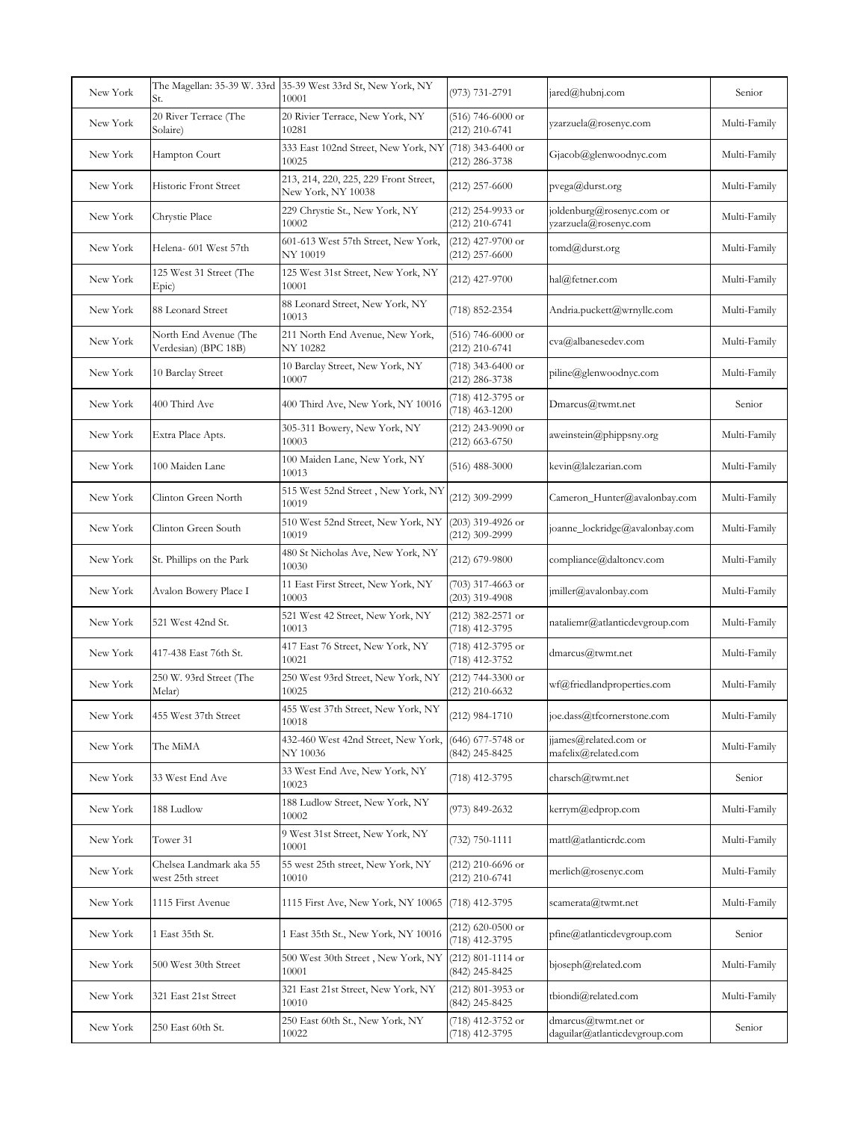| New York |                                               | The Magellan: 35-39 W. 33rd 35-39 West 33rd St, New York, NY<br>10001 | (973) 731-2791                          | jared@hubnj.com                                      | Senior       |
|----------|-----------------------------------------------|-----------------------------------------------------------------------|-----------------------------------------|------------------------------------------------------|--------------|
| New York | 20 River Terrace (The<br>Solaire)             | 20 Rivier Terrace, New York, NY<br>10281                              | $(516)$ 746-6000 or<br>(212) 210-6741   | yzarzuela@rosenyc.com                                | Multi-Family |
| New York | Hampton Court                                 | 333 East 102nd Street, New York, NY<br>10025                          | (718) 343-6400 or<br>(212) 286-3738     | Gjacob@glenwoodnyc.com                               | Multi-Family |
| New York | Historic Front Street                         | 213, 214, 220, 225, 229 Front Street,<br>New York, NY 10038           | $(212)$ 257-6600                        | pvega@durst.org                                      | Multi-Family |
| New York | Chrystie Place                                | 229 Chrystie St., New York, NY<br>10002                               | (212) 254-9933 or<br>$(212)$ 210-6741   | joldenburg@rosenyc.com or<br>yzarzuela@rosenyc.com   | Multi-Family |
| New York | Helena- 601 West 57th                         | 601-613 West 57th Street, New York,<br>NY 10019                       | $(212)$ 427-9700 or<br>$(212)$ 257-6600 | tomd@durst.org                                       | Multi-Family |
| New York | 125 West 31 Street (The<br>Epic)              | 125 West 31st Street, New York, NY<br>10001                           | $(212)$ 427-9700                        | hal@fetner.com                                       | Multi-Family |
| New York | 88 Leonard Street                             | 88 Leonard Street, New York, NY<br>10013                              | (718) 852-2354                          | Andria.puckett@wrnyllc.com                           | Multi-Family |
| New York | North End Avenue (The<br>Verdesian) (BPC 18B) | 211 North End Avenue, New York,<br>NY 10282                           | $(516)$ 746-6000 or<br>$(212)$ 210-6741 | cva@albanesedev.com                                  | Multi-Family |
| New York | 10 Barclay Street                             | 10 Barclay Street, New York, NY<br>10007                              | $(718)$ 343-6400 or<br>(212) 286-3738   | piline@glenwoodnyc.com                               | Multi-Family |
| New York | 400 Third Ave                                 | 400 Third Ave, New York, NY 10016                                     | (718) 412-3795 or<br>$(718)$ 463-1200   | Dmarcus@twmt.net                                     | Senior       |
| New York | Extra Place Apts.                             | 305-311 Bowery, New York, NY<br>10003                                 | $(212)$ 243-9090 or<br>$(212)$ 663-6750 | aweinstein@phippsny.org                              | Multi-Family |
| New York | 100 Maiden Lane                               | 100 Maiden Lane, New York, NY<br>10013                                | $(516)$ 488-3000                        | kevin@lalezarian.com                                 | Multi-Family |
| New York | Clinton Green North                           | 515 West 52nd Street, New York, NY<br>10019                           | (212) 309-2999                          | Cameron_Hunter@avalonbay.com                         | Multi-Family |
| New York | Clinton Green South                           | 510 West 52nd Street, New York, NY<br>10019                           | (203) 319-4926 or<br>(212) 309-2999     | joanne_lockridge@avalonbay.com                       | Multi-Family |
| New York | St. Phillips on the Park                      | 480 St Nicholas Ave, New York, NY<br>10030                            | $(212)$ 679-9800                        | compliance@daltoncv.com                              | Multi-Family |
| New York | Avalon Bowery Place I                         | 11 East First Street, New York, NY<br>10003                           | (703) 317-4663 or<br>$(203)$ 319-4908   | jmiller@avalonbay.com                                | Multi-Family |
| New York | 521 West 42nd St.                             | 521 West 42 Street, New York, NY<br>10013                             | (212) 382-2571 or<br>(718) 412-3795     | nataliemr@atlanticdevgroup.com                       | Multi-Family |
| New York | 417-438 East 76th St.                         | 417 East 76 Street, New York, NY<br>10021                             | (718) 412-3795 or<br>(718) 412-3752     | dmarcus@twmt.net                                     | Multi-Family |
| New York | 250 W. 93rd Street (The<br>Melar)             | 250 West 93rd Street, New York, NY<br>10025                           | (212) 744-3300 or<br>(212) 210-6632     | wf@friedlandproperties.com                           | Multi-Family |
| New York | 455 West 37th Street                          | 455 West 37th Street, New York, NY<br>10018                           | (212) 984-1710                          | joe.dass@tfcornerstone.com                           | Multi-Family |
| New York | The MiMA                                      | 432-460 West 42nd Street, New York,<br>NY 10036                       | (646) 677-5748 or<br>(842) 245-8425     | jjames@related.com or<br>mafelix@related.com         | Multi-Family |
| New York | 33 West End Ave                               | 33 West End Ave, New York, NY<br>10023                                | (718) 412-3795                          | charsch@twmt.net                                     | Senior       |
| New York | 188 Ludlow                                    | 188 Ludlow Street, New York, NY<br>10002                              | (973) 849-2632                          | kerrym@edprop.com                                    | Multi-Family |
| New York | Tower 31                                      | 9 West 31st Street, New York, NY<br>10001                             | (732) 750-1111                          | mattl@atlanticrdc.com                                | Multi-Family |
| New York | Chelsea Landmark aka 55<br>west 25th street   | 55 west 25th street, New York, NY<br>10010                            | (212) 210-6696 or<br>(212) 210-6741     | merlich@rosenyc.com                                  | Multi-Family |
| New York | 1115 First Avenue                             | 1115 First Ave, New York, NY 10065                                    | $(718)$ 412-3795                        | scamerata@twmt.net                                   | Multi-Family |
| New York | LEast 35th St.                                | 1 East 35th St., New York, NY 10016                                   | $(212)$ 620-0500 or<br>(718) 412-3795   | pfine@atlanticdevgroup.com                           | Senior       |
| New York | 500 West 30th Street                          | 500 West 30th Street, New York, NY<br>10001                           | $(212)$ 801-1114 or<br>(842) 245-8425   | bjoseph@related.com                                  | Multi-Family |
| New York | 321 East 21st Street                          | 321 East 21st Street, New York, NY<br>10010                           | (212) 801-3953 or<br>(842) 245-8425     | tbiondi@related.com                                  | Multi-Family |
| New York | 250 East 60th St.                             | 250 East 60th St., New York, NY<br>10022                              | (718) 412-3752 or<br>(718) 412-3795     | dmarcus@twmt.net or<br>daguilar@atlanticdevgroup.com | Senior       |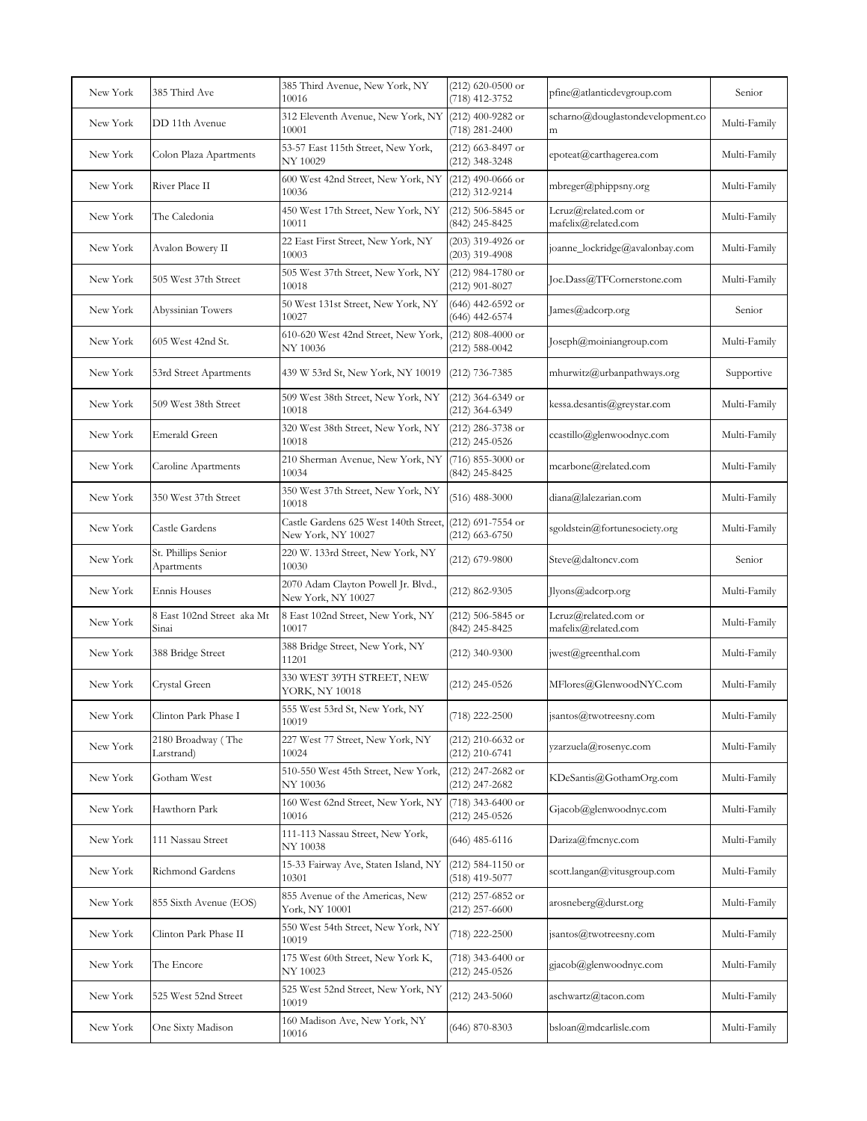| New York | 385 Third Ave                       | 385 Third Avenue, New York, NY<br>10016                      | $(212)$ 620-0500 or<br>(718) 412-3752     | pfine@atlanticdevgroup.com                  | Senior       |
|----------|-------------------------------------|--------------------------------------------------------------|-------------------------------------------|---------------------------------------------|--------------|
| New York | DD 11th Avenue                      | 312 Eleventh Avenue, New York, NY (212) 400-9282 or<br>10001 | (718) 281-2400                            | scharno@douglastondevelopment.co<br>m       | Multi-Family |
| New York | Colon Plaza Apartments              | 53-57 East 115th Street, New York,<br>NY 10029               | (212) 663-8497 or<br>$(212)$ 348-3248     | epoteat@carthagerea.com                     | Multi-Family |
| New York | River Place II                      | 600 West 42nd Street, New York, NY<br>10036                  | $(212)$ 490-0666 or<br>(212) 312-9214     | mbreger@phippsny.org                        | Multi-Family |
| New York | The Caledonia                       | 450 West 17th Street, New York, NY<br>10011                  | $(212)$ 506-5845 or<br>(842) 245-8425     | Lcruz@related.com or<br>mafelix@related.com | Multi-Family |
| New York | Avalon Bowery II                    | 22 East First Street, New York, NY<br>10003                  | (203) 319-4926 or<br>$(203)$ 319-4908     | joanne_lockridge@avalonbay.com              | Multi-Family |
| New York | 505 West 37th Street                | 505 West 37th Street, New York, NY<br>10018                  | $(212)$ 984-1780 or<br>$(212)$ 901-8027   | Joe.Dass@TFCornerstone.com                  | Multi-Family |
| New York | Abyssinian Towers                   | 50 West 131st Street, New York, NY<br>10027                  | $(646)$ 442-6592 or<br>$(646)$ 442-6574   | James@adcorp.org                            | Senior       |
| New York | 605 West 42nd St.                   | 610-620 West 42nd Street, New York,<br>NY 10036              | $(212)$ 808-4000 or<br>$(212) 588 - 0042$ | Joseph@moiniangroup.com                     | Multi-Family |
| New York | 53rd Street Apartments              | 439 W 53rd St, New York, NY 10019                            | $(212)$ 736-7385                          | mhurwitz@urbanpathways.org                  | Supportive   |
| New York | 509 West 38th Street                | 509 West 38th Street, New York, NY<br>10018                  | (212) 364-6349 or<br>(212) 364-6349       | kessa.desantis@greystar.com                 | Multi-Family |
| New York | Emerald Green                       | 320 West 38th Street, New York, NY<br>10018                  | $(212)$ 286-3738 or<br>$(212)$ 245-0526   | ccastillo@glenwoodnyc.com                   | Multi-Family |
| New York | Caroline Apartments                 | 210 Sherman Avenue, New York, NY<br>10034                    | $(716)$ 855-3000 or<br>(842) 245-8425     | mcarbone@related.com                        | Multi-Family |
| New York | 350 West 37th Street                | 350 West 37th Street, New York, NY<br>10018                  | $(516)$ 488-3000                          | diana@lalezarian.com                        | Multi-Family |
| New York | Castle Gardens                      | Castle Gardens 625 West 140th Street,<br>New York, NY 10027  | (212) 691-7554 or<br>$(212)$ 663-6750     | sgoldstein@fortunesociety.org               | Multi-Family |
| New York | St. Phillips Senior<br>Apartments   | 220 W. 133rd Street, New York, NY<br>10030                   | $(212)$ 679-9800                          | Steve@daltoncv.com                          | Senior       |
| New York | Ennis Houses                        | 2070 Adam Clayton Powell Jr. Blvd.,<br>New York, NY 10027    | $(212) 862 - 9305$                        | Jlyons@adcorp.org                           | Multi-Family |
| New York | 8 East 102nd Street aka Mt<br>Sinai | 8 East 102nd Street, New York, NY<br>10017                   | (212) 506-5845 or<br>(842) 245-8425       | Lcruz@related.com or<br>mafelix@related.com | Multi-Family |
| New York | 388 Bridge Street                   | 388 Bridge Street, New York, NY<br>11201                     | $(212)$ 340-9300                          | jwest@greenthal.com                         | Multi-Family |
| New York | Crystal Green                       | 330 WEST 39TH STREET, NEW<br>YORK, NY 10018                  | $(212)$ 245-0526                          | MFlores@GlenwoodNYC.com                     | Multi-Family |
| New York | Clinton Park Phase I                | 555 West 53rd St, New York, NY<br>10019                      | (718) 222-2500                            | jsantos@twotreesny.com                      | Multi-Family |
| New York | 2180 Broadway (The<br>Larstrand)    | 227 West 77 Street, New York, NY<br>10024                    | (212) 210-6632 or<br>(212) 210-6741       | yzarzuela@rosenyc.com                       | Multi-Family |
| New York | Gotham West                         | 510-550 West 45th Street, New York,<br>NY 10036              | $(212)$ 247-2682 or<br>$(212)$ 247-2682   | KDeSantis@GothamOrg.com                     | Multi-Family |
| New York | Hawthorn Park                       | 160 West 62nd Street, New York, NY<br>10016                  | $(718)$ 343-6400 or<br>$(212)$ 245-0526   | Gjacob@glenwoodnyc.com                      | Multi-Family |
| New York | 111 Nassau Street                   | 111-113 Nassau Street, New York,<br>NY 10038                 | (646) 485-6116                            | Dariza@fmcnyc.com                           | Multi-Family |
| New York | Richmond Gardens                    | 15-33 Fairway Ave, Staten Island, NY<br>10301                | $(212)$ 584-1150 or<br>$(518)$ 419-5077   | scott.langan@vitusgroup.com                 | Multi-Family |
| New York | 855 Sixth Avenue (EOS)              | 855 Avenue of the Americas, New<br>York, NY 10001            | $(212)$ 257-6852 or<br>$(212)$ 257-6600   | arosneberg@durst.org                        | Multi-Family |
| New York | Clinton Park Phase II               | 550 West 54th Street, New York, NY<br>10019                  | $(718)$ 222-2500                          | jsantos@twotreesny.com                      | Multi-Family |
| New York | The Encore                          | 175 West 60th Street, New York K,<br>NY 10023                | (718) 343-6400 or<br>$(212)$ 245-0526     | gjacob@glenwoodnyc.com                      | Multi-Family |
| New York | 525 West 52nd Street                | 525 West 52nd Street, New York, NY<br>10019                  | $(212)$ 243-5060                          | aschwartz@tacon.com                         | Multi-Family |
| New York | One Sixty Madison                   | 160 Madison Ave, New York, NY<br>10016                       | $(646)$ 870-8303                          | bsloan@mdcarlisle.com                       | Multi-Family |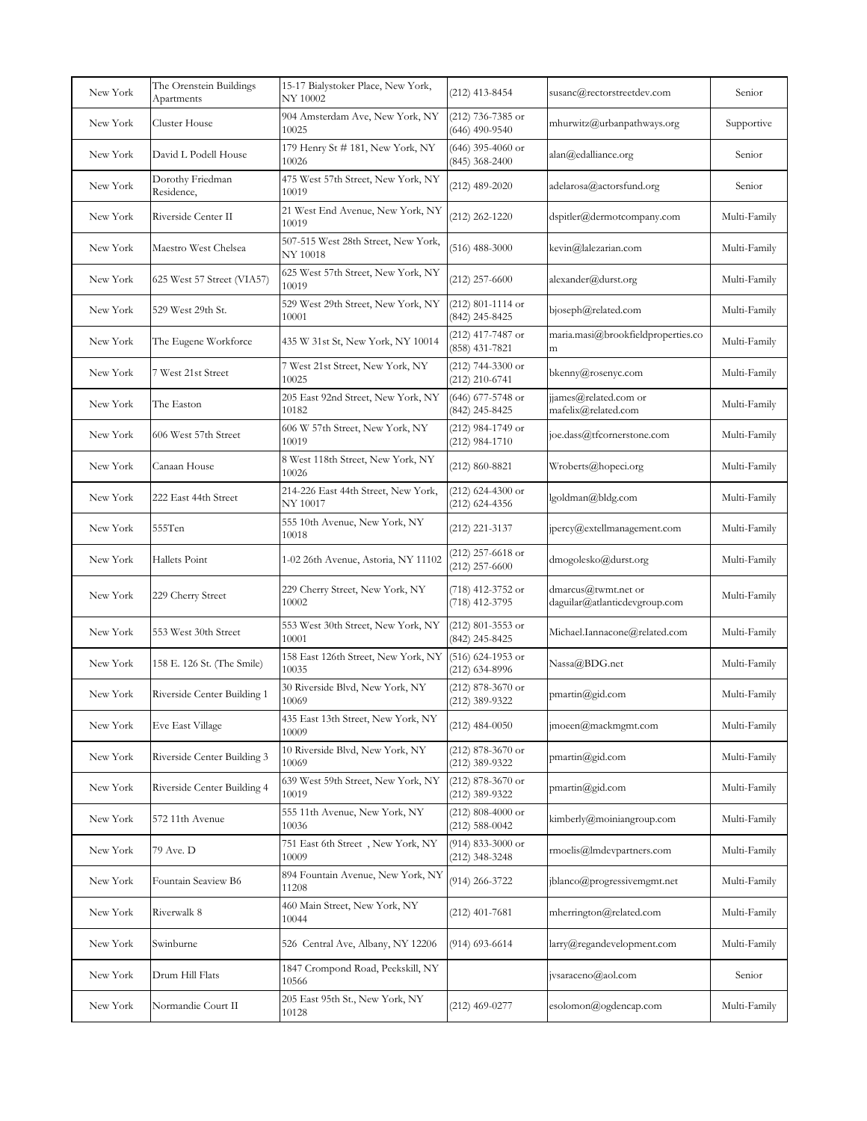| New York | The Orenstein Buildings<br>Apartments | 15-17 Bialystoker Place, New York,<br>NY 10002  | (212) 413-8454                            | susanc@rectorstreetdev.com                              | Senior       |
|----------|---------------------------------------|-------------------------------------------------|-------------------------------------------|---------------------------------------------------------|--------------|
| New York | Cluster House                         | 904 Amsterdam Ave, New York, NY<br>10025        | (212) 736-7385 or<br>$(646)$ 490-9540     | mhurwitz@urbanpathways.org                              | Supportive   |
| New York | David L Podell House                  | 179 Henry St # 181, New York, NY<br>10026       | $(646)$ 395-4060 or<br>$(845)$ 368-2400   | alan@edalliance.org                                     | Senior       |
| New York | Dorothy Friedman<br>Residence,        | 475 West 57th Street, New York, NY<br>10019     | $(212)$ 489-2020                          | adelarosa@actorsfund.org                                | Senior       |
| New York | Riverside Center II                   | 21 West End Avenue, New York, NY<br>10019       | $(212)$ 262-1220                          | dspitler@dermotcompany.com                              | Multi-Family |
| New York | Maestro West Chelsea                  | 507-515 West 28th Street, New York,<br>NY 10018 | $(516)$ 488-3000                          | kevin@lalezarian.com                                    | Multi-Family |
| New York | 625 West 57 Street (VIA57)            | 625 West 57th Street, New York, NY<br>10019     | $(212)$ 257-6600                          | alexander@durst.org                                     | Multi-Family |
| New York | 529 West 29th St.                     | 529 West 29th Street, New York, NY<br>10001     | $(212)$ 801-1114 or<br>(842) 245-8425     | bjoseph@related.com                                     | Multi-Family |
| New York | The Eugene Workforce                  | 435 W 31st St, New York, NY 10014               | (212) 417-7487 or<br>(858) 431-7821       | maria.masi@brookfieldproperties.co<br>m                 | Multi-Family |
| New York | 7 West 21st Street                    | 7 West 21st Street, New York, NY<br>10025       | $(212)$ 744-3300 or<br>$(212)$ 210-6741   | bkenny@rosenyc.com                                      | Multi-Family |
| New York | The Easton                            | 205 East 92nd Street, New York, NY<br>10182     | $(646)$ 677-5748 or<br>(842) 245-8425     | jjames@related.com or<br>mafelix@related.com            | Multi-Family |
| New York | 606 West 57th Street                  | 606 W 57th Street, New York, NY<br>10019        | (212) 984-1749 or<br>$(212)$ 984-1710     | joe.dass@tfcornerstone.com                              | Multi-Family |
| New York | Canaan House                          | 8 West 118th Street, New York, NY<br>10026      | (212) 860-8821                            | Wroberts@hopeci.org                                     | Multi-Family |
| New York | 222 East 44th Street                  | 214-226 East 44th Street, New York,<br>NY 10017 | $(212)$ 624-4300 or<br>$(212)$ 624-4356   | lgoldman@bldg.com                                       | Multi-Family |
| New York | 555Ten                                | 555 10th Avenue, New York, NY<br>10018          | (212) 221-3137                            | jpercy@extellmanagement.com                             | Multi-Family |
| New York | Hallets Point                         | 1-02 26th Avenue, Astoria, NY 11102             | (212) 257-6618 or<br>$(212)$ 257-6600     | dmogolesko@durst.org                                    | Multi-Family |
| New York | 229 Cherry Street                     | 229 Cherry Street, New York, NY<br>10002        | (718) 412-3752 or<br>(718) 412-3795       | $dmarcus@$ twmt.net or<br>daguilar@atlanticdevgroup.com | Multi-Family |
| New York | 553 West 30th Street                  | 553 West 30th Street, New York, NY<br>10001     | (212) 801-3553 or<br>(842) 245-8425       | Michael.Iannacone@related.com                           | Multi-Family |
| New York | 158 E. 126 St. (The Smile)            | 158 East 126th Street, New York, NY<br>10035    | $(516)$ 624-1953 or<br>(212) 634-8996     | Nassa@BDG.net                                           | Multi-Family |
| New York | Riverside Center Building 1           | 30 Riverside Blvd, New York, NY<br>10069        | (212) 878-3670 or<br>(212) 389-9322       | $pmartin(\partial gid.com)$                             | Multi-Family |
| New York | Eve East Village                      | 435 East 13th Street, New York, NY<br>10009     | $(212)$ 484-0050                          | jmoeen@mackmgmt.com                                     | Multi-Family |
| New York | Riverside Center Building 3           | 10 Riverside Blvd, New York, NY<br>10069        | $(212)$ 878-3670 or<br>$(212)$ 389-9322   | pmartin@gid.com                                         | Multi-Family |
| New York | Riverside Center Building 4           | 639 West 59th Street, New York, NY<br>10019     | $(212)$ 878-3670 or<br>(212) 389-9322     | pmartin@gid.com                                         | Multi-Family |
| New York | 572 11th Avenue                       | 555 11th Avenue, New York, NY<br>10036          | $(212)$ 808-4000 or<br>$(212) 588 - 0042$ | $kimberly@$ moiniangroup.com                            | Multi-Family |
| New York | 79 Ave. D                             | 751 East 6th Street, New York, NY<br>10009      | (914) 833-3000 or<br>$(212)$ 348-3248     | rmoelis@lmdevpartners.com                               | Multi-Family |
| New York | Fountain Seaview B6                   | 894 Fountain Avenue, New York, NY<br>11208      | (914) 266-3722                            | jblanco@progressivemgmt.net                             | Multi-Family |
| New York | Riverwalk 8                           | 460 Main Street, New York, NY<br>10044          | $(212)$ 401-7681                          | mherrington@related.com                                 | Multi-Family |
| New York | Swinburne                             | 526 Central Ave, Albany, NY 12206               | (914) 693-6614                            | larry@regandevelopment.com                              | Multi-Family |
| New York | Drum Hill Flats                       | 1847 Crompond Road, Peekskill, NY<br>10566      |                                           | jvsaraceno@aol.com                                      | Senior       |
| New York | Normandie Court II                    | 205 East 95th St., New York, NY<br>10128        | $(212)$ 469-0277                          | esolomon@ogdencap.com                                   | Multi-Family |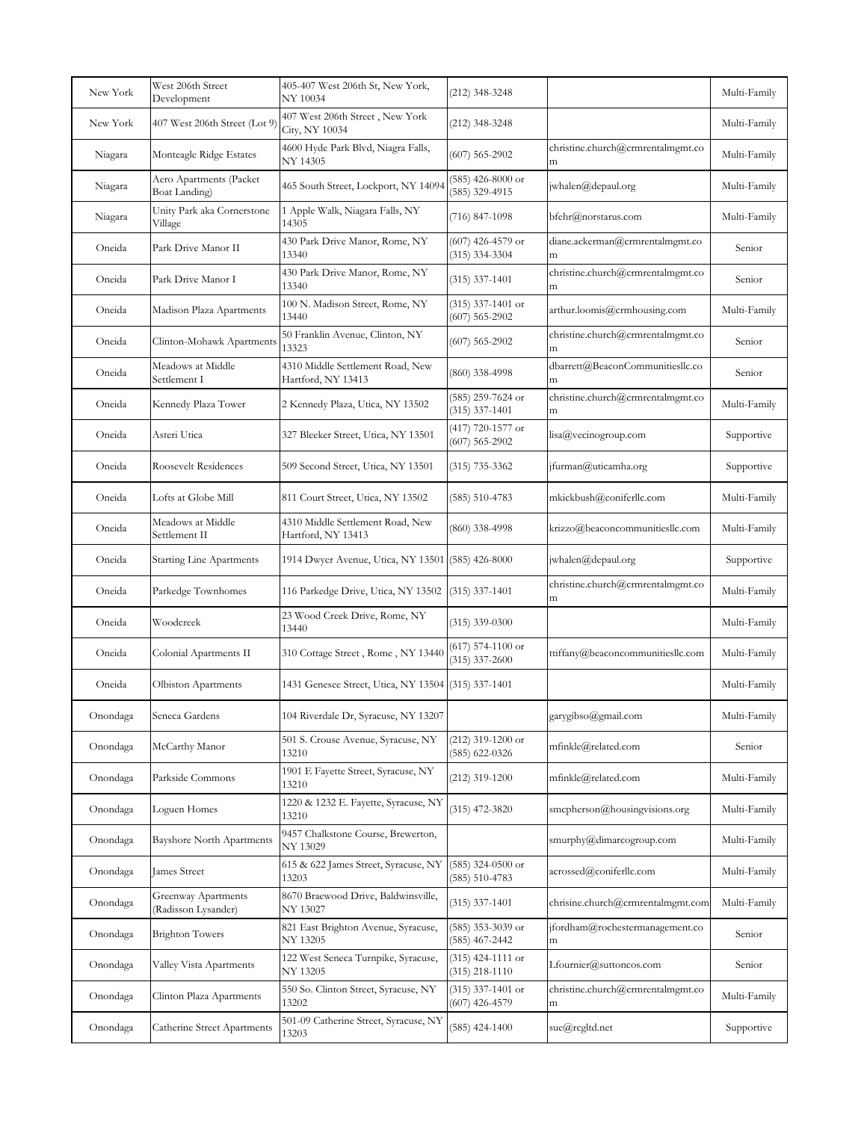| New York | West 206th Street<br>Development           | 405-407 West 206th St, New York,<br>NY 10034           | (212) 348-3248                            |                                        | Multi-Family |
|----------|--------------------------------------------|--------------------------------------------------------|-------------------------------------------|----------------------------------------|--------------|
| New York | 407 West 206th Street (Lot 9)              | 407 West 206th Street, New York<br>City, NY 10034      | (212) 348-3248                            |                                        | Multi-Family |
| Niagara  | Monteagle Ridge Estates                    | 4600 Hyde Park Blvd, Niagra Falls,<br>NY 14305         | $(607)$ 565-2902                          | christine.church@crmrentalmgmt.co<br>m | Multi-Family |
| Niagara  | Aero Apartments (Packet<br>Boat Landing)   | 465 South Street, Lockport, NY 14094                   | $(585)$ 426-8000 or<br>$(585)$ 329-4915   | jwhalen@depaul.org                     | Multi-Family |
| Niagara  | Unity Park aka Cornerstone<br>Village      | 1 Apple Walk, Niagara Falls, NY<br>14305               | $(716)$ 847-1098                          | bfehr@norstarus.com                    | Multi-Family |
| Oneida   | Park Drive Manor II                        | 430 Park Drive Manor, Rome, NY<br>13340                | $(607)$ 426-4579 or<br>$(315)$ 334-3304   | diane.ackerman@crmrentalmgmt.co<br>m   | Senior       |
| Oneida   | Park Drive Manor I                         | 430 Park Drive Manor, Rome, NY<br>13340                | $(315)$ 337-1401                          | christine.church@crmrentalmgmt.co<br>m | Senior       |
| Oneida   | Madison Plaza Apartments                   | 100 N. Madison Street, Rome, NY<br>13440               | $(315)$ 337-1401 or<br>$(607) 565 - 2902$ | arthur.loomis@crmhousing.com           | Multi-Family |
| Oneida   | Clinton-Mohawk Apartments                  | 50 Franklin Avenue, Clinton, NY<br>13323               | $(607)$ 565-2902                          | christine.church@crmrentalmgmt.co<br>m | Senior       |
| Oneida   | Meadows at Middle<br>Settlement I          | 4310 Middle Settlement Road, New<br>Hartford, NY 13413 | (860) 338-4998                            | dbarrett@BeaconCommunitiesllc.co<br>m  | Senior       |
| Oneida   | Kennedy Plaza Tower                        | 2 Kennedy Plaza, Utica, NY 13502                       | (585) 259-7624 or<br>$(315)$ 337-1401     | christine.church@crmrentalmgmt.co<br>m | Multi-Family |
| Oneida   | Asteri Utica                               | 327 Bleeker Street, Utica, NY 13501                    | (417) 720-1577 or<br>$(607)$ 565-2902     | lisa@vecinogroup.com                   | Supportive   |
| Oneida   | Roosevelt Residences                       | 509 Second Street, Utica, NY 13501                     | (315) 735-3362                            | jfurman@uticamha.org                   | Supportive   |
| Oneida   | Lofts at Globe Mill                        | 811 Court Street, Utica, NY 13502                      | $(585) 510 - 4783$                        | mkickbush@coniferllc.com               | Multi-Family |
| Oneida   | Meadows at Middle<br>Settlement II         | 4310 Middle Settlement Road, New<br>Hartford, NY 13413 | (860) 338-4998                            | krizzo@beaconcommunitiesllc.com        | Multi-Family |
| Oneida   | <b>Starting Line Apartments</b>            | 1914 Dwyer Avenue, Utica, NY 13501 (585) 426-8000      |                                           | jwhalen@depaul.org                     | Supportive   |
| Oneida   | Parkedge Townhomes                         | 116 Parkedge Drive, Utica, NY 13502 (315) 337-1401     |                                           | christine.church@crmrentalmgmt.co<br>m | Multi-Family |
| Oneida   | Woodcreek                                  | 23 Wood Creek Drive, Rome, NY<br>13440                 | $(315)$ 339-0300                          |                                        | Multi-Family |
| Oneida   | Colonial Apartments II                     | 310 Cottage Street, Rome, NY 13440                     | $(617)$ 574-1100 or<br>$(315)$ 337-2600   | ttiffany@beaconcommunitiesllc.com      | Multi-Family |
| Oneida   | Olbiston Apartments                        | 1431 Genesee Street, Utica, NY 13504 (315) 337-1401    |                                           |                                        | Multi-Family |
| Onondaga | Seneca Gardens                             | 104 Riverdale Dr, Syracuse, NY 13207                   |                                           | garygibso@gmail.com                    | Multi-Family |
| Onondaga | McCarthy Manor                             | 501 S. Crouse Avenue, Syracuse, NY<br>13210            | (212) 319-1200 or<br>$(585)$ 622-0326     | mfinkle@related.com                    | Senior       |
| Onondaga | Parkside Commons                           | 1901 E Fayette Street, Syracuse, NY<br>13210           | $(212)$ 319-1200                          | mfinkle@related.com                    | Multi-Family |
| Onondaga | Loguen Homes                               | 1220 & 1232 E. Fayette, Syracuse, NY<br>13210          | $(315)$ 472-3820                          | smcpherson@housingvisions.org          | Multi-Family |
| Onondaga | <b>Bayshore North Apartments</b>           | 9457 Chalkstone Course, Brewerton,<br>NY 13029         |                                           | smurphy@dimarcogroup.com               | Multi-Family |
| Onondaga | James Street                               | 615 & 622 James Street, Syracuse, NY<br>13203          | $(585)$ 324-0500 or<br>$(585) 510 - 4783$ | acrossed@coniferllc.com                | Multi-Family |
| Onondaga | Greenway Apartments<br>(Radisson Lysander) | 8670 Braewood Drive, Baldwinsville,<br>NY 13027        | $(315)$ 337-1401                          | chrisine.church@crmrentalmgmt.com      | Multi-Family |
| Onondaga | <b>Brighton Towers</b>                     | 821 East Brighton Avenue, Syracuse,<br>NY 13205        | (585) 353-3039 or<br>$(585)$ 467-2442     | jfordham@rochestermanagement.co<br>m   | Senior       |
| Onondaga | Valley Vista Apartments                    | 122 West Seneca Turnpike, Syracuse,<br>NY 13205        | $(315)$ 424-1111 or<br>$(315)$ 218-1110   | Lfournier@suttoncos.com                | Senior       |
| Onondaga | Clinton Plaza Apartments                   | 550 So. Clinton Street, Syracuse, NY<br>13202          | $(315)$ 337-1401 or<br>$(607)$ 426-4579   | christine.church@crmrentalmgmt.co<br>m | Multi-Family |
| Onondaga | Catherine Street Apartments                | 501-09 Catherine Street, Syracuse, NY<br>13203         | $(585)$ 424-1400                          | sue@rcgltd.net                         | Supportive   |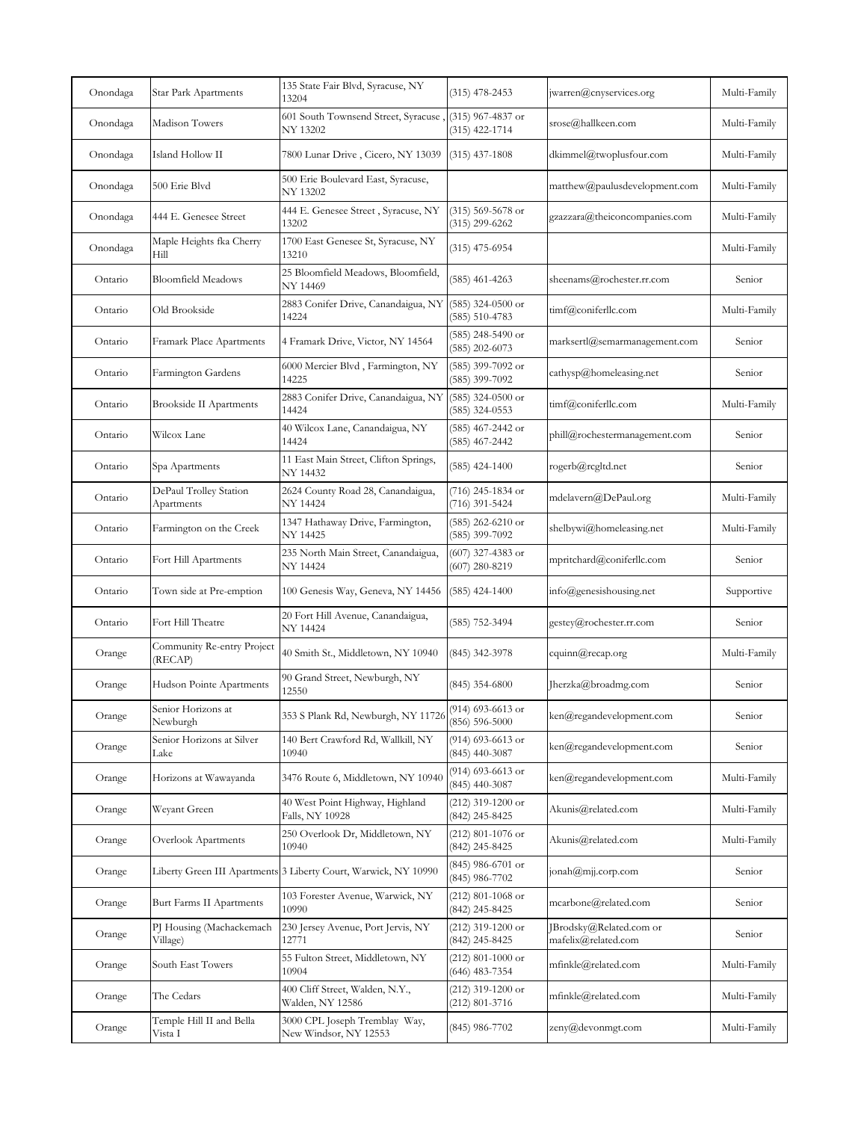| Onondaga | Star Park Apartments                  | 135 State Fair Blvd, Syracuse, NY<br>13204                                | $(315)$ 478-2453                          | jwarren@cnyservices.org                                               | Multi-Family |
|----------|---------------------------------------|---------------------------------------------------------------------------|-------------------------------------------|-----------------------------------------------------------------------|--------------|
| Onondaga | Madison Towers                        | 601 South Townsend Street, Syracuse, (315) 967-4837 or<br><b>NY 13202</b> | $(315)$ 422-1714                          | srose@hallkeen.com                                                    | Multi-Family |
| Onondaga | Island Hollow II                      | 7800 Lunar Drive, Cicero, NY 13039                                        | $(315)$ 437-1808                          | dkimmel@twoplusfour.com                                               | Multi-Family |
| Onondaga | 500 Erie Blvd                         | 500 Erie Boulevard East, Syracuse,<br>NY 13202                            |                                           | matthew@paulusdevelopment.com                                         | Multi-Family |
| Onondaga | 444 E. Genesee Street                 | 444 E. Genesee Street, Syracuse, NY<br>13202                              | $(315)$ 569-5678 or<br>$(315)$ 299-6262   | gzazzara@theiconcompanies.com                                         | Multi-Family |
| Onondaga | Maple Heights fka Cherry<br>Hill      | 1700 East Genesee St, Syracuse, NY<br>13210                               | (315) 475-6954                            |                                                                       | Multi-Family |
| Ontario  | <b>Bloomfield Meadows</b>             | 25 Bloomfield Meadows, Bloomfield,<br>NY 14469                            | (585) 461-4263                            | sheenams@rochester.rr.com                                             | Senior       |
| Ontario  | Old Brookside                         | 2883 Conifer Drive, Canandaigua, NY<br>14224                              | $(585)$ 324-0500 or<br>$(585) 510 - 4783$ | timf@coniferllc.com                                                   | Multi-Family |
| Ontario  | Framark Place Apartments              | 4 Framark Drive, Victor, NY 14564                                         | $(585)$ 248-5490 or<br>$(585)$ 202-6073   | marksertl@semarmanagement.com                                         | Senior       |
| Ontario  | Farmington Gardens                    | 6000 Mercier Blvd, Farmington, NY<br>14225                                | (585) 399-7092 or<br>(585) 399-7092       | cathysp@homeleasing.net                                               | Senior       |
| Ontario  | <b>Brookside II Apartments</b>        | 2883 Conifer Drive, Canandaigua, NY<br>14424                              | $(585)$ 324-0500 or<br>$(585)$ 324-0553   | timf@coniferllc.com                                                   | Multi-Family |
| Ontario  | Wilcox Lane                           | 40 Wilcox Lane, Canandaigua, NY<br>14424                                  | (585) 467-2442 or<br>(585) 467-2442       | phill@rochestermanagement.com                                         | Senior       |
| Ontario  | Spa Apartments                        | 11 East Main Street, Clifton Springs,<br>NY 14432                         | $(585)$ 424-1400                          | rogerb@rcgltd.net                                                     | Senior       |
| Ontario  | DePaul Trolley Station<br>Apartments  | 2624 County Road 28, Canandaigua,<br>NY 14424                             | (716) 245-1834 or<br>(716) 391-5424       | mdelavern@DePaul.org                                                  | Multi-Family |
| Ontario  | Farmington on the Creek               | 1347 Hathaway Drive, Farmington,<br>NY 14425                              | $(585)$ 262-6210 or<br>(585) 399-7092     | shelbywi@homeleasing.net                                              | Multi-Family |
| Ontario  | Fort Hill Apartments                  | 235 North Main Street, Canandaigua,<br>NY 14424                           | $(607)$ 327-4383 or<br>$(607)$ 280-8219   | mpritchard@coniferllc.com                                             | Senior       |
| Ontario  | Town side at Pre-emption              | 100 Genesis Way, Geneva, NY 14456                                         | $(585)$ 424-1400                          | info@genesishousing.net                                               | Supportive   |
| Ontario  | Fort Hill Theatre                     | 20 Fort Hill Avenue, Canandaigua,<br>NY 14424                             | (585) 752-3494                            | gestey@rochester.rr.com                                               | Senior       |
| Orange   | Community Re-entry Project<br>(RECAP) | 40 Smith St., Middletown, NY 10940                                        | (845) 342-3978                            | cquinn@recap.org                                                      | Multi-Family |
| Orange   | Hudson Pointe Apartments              | 90 Grand Street, Newburgh, NY<br>12550                                    | $(845)$ 354-6800                          | Jherzka@broadmg.com                                                   | Senior       |
| Orange   | Senior Horizons at<br>Newburgh        | 353 S Plank Rd, Newburgh, NY 11726                                        | (914) 693-6613 or<br>$(856) 596 - 5000$   | ken@regandevelopment.com                                              | Senior       |
| Orange   | Senior Horizons at Silver<br>Lake     | 140 Bert Crawford Rd, Wallkill, NY<br>10940                               | (914) 693-6613 or<br>$(845)$ 440-3087     | ken@regandevelopment.com                                              | Senior       |
| Orange   | Horizons at Wawayanda                 | 3476 Route 6, Middletown, NY 10940                                        | (914) 693-6613 or<br>$(845)$ 440-3087     | ken@regandevelopment.com                                              | Multi-Family |
| Orange   | Weyant Green                          | 40 West Point Highway, Highland<br>Falls, NY 10928                        | $(212)$ 319-1200 or<br>(842) 245-8425     | Akunis@related.com                                                    | Multi-Family |
| Orange   | Overlook Apartments                   | 250 Overlook Dr, Middletown, NY<br>10940                                  | $(212)$ 801-1076 or<br>(842) 245-8425     | Akunis@related.com                                                    | Multi-Family |
| Orange   |                                       | Liberty Green III Apartments 3 Liberty Court, Warwick, NY 10990           | (845) 986-6701 or<br>(845) 986-7702       | $\lceil \text{onah}(\mathcal{Q}\text{m}\rceil) \cdot \text{corp.com}$ | Senior       |
| Orange   | Burt Farms II Apartments              | 103 Forester Avenue, Warwick, NY<br>10990                                 | $(212)$ 801-1068 or<br>(842) 245-8425     | mcarbone@related.com                                                  | Senior       |
| Orange   | PJ Housing (Machackemach<br>Village)  | 230 Jersey Avenue, Port Jervis, NY<br>12771                               | (212) 319-1200 or<br>(842) 245-8425       | JBrodsky@Related.com or<br>mafelix@related.com                        | Senior       |
| Orange   | South East Towers                     | 55 Fulton Street, Middletown, NY<br>10904                                 | $(212)$ 801-1000 or<br>$(646)$ 483-7354   | mfinkle@related.com                                                   | Multi-Family |
| Orange   | The Cedars                            | 400 Cliff Street, Walden, N.Y.,<br>Walden, NY 12586                       | (212) 319-1200 or<br>(212) 801-3716       | mfinkle@related.com                                                   | Multi-Family |
| Orange   | Temple Hill II and Bella<br>Vista I   | 3000 CPL Joseph Tremblay Way,<br>New Windsor, NY 12553                    | (845) 986-7702                            | zeny@devonmgt.com                                                     | Multi-Family |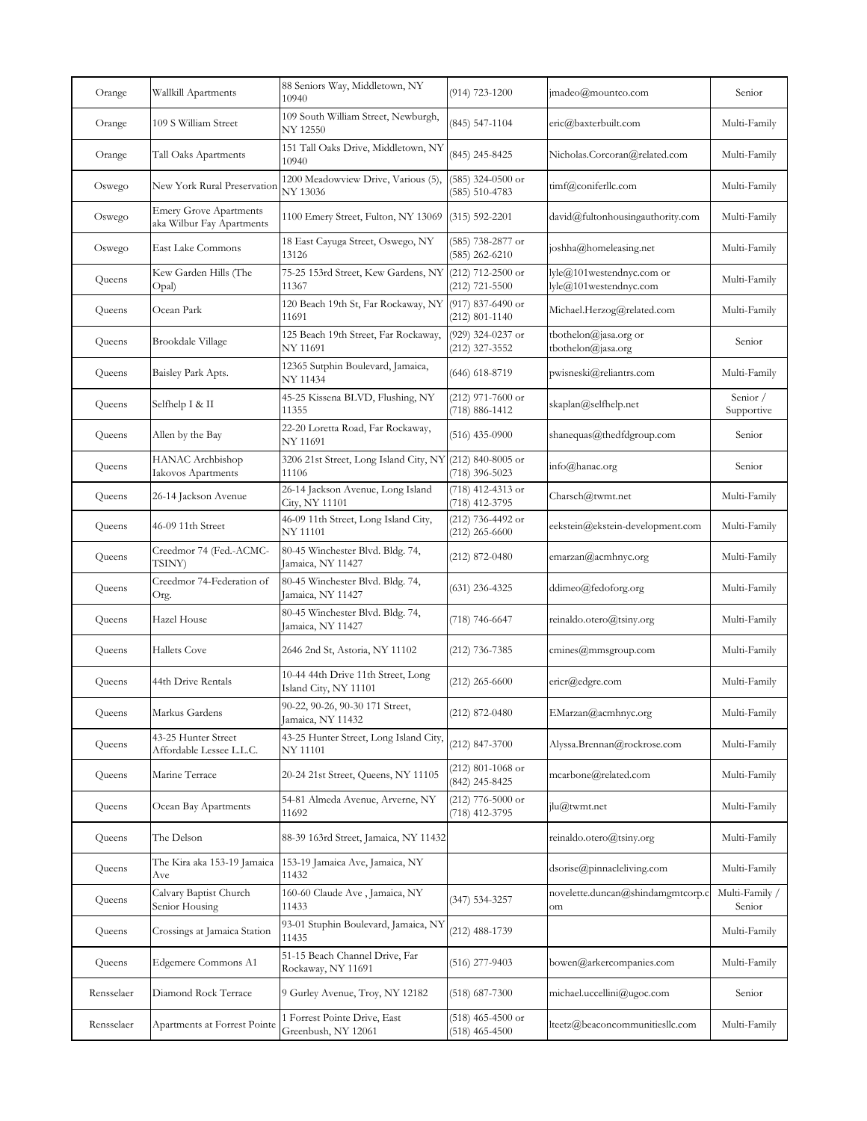| Orange     | Wallkill Apartments                                        | 88 Seniors Way, Middletown, NY<br>10940                           | $(914)$ 723-1200                          | jmadeo@mountco.com                                  | Senior                   |
|------------|------------------------------------------------------------|-------------------------------------------------------------------|-------------------------------------------|-----------------------------------------------------|--------------------------|
| Orange     | 109 S William Street                                       | 109 South William Street, Newburgh,<br>NY 12550                   | $(845)$ 547-1104                          | eric@baxterbuilt.com                                | Multi-Family             |
| Orange     | Tall Oaks Apartments                                       | 151 Tall Oaks Drive, Middletown, NY<br>10940                      | (845) 245-8425                            | Nicholas.Corcoran@related.com                       | Multi-Family             |
| Oswego     | New York Rural Preservation                                | 1200 Meadowview Drive, Various (5),<br>NY 13036                   | $(585)$ 324-0500 or<br>$(585) 510 - 4783$ | timf@coniferllc.com                                 | Multi-Family             |
| Oswego     | <b>Emery Grove Apartments</b><br>aka Wilbur Fay Apartments | 1100 Emery Street, Fulton, NY 13069                               | $(315) 592 - 2201$                        | david@fultonhousingauthority.com                    | Multi-Family             |
| Oswego     | East Lake Commons                                          | 18 East Cayuga Street, Oswego, NY<br>13126                        | (585) 738-2877 or<br>$(585)$ 262-6210     | joshha@homeleasing.net                              | Multi-Family             |
| Queens     | Kew Garden Hills (The<br>Opal)                             | 75-25 153rd Street, Kew Gardens, NY (212) 712-2500 or<br>11367    | $(212)$ 721-5500                          | lyle@101westendnyc.com or<br>lyle@101westendnyc.com | Multi-Family             |
| Queens     | Ocean Park                                                 | 120 Beach 19th St, Far Rockaway, NY (917) 837-6490 or<br>11691    | $(212) 801 - 1140$                        | Michael.Herzog@related.com                          | Multi-Family             |
| Queens     | Brookdale Village                                          | 125 Beach 19th Street, Far Rockaway,<br>NY 11691                  | (929) 324-0237 or<br>(212) 327-3552       | tbothelon@jasa.org or<br>tbothelon@jasa.org         | Senior                   |
| Queens     | Baisley Park Apts.                                         | 12365 Sutphin Boulevard, Jamaica,<br>NY 11434                     | (646) 618-8719                            | pwisneski@reliantrs.com                             | Multi-Family             |
| Queens     | Selfhelp I & II                                            | 45-25 Kissena BLVD, Flushing, NY<br>11355                         | $(212)$ 971-7600 or<br>(718) 886-1412     | skaplan@selfhelp.net                                | Senior /<br>Supportive   |
| Queens     | Allen by the Bay                                           | 22-20 Loretta Road, Far Rockaway,<br><b>NY 11691</b>              | $(516)$ 435-0900                          | shanequas@thedfdgroup.com                           | Senior                   |
| Queens     | HANAC Archbishop<br>Iakovos Apartments                     | 3206 21st Street, Long Island City, NY (212) 840-8005 or<br>11106 | (718) 396-5023                            | info@hanac.org                                      | Senior                   |
| Queens     | 26-14 Jackson Avenue                                       | 26-14 Jackson Avenue, Long Island<br>City, NY 11101               | (718) 412-4313 or<br>(718) 412-3795       | Charsch@twmt.net                                    | Multi-Family             |
| Queens     | 46-09 11th Street                                          | 46-09 11th Street, Long Island City,<br>NY 11101                  | (212) 736-4492 or<br>$(212)$ 265-6600     | eekstein@ekstein-development.com                    | Multi-Family             |
| Queens     | Creedmor 74 (Fed.-ACMC-<br>TSINY)                          | 80-45 Winchester Blvd. Bldg. 74,<br>Jamaica, NY 11427             | $(212)$ 872-0480                          | emarzan@acmhnyc.org                                 | Multi-Family             |
| Queens     | Creedmor 74-Federation of<br>Org.                          | 80-45 Winchester Blvd. Bldg. 74,<br>Jamaica, NY 11427             | $(631)$ 236-4325                          | ddimeo@fedoforg.org                                 | Multi-Family             |
| Queens     | Hazel House                                                | 80-45 Winchester Blvd. Bldg. 74,<br>Jamaica, NY 11427             | (718) 746-6647                            | reinaldo.otero@tsiny.org                            | Multi-Family             |
| Queens     | <b>Hallets Cove</b>                                        | 2646 2nd St, Astoria, NY 11102                                    | (212) 736-7385                            | cmines@mmsgroup.com                                 | Multi-Family             |
| Queens     | 44th Drive Rentals                                         | 10-44 44th Drive 11th Street, Long<br>Island City, NY 11101       | $(212)$ 265-6600                          | ericr@edgre.com                                     | Multi-Family             |
| Queens     | Markus Gardens                                             | 90-22, 90-26, 90-30 171 Street,<br>Jamaica, NY 11432              | $(212) 872 - 0480$                        | EMarzan@acmhnyc.org                                 | Multi-Family             |
| Queens     | 43-25 Hunter Street<br>Affordable Lessee L.L.C.            | 43-25 Hunter Street, Long Island City,<br>NY 11101                | (212) 847-3700                            | Alyssa.Brennan@rockrose.com                         | Multi-Family             |
| Queens     | Marine Terrace                                             | 20-24 21st Street, Queens, NY 11105                               | $(212)$ 801-1068 or<br>(842) 245-8425     | mcarbone@related.com                                | Multi-Family             |
| Queens     | Ocean Bay Apartments                                       | 54-81 Almeda Avenue, Arverne, NY<br>11692                         | $(212)$ 776-5000 or<br>(718) 412-3795     | jlu@twmt.net                                        | Multi-Family             |
| Queens     | The Delson                                                 | 88-39 163rd Street, Jamaica, NY 11432                             |                                           | reinaldo.otero@tsiny.org                            | Multi-Family             |
| Queens     | The Kira aka 153-19 Jamaica<br>Ave                         | 153-19 Jamaica Ave, Jamaica, NY<br>11432                          |                                           | dsorise@pinnacleliving.com                          | Multi-Family             |
| Queens     | Calvary Baptist Church<br>Senior Housing                   | 160-60 Claude Ave, Jamaica, NY<br>11433                           | $(347) 534 - 3257$                        | novelette.duncan@shindamgmtcorp.c<br>om             | Multi-Family /<br>Senior |
| Queens     | Crossings at Jamaica Station                               | 93-01 Stuphin Boulevard, Jamaica, NY<br>11435                     | (212) 488-1739                            |                                                     | Multi-Family             |
| Queens     | Edgemere Commons A1                                        | 51-15 Beach Channel Drive, Far<br>Rockaway, NY 11691              | $(516)$ 277-9403                          | bowen@arkercompanies.com                            | Multi-Family             |
| Rensselaer | Diamond Rock Terrace                                       | 9 Gurley Avenue, Troy, NY 12182                                   | (518) 687-7300                            | michael.uccellini@ugoc.com                          | Senior                   |
| Rensselaer | Apartments at Forrest Pointe                               | Forrest Pointe Drive, East<br>Greenbush, NY 12061                 | $(518)$ 465-4500 or<br>$(518)$ 465-4500   | lteetz@beaconcommunitiesllc.com                     | Multi-Family             |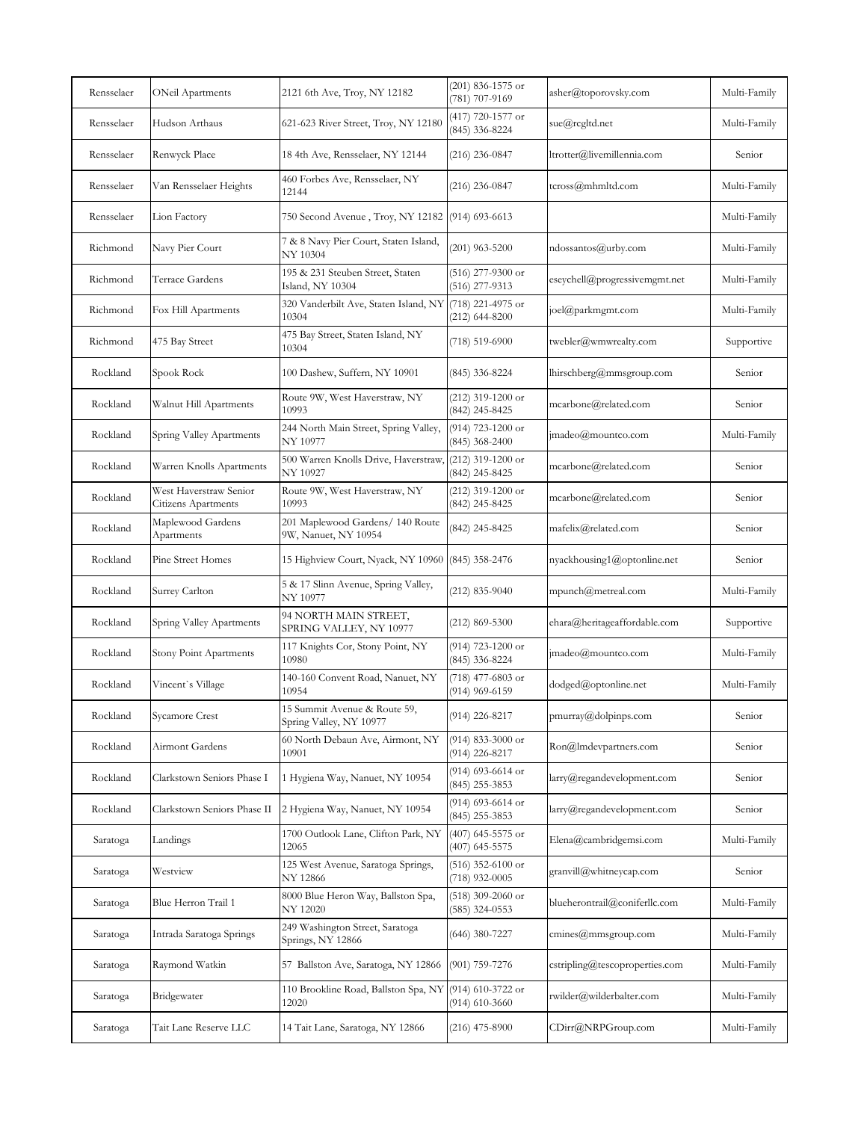| Rensselaer | ONeil Apartments                              | 2121 6th Ave, Troy, NY 12182                                     | $(201)$ 836-1575 or<br>(781) 707-9169   | asher@toporovsky.com           | Multi-Family |
|------------|-----------------------------------------------|------------------------------------------------------------------|-----------------------------------------|--------------------------------|--------------|
| Rensselaer | Hudson Arthaus                                | 621-623 River Street, Troy, NY 12180                             | (417) 720-1577 or<br>(845) 336-8224     | sue@rcgltd.net                 | Multi-Family |
| Rensselaer | Renwyck Place                                 | 18 4th Ave, Rensselaer, NY 12144                                 | $(216)$ 236-0847                        | ltrotter@livemillennia.com     | Senior       |
| Rensselaer | Van Rensselaer Heights                        | 460 Forbes Ave, Rensselaer, NY<br>12144                          | $(216)$ 236-0847                        | tcross@mhmltd.com              | Multi-Family |
| Rensselaer | Lion Factory                                  | 750 Second Avenue, Troy, NY 12182                                | $(914)$ 693-6613                        |                                | Multi-Family |
| Richmond   | Navy Pier Court                               | 7 & 8 Navy Pier Court, Staten Island,<br>NY 10304                | $(201)$ 963-5200                        | ndossantos@urby.com            | Multi-Family |
| Richmond   | Terrace Gardens                               | 195 & 231 Steuben Street, Staten<br>Island, NY 10304             | (516) 277-9300 or<br>(516) 277-9313     | eseychell@progressivemgmt.net  | Multi-Family |
| Richmond   | Fox Hill Apartments                           | 320 Vanderbilt Ave, Staten Island, NY (718) 221-4975 or<br>10304 | $(212) 644 - 8200$                      | joel@parkmgmt.com              | Multi-Family |
| Richmond   | 475 Bay Street                                | 475 Bay Street, Staten Island, NY<br>10304                       | $(718) 519 - 6900$                      | twebler@wmwrealty.com          | Supportive   |
| Rockland   | Spook Rock                                    | 100 Dashew, Suffern, NY 10901                                    | (845) 336-8224                          | lhirschberg@mmsgroup.com       | Senior       |
| Rockland   | Walnut Hill Apartments                        | Route 9W, West Haverstraw, NY<br>10993                           | $(212)$ 319-1200 or<br>(842) 245-8425   | mcarbone@related.com           | Senior       |
| Rockland   | Spring Valley Apartments                      | 244 North Main Street, Spring Valley,<br>NY 10977                | (914) 723-1200 or<br>$(845)$ 368-2400   | $imadeo(\theta)$ mountco.com   | Multi-Family |
| Rockland   | Warren Knolls Apartments                      | 500 Warren Knolls Drive, Haverstraw,<br>NY 10927                 | (212) 319-1200 or<br>(842) 245-8425     | mcarbone@related.com           | Senior       |
| Rockland   | West Haverstraw Senior<br>Citizens Apartments | Route 9W, West Haverstraw, NY<br>10993                           | $(212)$ 319-1200 or<br>(842) 245-8425   | mcarbone@related.com           | Senior       |
| Rockland   | Maplewood Gardens<br>Apartments               | 201 Maplewood Gardens/ 140 Route<br>9W, Nanuet, NY 10954         | (842) 245-8425                          | mafelix@related.com            | Senior       |
| Rockland   | Pine Street Homes                             | 15 Highview Court, Nyack, NY 10960 (845) 358-2476                |                                         | nyackhousing1@optonline.net    | Senior       |
| Rockland   | Surrey Carlton                                | 5 & 17 Slinn Avenue, Spring Valley,<br>NY 10977                  | $(212)$ 835-9040                        | mpunch@metreal.com             | Multi-Family |
| Rockland   | Spring Valley Apartments                      | 94 NORTH MAIN STREET,<br>SPRING VALLEY, NY 10977                 | $(212) 869 - 5300$                      | ehara@heritageaffordable.com   | Supportive   |
| Rockland   | Stony Point Apartments                        | 117 Knights Cor, Stony Point, NY<br>10980                        | (914) 723-1200 or<br>(845) 336-8224     | jmadeo@mountco.com             | Multi-Family |
| Rockland   | Vincent`s Village                             | 140-160 Convent Road, Nanuet, NY<br>10954                        | (718) 477-6803 or<br>(914) 969-6159     | dodged@optonline.net           | Multi-Family |
| Rockland   | Sycamore Crest                                | 15 Summit Avenue & Route 59,<br>Spring Valley, NY 10977          | $(914)$ 226-8217                        | pmurray@dolpinps.com           | Senior       |
| Rockland   | Airmont Gardens                               | 60 North Debaun Ave, Airmont, NY<br>10901                        | (914) 833-3000 or<br>(914) 226-8217     | Ron@Imdevpartners.com          | Senior       |
| Rockland   | Clarkstown Seniors Phase I                    | 1 Hygiena Way, Nanuet, NY 10954                                  | (914) 693-6614 or<br>$(845)$ 255-3853   | larry@regandevelopment.com     | Senior       |
| Rockland   | Clarkstown Seniors Phase II                   | 2 Hygiena Way, Nanuet, NY 10954                                  | (914) 693-6614 or<br>$(845)$ 255-3853   | $larrow@$ regandevelopment.com | Senior       |
| Saratoga   | Landings                                      | 1700 Outlook Lane, Clifton Park, NY<br>12065                     | $(407)$ 645-5575 or<br>$(407)$ 645-5575 | Elena@cambridgemsi.com         | Multi-Family |
| Saratoga   | Westview                                      | 125 West Avenue, Saratoga Springs,<br>NY 12866                   | $(516)$ 352-6100 or<br>$(718)$ 932-0005 | granvill@whitneycap.com        | Senior       |
| Saratoga   | Blue Herron Trail 1                           | 8000 Blue Heron Way, Ballston Spa,<br>NY 12020                   | $(518)$ 309-2060 or<br>(585) 324-0553   | blueherontrail@coniferllc.com  | Multi-Family |
| Saratoga   | Intrada Saratoga Springs                      | 249 Washington Street, Saratoga<br>Springs, NY 12866             | (646) 380-7227                          | cmines@mmsgroup.com            | Multi-Family |
| Saratoga   | Raymond Watkin                                | 57 Ballston Ave, Saratoga, NY 12866                              | $(901)$ 759-7276                        | cstripling@tescoproperties.com | Multi-Family |
| Saratoga   | Bridgewater                                   | 110 Brookline Road, Ballston Spa, NY<br>12020                    | $(914)$ 610-3722 or<br>$(914)$ 610-3660 | rwilder@wilderbalter.com       | Multi-Family |
| Saratoga   | Tait Lane Reserve LLC                         | 14 Tait Lane, Saratoga, NY 12866                                 | $(216)$ 475-8900                        | CDirr@NRPGroup.com             | Multi-Family |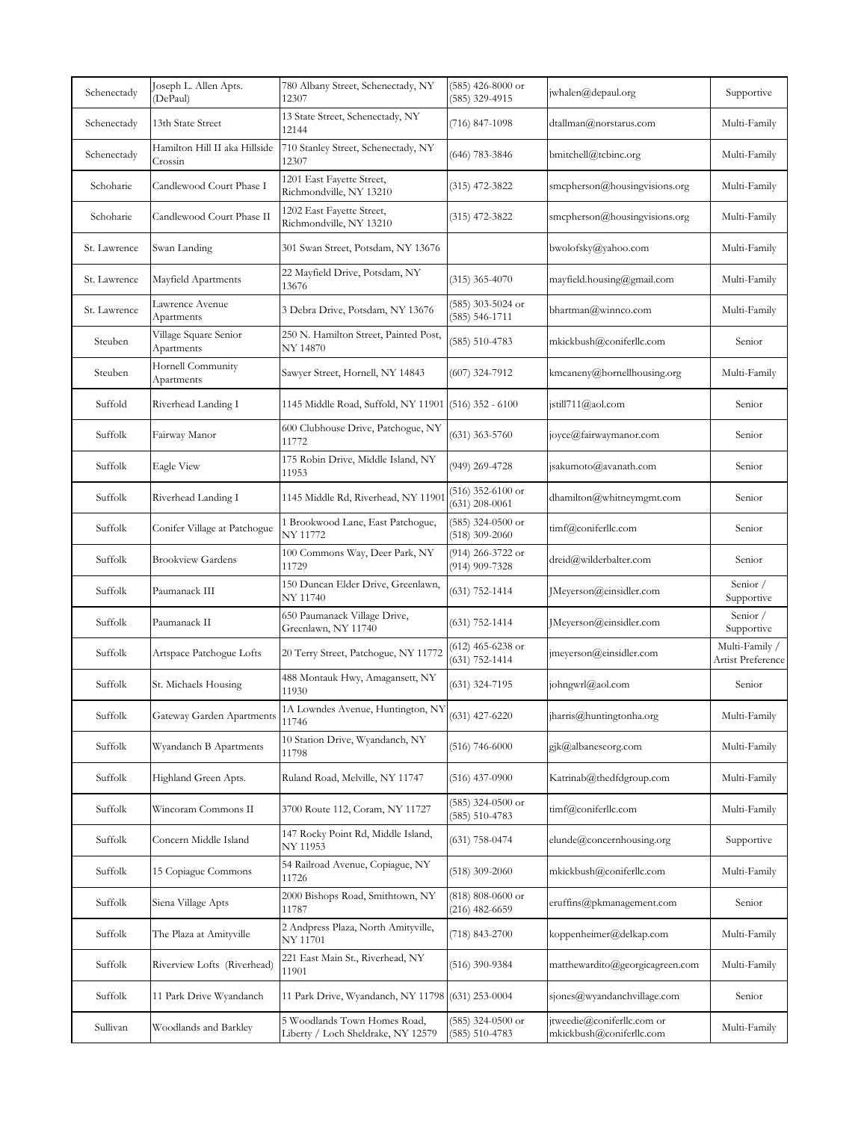| Schenectady  | Joseph L. Allen Apts.<br>DePaul)         | 780 Albany Street, Schenectady, NY<br>12307                        | $(585)$ 426-8000 or<br>(585) 329-4915     | jwhalen@depaul.org                                     | Supportive                          |
|--------------|------------------------------------------|--------------------------------------------------------------------|-------------------------------------------|--------------------------------------------------------|-------------------------------------|
| Schenectady  | 13th State Street                        | 13 State Street, Schenectady, NY<br>12144                          | (716) 847-1098                            | dtallman@norstarus.com                                 | Multi-Family                        |
| Schenectady  | Hamilton Hill II aka Hillside<br>Crossin | 710 Stanley Street, Schenectady, NY<br>12307                       | (646) 783-3846                            | bmitchell@tcbinc.org                                   | Multi-Family                        |
| Schoharie    | Candlewood Court Phase I                 | 1201 East Fayette Street,<br>Richmondville, NY 13210               | (315) 472-3822                            | smcpherson@housingvisions.org                          | Multi-Family                        |
| Schoharie    | Candlewood Court Phase II                | 1202 East Fayette Street,<br>Richmondville, NY 13210               | (315) 472-3822                            | smcpherson@housingvisions.org                          | Multi-Family                        |
| St. Lawrence | Swan Landing                             | 301 Swan Street, Potsdam, NY 13676                                 |                                           | bwolofsky@yahoo.com                                    | Multi-Family                        |
| St. Lawrence | Mayfield Apartments                      | 22 Mayfield Drive, Potsdam, NY<br>13676                            | $(315)$ 365-4070                          | mayfield.housing@gmail.com                             | Multi-Family                        |
| St. Lawrence | Lawrence Avenue<br>Apartments            | 3 Debra Drive, Potsdam, NY 13676                                   | (585) 303-5024 or<br>(585) 546-1711       | bhartman@winnco.com                                    | Multi-Family                        |
| Steuben      | Village Square Senior<br>Apartments      | 250 N. Hamilton Street, Painted Post,<br>NY 14870                  | $(585) 510 - 4783$                        | mkickbush@coniferllc.com                               | Senior                              |
| Steuben      | Hornell Community<br>Apartments          | Sawyer Street, Hornell, NY 14843                                   | (607) 324-7912                            | kmcaneny@hornellhousing.org                            | Multi-Family                        |
| Suffold      | Riverhead Landing I                      | 1145 Middle Road, Suffold, NY 11901                                | $(516)$ 352 - 6100                        | jstill711@aol.com                                      | Senior                              |
| Suffolk      | Fairway Manor                            | 600 Clubhouse Drive, Patchogue, NY<br>11772                        | $(631)$ 363-5760                          | joyce@fairwaymanor.com                                 | Senior                              |
| Suffolk      | <b>Eagle View</b>                        | 175 Robin Drive, Middle Island, NY<br>11953                        | (949) 269-4728                            | jsakumoto@avanath.com                                  | Senior                              |
| Suffolk      | Riverhead Landing I                      | 1145 Middle Rd, Riverhead, NY 1190                                 | $(516)$ 352-6100 or<br>$(631)$ 208-0061   | dhamilton@whitneymgmt.com                              | Senior                              |
| Suffolk      | Conifer Village at Patchogue             | 1 Brookwood Lane, East Patchogue,<br>NY 11772                      | $(585)$ 324-0500 or<br>$(518)$ 309-2060   | timf@coniferllc.com                                    | Senior                              |
| Suffolk      | <b>Brookview Gardens</b>                 | 100 Commons Way, Deer Park, NY<br>11729                            | (914) 266-3722 or<br>(914) 909-7328       | dreid@wilderbalter.com                                 | Senior                              |
| Suffolk      | Paumanack III                            | 150 Duncan Elder Drive, Greenlawn,<br>NY 11740                     | (631) 752-1414                            | JMeyerson@einsidler.com                                | Senior /<br>Supportive              |
| Suffolk      | Paumanack II                             | 650 Paumanack Village Drive,<br>Greenlawn, NY 11740                | $(631) 752 - 1414$                        | Meyerson@einsidler.com                                 | Senior /<br>Supportive              |
| Suffolk      | Artspace Patchogue Lofts                 | 20 Terry Street, Patchogue, NY 11772                               | (612) 465-6238 or<br>$(631) 752 - 1414$   | imeyerson@einsidler.com                                | Multi-Family /<br>Artist Preference |
| Suffolk      | St. Michaels Housing                     | 488 Montauk Hwy, Amagansett, NY<br>11930                           | $(631)$ 324-7195                          | johngwrl@aol.com                                       | Senior                              |
| Suffolk      | Gateway Garden Apartments                | 1A Lowndes Avenue, Huntington, NY<br>11746                         | $(631)$ 427-6220                          | iharris@huntingtonha.org                               | Multi-Family                        |
| Suffolk      | Wyandanch B Apartments                   | 10 Station Drive, Wyandanch, NY<br>11798                           | $(516)$ 746-6000                          | gjk@albaneseorg.com                                    | Multi-Family                        |
| Suffolk      | Highland Green Apts.                     | Ruland Road, Melville, NY 11747                                    | $(516)$ 437-0900                          | Katrinab@thedfdgroup.com                               | Multi-Family                        |
| Suffolk      | Wincoram Commons II                      | 3700 Route 112, Coram, NY 11727                                    | (585) 324-0500 or<br>$(585) 510 - 4783$   | timf@coniferllc.com                                    | Multi-Family                        |
| Suffolk      | Concern Middle Island                    | 147 Rocky Point Rd, Middle Island,<br>NY 11953                     | $(631)$ 758-0474                          | elunde@concernhousing.org                              | Supportive                          |
| Suffolk      | 15 Copiague Commons                      | 54 Railroad Avenue, Copiague, NY<br>11726                          | $(518)$ 309-2060                          | mkickbush@coniferllc.com                               | Multi-Family                        |
| Suffolk      | Siena Village Apts                       | 2000 Bishops Road, Smithtown, NY<br>11787                          | $(818) 808 - 0600$ or<br>$(216)$ 482-6659 | eruffins@pkmanagement.com                              | Senior                              |
| Suffolk      | The Plaza at Amityville                  | 2 Andpress Plaza, North Amityville,<br>NY 11701                    | $(718)$ 843-2700                          | koppenheimer@delkap.com                                | Multi-Family                        |
| Suffolk      | Riverview Lofts (Riverhead)              | 221 East Main St., Riverhead, NY<br>11901                          | $(516)$ 390-9384                          | matthewardito@georgicagreen.com                        | Multi-Family                        |
| Suffolk      | 11 Park Drive Wyandanch                  | 11 Park Drive, Wyandanch, NY 11798                                 | $(631)$ 253-0004                          | sjones@wyandanchvillage.com                            | Senior                              |
| Sullivan     | Woodlands and Barkley                    | 5 Woodlands Town Homes Road,<br>Liberty / Loch Sheldrake, NY 12579 | (585) 324-0500 or<br>$(585) 510 - 4783$   | itweedie@coniferllc.com or<br>mkickbush@coniferllc.com | Multi-Family                        |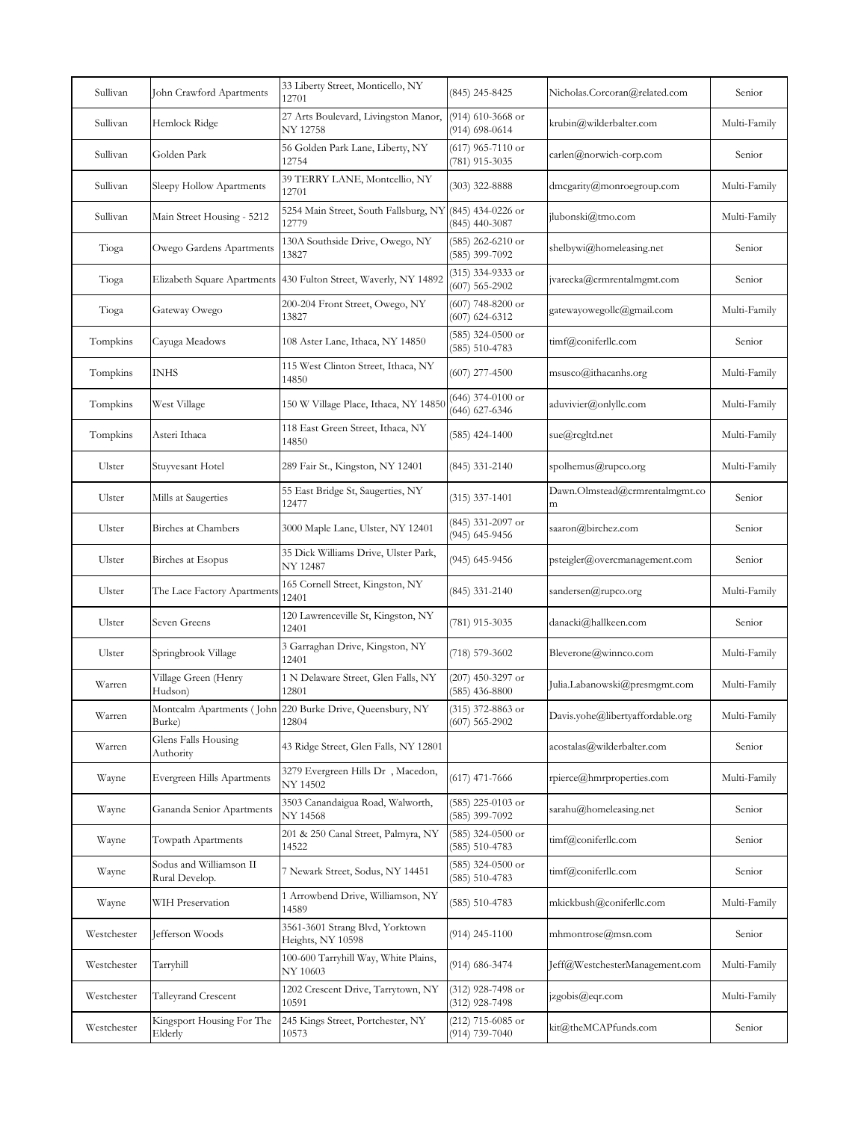| 27 Arts Boulevard, Livingston Manor,<br>$(914)$ 610-3668 or<br>Sullivan<br>Hemlock Ridge<br>krubin@wilderbalter.com<br>Multi-Family<br>$(914) 698 - 0614$<br>NY 12758<br>$(617)$ 965-7110 or<br>56 Golden Park Lane, Liberty, NY<br>Golden Park<br>Sullivan<br>carlen@norwich-corp.com<br>Senior<br>(781) 915-3035<br>12754<br>39 TERRY LANE, Montcellio, NY<br>Sullivan<br>$(303)$ 322-8888<br>dmcgarity@monroegroup.com<br>Sleepy Hollow Apartments<br>Multi-Family<br>12701<br>5254 Main Street, South Fallsburg, NY (845) 434-0226 or<br>Sullivan<br>Main Street Housing - 5212<br>jlubonski@tmo.com<br>Multi-Family<br>12779<br>$(845)$ 440-3087<br>130A Southside Drive, Owego, NY<br>$(585)$ 262-6210 or<br>Owego Gardens Apartments<br>shelbywi@homeleasing.net<br>Tioga<br>Senior<br>(585) 399-7092<br>13827<br>(315) 334-9333 or<br>Elizabeth Square Apartments 430 Fulton Street, Waverly, NY 14892<br>jvarecka@crmrentalmgmt.com<br>Tioga<br>Senior<br>$(607) 565 - 2902$<br>200-204 Front Street, Owego, NY<br>$(607)$ 748-8200 or<br>Gateway Owego<br>gatewayowegollc@gmail.com<br>Multi-Family<br>Tioga<br>$(607) 624 - 6312$<br>13827<br>$(585)$ 324-0500 or<br>timf@coniferllc.com<br>Tompkins<br>Cayuga Meadows<br>108 Aster Lane, Ithaca, NY 14850<br>Senior<br>$(585) 510 - 4783$<br>115 West Clinton Street, Ithaca, NY<br>Tompkins<br>INHS<br>$(607)$ 277-4500<br>$mssco(\widehat{a})$ ithacanhs.org<br>Multi-Family<br>14850<br>(646) 374-0100 or<br>Tompkins<br>West Village<br>150 W Village Place, Ithaca, NY 14850<br>aduvivier@onlyllc.com<br>Multi-Family<br>$(646) 627 - 6346$<br>118 East Green Street, Ithaca, NY<br>Tompkins<br>Asteri Ithaca<br>$(585)$ 424-1400<br>sue@rcgltd.net<br>Multi-Family<br>14850<br>Ulster<br>289 Fair St., Kingston, NY 12401<br>spolhemus@rupco.org<br>Stuyvesant Hotel<br>(845) 331-2140<br>Multi-Family<br>55 East Bridge St, Saugerties, NY<br>Dawn.Olmstead@crmrentalmgmt.co<br>Ulster<br>Mills at Saugerties<br>$(315)$ 337-1401<br>Senior<br>12477<br>m<br>(845) 331-2097 or<br><b>Birches</b> at Chambers<br>saaron@birchez.com<br>Ulster<br>3000 Maple Lane, Ulster, NY 12401<br>Senior<br>(945) 645-9456<br>35 Dick Williams Drive, Ulster Park,<br><b>Birches</b> at Esopus<br>(945) 645-9456<br>Ulster<br>psteigler@overcmanagement.com<br>Senior<br>NY 12487<br>165 Cornell Street, Kingston, NY<br>(845) 331-2140<br>sandersen@rupco.org<br>Ulster<br>The Lace Factory Apartments<br>Multi-Family<br>12401<br>120 Lawrenceville St, Kingston, NY<br>Seven Greens<br>(781) 915-3035<br>danacki@hallkeen.com<br>Ulster<br>Senior<br>12401<br>3 Garraghan Drive, Kingston, NY<br>Ulster<br>(718) 579-3602<br>Bleverone@winnco.com<br>Springbrook Village<br>Multi-Family<br>12401<br>Village Green (Henry<br>1 N Delaware Street, Glen Falls, NY<br>$(207)$ 450-3297 or<br>Warren<br>Julia.Labanowski@presmgmt.com<br>Multi-Family<br>Hudson)<br>12801<br>$(585)$ 436-8800<br>Montcalm Apartments (John 220 Burke Drive, Queensbury, NY<br>(315) 372-8863 or<br>Davis.yohe@libertyaffordable.org<br>Multi-Family<br>Warren<br>$(607) 565 - 2902$<br>Burke)<br>12804<br>Glens Falls Housing<br>acostalas@wilderbalter.com<br>43 Ridge Street, Glen Falls, NY 12801<br>Warren<br>Senior<br>Authority<br>3279 Evergreen Hills Dr, Macedon,<br>Evergreen Hills Apartments<br>$(617)$ 471-7666<br>rpierce@hmrproperties.com<br>Multi-Family<br>Wayne<br>NY 14502<br>3503 Canandaigua Road, Walworth,<br>$(585)$ 225-0103 or<br>Gananda Senior Apartments<br>sarahu@homeleasing.net<br>Senior<br>Wayne<br>NY 14568<br>(585) 399-7092<br>201 & 250 Canal Street, Palmyra, NY<br>$(585)$ 324-0500 or<br>Wayne<br>Towpath Apartments<br>timf@coniferllc.com<br>Senior<br>14522<br>(585) 510-4783<br>Sodus and Williamson II<br>(585) 324-0500 or<br>7 Newark Street, Sodus, NY 14451<br>timf@coniferllc.com<br>Wayne<br>Senior<br>$(585) 510 - 4783$<br>Rural Develop.<br>1 Arrowbend Drive, Williamson, NY<br>WIH Preservation<br>$(585) 510 - 4783$<br>mkickbush@coniferllc.com<br>Wayne<br>Multi-Family<br>14589<br>3561-3601 Strang Blvd, Yorktown<br>Westchester<br>Jefferson Woods<br>$(914)$ 245-1100<br>mhmontrose@msn.com<br>Senior<br>Heights, NY 10598<br>100-600 Tarryhill Way, White Plains,<br>(914) 686-3474<br>Westchester<br>Tarryhill<br>Jeff@WestchesterManagement.com<br>Multi-Family<br>NY 10603<br>1202 Crescent Drive, Tarrytown, NY<br>(312) 928-7498 or<br>jzgobis@eqr.com<br>Westchester<br>Talleyrand Crescent<br>Multi-Family<br>10591<br>(312) 928-7498<br>Kingsport Housing For The<br>245 Kings Street, Portchester, NY<br>(212) 715-6085 or<br>Westchester<br>kit@theMCAPfunds.com<br>Senior<br>Elderly<br>10573<br>(914) 739-7040 | Sullivan | John Crawford Apartments | 33 Liberty Street, Monticello, NY<br>12701 | (845) 245-8425 | Nicholas.Corcoran@related.com | Senior |
|------------------------------------------------------------------------------------------------------------------------------------------------------------------------------------------------------------------------------------------------------------------------------------------------------------------------------------------------------------------------------------------------------------------------------------------------------------------------------------------------------------------------------------------------------------------------------------------------------------------------------------------------------------------------------------------------------------------------------------------------------------------------------------------------------------------------------------------------------------------------------------------------------------------------------------------------------------------------------------------------------------------------------------------------------------------------------------------------------------------------------------------------------------------------------------------------------------------------------------------------------------------------------------------------------------------------------------------------------------------------------------------------------------------------------------------------------------------------------------------------------------------------------------------------------------------------------------------------------------------------------------------------------------------------------------------------------------------------------------------------------------------------------------------------------------------------------------------------------------------------------------------------------------------------------------------------------------------------------------------------------------------------------------------------------------------------------------------------------------------------------------------------------------------------------------------------------------------------------------------------------------------------------------------------------------------------------------------------------------------------------------------------------------------------------------------------------------------------------------------------------------------------------------------------------------------------------------------------------------------------------------------------------------------------------------------------------------------------------------------------------------------------------------------------------------------------------------------------------------------------------------------------------------------------------------------------------------------------------------------------------------------------------------------------------------------------------------------------------------------------------------------------------------------------------------------------------------------------------------------------------------------------------------------------------------------------------------------------------------------------------------------------------------------------------------------------------------------------------------------------------------------------------------------------------------------------------------------------------------------------------------------------------------------------------------------------------------------------------------------------------------------------------------------------------------------------------------------------------------------------------------------------------------------------------------------------------------------------------------------------------------------------------------------------------------------------------------------------------------------------------------------------------------------------------------------------------------------------------------------------------------------------------------------------------------------------------------------------------------------------------------------------------------------------------------------------------------------------------------------------------------------------------------------------------------------------------------------------------------------------------------------------------------------------------------------------------------------------------------|----------|--------------------------|--------------------------------------------|----------------|-------------------------------|--------|
|                                                                                                                                                                                                                                                                                                                                                                                                                                                                                                                                                                                                                                                                                                                                                                                                                                                                                                                                                                                                                                                                                                                                                                                                                                                                                                                                                                                                                                                                                                                                                                                                                                                                                                                                                                                                                                                                                                                                                                                                                                                                                                                                                                                                                                                                                                                                                                                                                                                                                                                                                                                                                                                                                                                                                                                                                                                                                                                                                                                                                                                                                                                                                                                                                                                                                                                                                                                                                                                                                                                                                                                                                                                                                                                                                                                                                                                                                                                                                                                                                                                                                                                                                                                                                                                                                                                                                                                                                                                                                                                                                                                                                                                                                                                                    |          |                          |                                            |                |                               |        |
|                                                                                                                                                                                                                                                                                                                                                                                                                                                                                                                                                                                                                                                                                                                                                                                                                                                                                                                                                                                                                                                                                                                                                                                                                                                                                                                                                                                                                                                                                                                                                                                                                                                                                                                                                                                                                                                                                                                                                                                                                                                                                                                                                                                                                                                                                                                                                                                                                                                                                                                                                                                                                                                                                                                                                                                                                                                                                                                                                                                                                                                                                                                                                                                                                                                                                                                                                                                                                                                                                                                                                                                                                                                                                                                                                                                                                                                                                                                                                                                                                                                                                                                                                                                                                                                                                                                                                                                                                                                                                                                                                                                                                                                                                                                                    |          |                          |                                            |                |                               |        |
|                                                                                                                                                                                                                                                                                                                                                                                                                                                                                                                                                                                                                                                                                                                                                                                                                                                                                                                                                                                                                                                                                                                                                                                                                                                                                                                                                                                                                                                                                                                                                                                                                                                                                                                                                                                                                                                                                                                                                                                                                                                                                                                                                                                                                                                                                                                                                                                                                                                                                                                                                                                                                                                                                                                                                                                                                                                                                                                                                                                                                                                                                                                                                                                                                                                                                                                                                                                                                                                                                                                                                                                                                                                                                                                                                                                                                                                                                                                                                                                                                                                                                                                                                                                                                                                                                                                                                                                                                                                                                                                                                                                                                                                                                                                                    |          |                          |                                            |                |                               |        |
|                                                                                                                                                                                                                                                                                                                                                                                                                                                                                                                                                                                                                                                                                                                                                                                                                                                                                                                                                                                                                                                                                                                                                                                                                                                                                                                                                                                                                                                                                                                                                                                                                                                                                                                                                                                                                                                                                                                                                                                                                                                                                                                                                                                                                                                                                                                                                                                                                                                                                                                                                                                                                                                                                                                                                                                                                                                                                                                                                                                                                                                                                                                                                                                                                                                                                                                                                                                                                                                                                                                                                                                                                                                                                                                                                                                                                                                                                                                                                                                                                                                                                                                                                                                                                                                                                                                                                                                                                                                                                                                                                                                                                                                                                                                                    |          |                          |                                            |                |                               |        |
|                                                                                                                                                                                                                                                                                                                                                                                                                                                                                                                                                                                                                                                                                                                                                                                                                                                                                                                                                                                                                                                                                                                                                                                                                                                                                                                                                                                                                                                                                                                                                                                                                                                                                                                                                                                                                                                                                                                                                                                                                                                                                                                                                                                                                                                                                                                                                                                                                                                                                                                                                                                                                                                                                                                                                                                                                                                                                                                                                                                                                                                                                                                                                                                                                                                                                                                                                                                                                                                                                                                                                                                                                                                                                                                                                                                                                                                                                                                                                                                                                                                                                                                                                                                                                                                                                                                                                                                                                                                                                                                                                                                                                                                                                                                                    |          |                          |                                            |                |                               |        |
|                                                                                                                                                                                                                                                                                                                                                                                                                                                                                                                                                                                                                                                                                                                                                                                                                                                                                                                                                                                                                                                                                                                                                                                                                                                                                                                                                                                                                                                                                                                                                                                                                                                                                                                                                                                                                                                                                                                                                                                                                                                                                                                                                                                                                                                                                                                                                                                                                                                                                                                                                                                                                                                                                                                                                                                                                                                                                                                                                                                                                                                                                                                                                                                                                                                                                                                                                                                                                                                                                                                                                                                                                                                                                                                                                                                                                                                                                                                                                                                                                                                                                                                                                                                                                                                                                                                                                                                                                                                                                                                                                                                                                                                                                                                                    |          |                          |                                            |                |                               |        |
|                                                                                                                                                                                                                                                                                                                                                                                                                                                                                                                                                                                                                                                                                                                                                                                                                                                                                                                                                                                                                                                                                                                                                                                                                                                                                                                                                                                                                                                                                                                                                                                                                                                                                                                                                                                                                                                                                                                                                                                                                                                                                                                                                                                                                                                                                                                                                                                                                                                                                                                                                                                                                                                                                                                                                                                                                                                                                                                                                                                                                                                                                                                                                                                                                                                                                                                                                                                                                                                                                                                                                                                                                                                                                                                                                                                                                                                                                                                                                                                                                                                                                                                                                                                                                                                                                                                                                                                                                                                                                                                                                                                                                                                                                                                                    |          |                          |                                            |                |                               |        |
|                                                                                                                                                                                                                                                                                                                                                                                                                                                                                                                                                                                                                                                                                                                                                                                                                                                                                                                                                                                                                                                                                                                                                                                                                                                                                                                                                                                                                                                                                                                                                                                                                                                                                                                                                                                                                                                                                                                                                                                                                                                                                                                                                                                                                                                                                                                                                                                                                                                                                                                                                                                                                                                                                                                                                                                                                                                                                                                                                                                                                                                                                                                                                                                                                                                                                                                                                                                                                                                                                                                                                                                                                                                                                                                                                                                                                                                                                                                                                                                                                                                                                                                                                                                                                                                                                                                                                                                                                                                                                                                                                                                                                                                                                                                                    |          |                          |                                            |                |                               |        |
|                                                                                                                                                                                                                                                                                                                                                                                                                                                                                                                                                                                                                                                                                                                                                                                                                                                                                                                                                                                                                                                                                                                                                                                                                                                                                                                                                                                                                                                                                                                                                                                                                                                                                                                                                                                                                                                                                                                                                                                                                                                                                                                                                                                                                                                                                                                                                                                                                                                                                                                                                                                                                                                                                                                                                                                                                                                                                                                                                                                                                                                                                                                                                                                                                                                                                                                                                                                                                                                                                                                                                                                                                                                                                                                                                                                                                                                                                                                                                                                                                                                                                                                                                                                                                                                                                                                                                                                                                                                                                                                                                                                                                                                                                                                                    |          |                          |                                            |                |                               |        |
|                                                                                                                                                                                                                                                                                                                                                                                                                                                                                                                                                                                                                                                                                                                                                                                                                                                                                                                                                                                                                                                                                                                                                                                                                                                                                                                                                                                                                                                                                                                                                                                                                                                                                                                                                                                                                                                                                                                                                                                                                                                                                                                                                                                                                                                                                                                                                                                                                                                                                                                                                                                                                                                                                                                                                                                                                                                                                                                                                                                                                                                                                                                                                                                                                                                                                                                                                                                                                                                                                                                                                                                                                                                                                                                                                                                                                                                                                                                                                                                                                                                                                                                                                                                                                                                                                                                                                                                                                                                                                                                                                                                                                                                                                                                                    |          |                          |                                            |                |                               |        |
|                                                                                                                                                                                                                                                                                                                                                                                                                                                                                                                                                                                                                                                                                                                                                                                                                                                                                                                                                                                                                                                                                                                                                                                                                                                                                                                                                                                                                                                                                                                                                                                                                                                                                                                                                                                                                                                                                                                                                                                                                                                                                                                                                                                                                                                                                                                                                                                                                                                                                                                                                                                                                                                                                                                                                                                                                                                                                                                                                                                                                                                                                                                                                                                                                                                                                                                                                                                                                                                                                                                                                                                                                                                                                                                                                                                                                                                                                                                                                                                                                                                                                                                                                                                                                                                                                                                                                                                                                                                                                                                                                                                                                                                                                                                                    |          |                          |                                            |                |                               |        |
|                                                                                                                                                                                                                                                                                                                                                                                                                                                                                                                                                                                                                                                                                                                                                                                                                                                                                                                                                                                                                                                                                                                                                                                                                                                                                                                                                                                                                                                                                                                                                                                                                                                                                                                                                                                                                                                                                                                                                                                                                                                                                                                                                                                                                                                                                                                                                                                                                                                                                                                                                                                                                                                                                                                                                                                                                                                                                                                                                                                                                                                                                                                                                                                                                                                                                                                                                                                                                                                                                                                                                                                                                                                                                                                                                                                                                                                                                                                                                                                                                                                                                                                                                                                                                                                                                                                                                                                                                                                                                                                                                                                                                                                                                                                                    |          |                          |                                            |                |                               |        |
|                                                                                                                                                                                                                                                                                                                                                                                                                                                                                                                                                                                                                                                                                                                                                                                                                                                                                                                                                                                                                                                                                                                                                                                                                                                                                                                                                                                                                                                                                                                                                                                                                                                                                                                                                                                                                                                                                                                                                                                                                                                                                                                                                                                                                                                                                                                                                                                                                                                                                                                                                                                                                                                                                                                                                                                                                                                                                                                                                                                                                                                                                                                                                                                                                                                                                                                                                                                                                                                                                                                                                                                                                                                                                                                                                                                                                                                                                                                                                                                                                                                                                                                                                                                                                                                                                                                                                                                                                                                                                                                                                                                                                                                                                                                                    |          |                          |                                            |                |                               |        |
|                                                                                                                                                                                                                                                                                                                                                                                                                                                                                                                                                                                                                                                                                                                                                                                                                                                                                                                                                                                                                                                                                                                                                                                                                                                                                                                                                                                                                                                                                                                                                                                                                                                                                                                                                                                                                                                                                                                                                                                                                                                                                                                                                                                                                                                                                                                                                                                                                                                                                                                                                                                                                                                                                                                                                                                                                                                                                                                                                                                                                                                                                                                                                                                                                                                                                                                                                                                                                                                                                                                                                                                                                                                                                                                                                                                                                                                                                                                                                                                                                                                                                                                                                                                                                                                                                                                                                                                                                                                                                                                                                                                                                                                                                                                                    |          |                          |                                            |                |                               |        |
|                                                                                                                                                                                                                                                                                                                                                                                                                                                                                                                                                                                                                                                                                                                                                                                                                                                                                                                                                                                                                                                                                                                                                                                                                                                                                                                                                                                                                                                                                                                                                                                                                                                                                                                                                                                                                                                                                                                                                                                                                                                                                                                                                                                                                                                                                                                                                                                                                                                                                                                                                                                                                                                                                                                                                                                                                                                                                                                                                                                                                                                                                                                                                                                                                                                                                                                                                                                                                                                                                                                                                                                                                                                                                                                                                                                                                                                                                                                                                                                                                                                                                                                                                                                                                                                                                                                                                                                                                                                                                                                                                                                                                                                                                                                                    |          |                          |                                            |                |                               |        |
|                                                                                                                                                                                                                                                                                                                                                                                                                                                                                                                                                                                                                                                                                                                                                                                                                                                                                                                                                                                                                                                                                                                                                                                                                                                                                                                                                                                                                                                                                                                                                                                                                                                                                                                                                                                                                                                                                                                                                                                                                                                                                                                                                                                                                                                                                                                                                                                                                                                                                                                                                                                                                                                                                                                                                                                                                                                                                                                                                                                                                                                                                                                                                                                                                                                                                                                                                                                                                                                                                                                                                                                                                                                                                                                                                                                                                                                                                                                                                                                                                                                                                                                                                                                                                                                                                                                                                                                                                                                                                                                                                                                                                                                                                                                                    |          |                          |                                            |                |                               |        |
|                                                                                                                                                                                                                                                                                                                                                                                                                                                                                                                                                                                                                                                                                                                                                                                                                                                                                                                                                                                                                                                                                                                                                                                                                                                                                                                                                                                                                                                                                                                                                                                                                                                                                                                                                                                                                                                                                                                                                                                                                                                                                                                                                                                                                                                                                                                                                                                                                                                                                                                                                                                                                                                                                                                                                                                                                                                                                                                                                                                                                                                                                                                                                                                                                                                                                                                                                                                                                                                                                                                                                                                                                                                                                                                                                                                                                                                                                                                                                                                                                                                                                                                                                                                                                                                                                                                                                                                                                                                                                                                                                                                                                                                                                                                                    |          |                          |                                            |                |                               |        |
|                                                                                                                                                                                                                                                                                                                                                                                                                                                                                                                                                                                                                                                                                                                                                                                                                                                                                                                                                                                                                                                                                                                                                                                                                                                                                                                                                                                                                                                                                                                                                                                                                                                                                                                                                                                                                                                                                                                                                                                                                                                                                                                                                                                                                                                                                                                                                                                                                                                                                                                                                                                                                                                                                                                                                                                                                                                                                                                                                                                                                                                                                                                                                                                                                                                                                                                                                                                                                                                                                                                                                                                                                                                                                                                                                                                                                                                                                                                                                                                                                                                                                                                                                                                                                                                                                                                                                                                                                                                                                                                                                                                                                                                                                                                                    |          |                          |                                            |                |                               |        |
|                                                                                                                                                                                                                                                                                                                                                                                                                                                                                                                                                                                                                                                                                                                                                                                                                                                                                                                                                                                                                                                                                                                                                                                                                                                                                                                                                                                                                                                                                                                                                                                                                                                                                                                                                                                                                                                                                                                                                                                                                                                                                                                                                                                                                                                                                                                                                                                                                                                                                                                                                                                                                                                                                                                                                                                                                                                                                                                                                                                                                                                                                                                                                                                                                                                                                                                                                                                                                                                                                                                                                                                                                                                                                                                                                                                                                                                                                                                                                                                                                                                                                                                                                                                                                                                                                                                                                                                                                                                                                                                                                                                                                                                                                                                                    |          |                          |                                            |                |                               |        |
|                                                                                                                                                                                                                                                                                                                                                                                                                                                                                                                                                                                                                                                                                                                                                                                                                                                                                                                                                                                                                                                                                                                                                                                                                                                                                                                                                                                                                                                                                                                                                                                                                                                                                                                                                                                                                                                                                                                                                                                                                                                                                                                                                                                                                                                                                                                                                                                                                                                                                                                                                                                                                                                                                                                                                                                                                                                                                                                                                                                                                                                                                                                                                                                                                                                                                                                                                                                                                                                                                                                                                                                                                                                                                                                                                                                                                                                                                                                                                                                                                                                                                                                                                                                                                                                                                                                                                                                                                                                                                                                                                                                                                                                                                                                                    |          |                          |                                            |                |                               |        |
|                                                                                                                                                                                                                                                                                                                                                                                                                                                                                                                                                                                                                                                                                                                                                                                                                                                                                                                                                                                                                                                                                                                                                                                                                                                                                                                                                                                                                                                                                                                                                                                                                                                                                                                                                                                                                                                                                                                                                                                                                                                                                                                                                                                                                                                                                                                                                                                                                                                                                                                                                                                                                                                                                                                                                                                                                                                                                                                                                                                                                                                                                                                                                                                                                                                                                                                                                                                                                                                                                                                                                                                                                                                                                                                                                                                                                                                                                                                                                                                                                                                                                                                                                                                                                                                                                                                                                                                                                                                                                                                                                                                                                                                                                                                                    |          |                          |                                            |                |                               |        |
|                                                                                                                                                                                                                                                                                                                                                                                                                                                                                                                                                                                                                                                                                                                                                                                                                                                                                                                                                                                                                                                                                                                                                                                                                                                                                                                                                                                                                                                                                                                                                                                                                                                                                                                                                                                                                                                                                                                                                                                                                                                                                                                                                                                                                                                                                                                                                                                                                                                                                                                                                                                                                                                                                                                                                                                                                                                                                                                                                                                                                                                                                                                                                                                                                                                                                                                                                                                                                                                                                                                                                                                                                                                                                                                                                                                                                                                                                                                                                                                                                                                                                                                                                                                                                                                                                                                                                                                                                                                                                                                                                                                                                                                                                                                                    |          |                          |                                            |                |                               |        |
|                                                                                                                                                                                                                                                                                                                                                                                                                                                                                                                                                                                                                                                                                                                                                                                                                                                                                                                                                                                                                                                                                                                                                                                                                                                                                                                                                                                                                                                                                                                                                                                                                                                                                                                                                                                                                                                                                                                                                                                                                                                                                                                                                                                                                                                                                                                                                                                                                                                                                                                                                                                                                                                                                                                                                                                                                                                                                                                                                                                                                                                                                                                                                                                                                                                                                                                                                                                                                                                                                                                                                                                                                                                                                                                                                                                                                                                                                                                                                                                                                                                                                                                                                                                                                                                                                                                                                                                                                                                                                                                                                                                                                                                                                                                                    |          |                          |                                            |                |                               |        |
|                                                                                                                                                                                                                                                                                                                                                                                                                                                                                                                                                                                                                                                                                                                                                                                                                                                                                                                                                                                                                                                                                                                                                                                                                                                                                                                                                                                                                                                                                                                                                                                                                                                                                                                                                                                                                                                                                                                                                                                                                                                                                                                                                                                                                                                                                                                                                                                                                                                                                                                                                                                                                                                                                                                                                                                                                                                                                                                                                                                                                                                                                                                                                                                                                                                                                                                                                                                                                                                                                                                                                                                                                                                                                                                                                                                                                                                                                                                                                                                                                                                                                                                                                                                                                                                                                                                                                                                                                                                                                                                                                                                                                                                                                                                                    |          |                          |                                            |                |                               |        |
|                                                                                                                                                                                                                                                                                                                                                                                                                                                                                                                                                                                                                                                                                                                                                                                                                                                                                                                                                                                                                                                                                                                                                                                                                                                                                                                                                                                                                                                                                                                                                                                                                                                                                                                                                                                                                                                                                                                                                                                                                                                                                                                                                                                                                                                                                                                                                                                                                                                                                                                                                                                                                                                                                                                                                                                                                                                                                                                                                                                                                                                                                                                                                                                                                                                                                                                                                                                                                                                                                                                                                                                                                                                                                                                                                                                                                                                                                                                                                                                                                                                                                                                                                                                                                                                                                                                                                                                                                                                                                                                                                                                                                                                                                                                                    |          |                          |                                            |                |                               |        |
|                                                                                                                                                                                                                                                                                                                                                                                                                                                                                                                                                                                                                                                                                                                                                                                                                                                                                                                                                                                                                                                                                                                                                                                                                                                                                                                                                                                                                                                                                                                                                                                                                                                                                                                                                                                                                                                                                                                                                                                                                                                                                                                                                                                                                                                                                                                                                                                                                                                                                                                                                                                                                                                                                                                                                                                                                                                                                                                                                                                                                                                                                                                                                                                                                                                                                                                                                                                                                                                                                                                                                                                                                                                                                                                                                                                                                                                                                                                                                                                                                                                                                                                                                                                                                                                                                                                                                                                                                                                                                                                                                                                                                                                                                                                                    |          |                          |                                            |                |                               |        |
|                                                                                                                                                                                                                                                                                                                                                                                                                                                                                                                                                                                                                                                                                                                                                                                                                                                                                                                                                                                                                                                                                                                                                                                                                                                                                                                                                                                                                                                                                                                                                                                                                                                                                                                                                                                                                                                                                                                                                                                                                                                                                                                                                                                                                                                                                                                                                                                                                                                                                                                                                                                                                                                                                                                                                                                                                                                                                                                                                                                                                                                                                                                                                                                                                                                                                                                                                                                                                                                                                                                                                                                                                                                                                                                                                                                                                                                                                                                                                                                                                                                                                                                                                                                                                                                                                                                                                                                                                                                                                                                                                                                                                                                                                                                                    |          |                          |                                            |                |                               |        |
|                                                                                                                                                                                                                                                                                                                                                                                                                                                                                                                                                                                                                                                                                                                                                                                                                                                                                                                                                                                                                                                                                                                                                                                                                                                                                                                                                                                                                                                                                                                                                                                                                                                                                                                                                                                                                                                                                                                                                                                                                                                                                                                                                                                                                                                                                                                                                                                                                                                                                                                                                                                                                                                                                                                                                                                                                                                                                                                                                                                                                                                                                                                                                                                                                                                                                                                                                                                                                                                                                                                                                                                                                                                                                                                                                                                                                                                                                                                                                                                                                                                                                                                                                                                                                                                                                                                                                                                                                                                                                                                                                                                                                                                                                                                                    |          |                          |                                            |                |                               |        |
|                                                                                                                                                                                                                                                                                                                                                                                                                                                                                                                                                                                                                                                                                                                                                                                                                                                                                                                                                                                                                                                                                                                                                                                                                                                                                                                                                                                                                                                                                                                                                                                                                                                                                                                                                                                                                                                                                                                                                                                                                                                                                                                                                                                                                                                                                                                                                                                                                                                                                                                                                                                                                                                                                                                                                                                                                                                                                                                                                                                                                                                                                                                                                                                                                                                                                                                                                                                                                                                                                                                                                                                                                                                                                                                                                                                                                                                                                                                                                                                                                                                                                                                                                                                                                                                                                                                                                                                                                                                                                                                                                                                                                                                                                                                                    |          |                          |                                            |                |                               |        |
|                                                                                                                                                                                                                                                                                                                                                                                                                                                                                                                                                                                                                                                                                                                                                                                                                                                                                                                                                                                                                                                                                                                                                                                                                                                                                                                                                                                                                                                                                                                                                                                                                                                                                                                                                                                                                                                                                                                                                                                                                                                                                                                                                                                                                                                                                                                                                                                                                                                                                                                                                                                                                                                                                                                                                                                                                                                                                                                                                                                                                                                                                                                                                                                                                                                                                                                                                                                                                                                                                                                                                                                                                                                                                                                                                                                                                                                                                                                                                                                                                                                                                                                                                                                                                                                                                                                                                                                                                                                                                                                                                                                                                                                                                                                                    |          |                          |                                            |                |                               |        |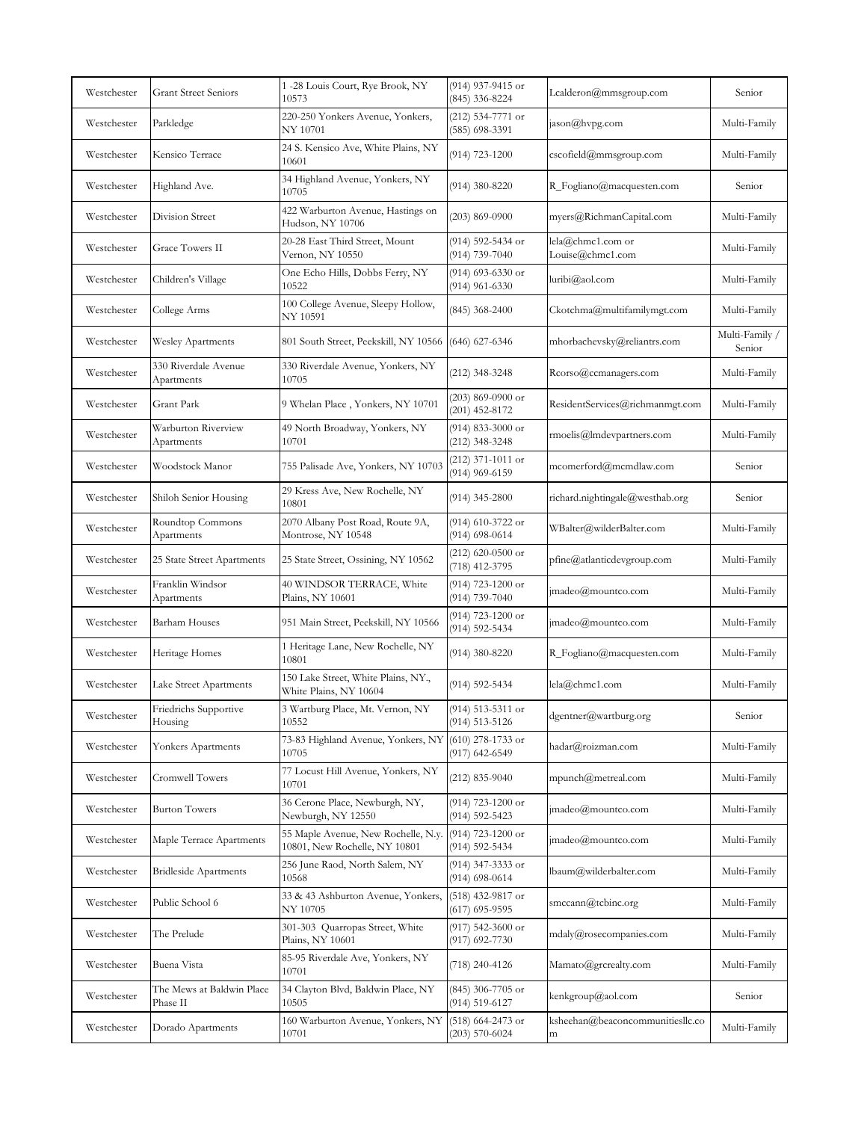| Westchester | <b>Grant Street Seniors</b>           | 1-28 Louis Court, Rye Brook, NY<br>10573                             | (914) 937-9415 or<br>(845) 336-8224     | Lcalderon@mmsgroup.com                | Senior                   |
|-------------|---------------------------------------|----------------------------------------------------------------------|-----------------------------------------|---------------------------------------|--------------------------|
| Westchester | Parkledge                             | 220-250 Yonkers Avenue, Yonkers,<br><b>NY 10701</b>                  | (212) 534-7771 or<br>(585) 698-3391     | jason@hvpg.com                        | Multi-Family             |
| Westchester | Kensico Terrace                       | 24 S. Kensico Ave, White Plains, NY<br>10601                         | $(914) 723 - 1200$                      | cscofield@mmsgroup.com                | Multi-Family             |
| Westchester | Highland Ave.                         | 34 Highland Avenue, Yonkers, NY<br>10705                             | (914) 380-8220                          | R_Fogliano@macquesten.com             | Senior                   |
| Westchester | Division Street                       | 422 Warburton Avenue, Hastings on<br>Hudson, NY 10706                | $(203) 869 - 0900$                      | myers@RichmanCapital.com              | Multi-Family             |
| Westchester | <b>Grace Towers II</b>                | 20-28 East Third Street, Mount<br>Vernon, NY 10550                   | (914) 592-5434 or<br>(914) 739-7040     | lela@chmc1.com or<br>Louise@chmc1.com | Multi-Family             |
| Westchester | Children's Village                    | One Echo Hills, Dobbs Ferry, NY<br>10522                             | (914) 693-6330 or<br>$(914)$ 961-6330   | luribi@aol.com                        | Multi-Family             |
| Westchester | College Arms                          | 100 College Avenue, Sleepy Hollow,<br>NY 10591                       | $(845)$ 368-2400                        | Ckotchma@multifamilymgt.com           | Multi-Family             |
| Westchester | <b>Wesley Apartments</b>              | 801 South Street, Peekskill, NY 10566                                | $(646)$ 627-6346                        | mhorbachevsky@reliantrs.com           | Multi-Family /<br>Senior |
| Westchester | 330 Riverdale Avenue<br>Apartments    | 330 Riverdale Avenue, Yonkers, NY<br>10705                           | (212) 348-3248                          | Rcorso@ccmanagers.com                 | Multi-Family             |
| Westchester | Grant Park                            | 9 Whelan Place, Yonkers, NY 10701                                    | $(203)$ 869-0900 or<br>$(201)$ 452-8172 | ResidentServices@richmanmgt.com       | Multi-Family             |
| Westchester | Warburton Riverview<br>Apartments     | 49 North Broadway, Yonkers, NY<br>10701                              | $(914)$ 833-3000 or<br>(212) 348-3248   | rmoelis@lmdevpartners.com             | Multi-Family             |
| Westchester | Woodstock Manor                       | 755 Palisade Ave, Yonkers, NY 10703                                  | (212) 371-1011 or<br>(914) 969-6159     | mcomerford@mcmdlaw.com                | Senior                   |
| Westchester | Shiloh Senior Housing                 | 29 Kress Ave, New Rochelle, NY<br>10801                              | $(914)$ 345-2800                        | richard.nightingale@westhab.org       | Senior                   |
| Westchester | Roundtop Commons<br>Apartments        | 2070 Albany Post Road, Route 9A,<br>Montrose, NY 10548               | (914) 610-3722 or<br>(914) 698-0614     | WBalter@wilderBalter.com              | Multi-Family             |
| Westchester | 25 State Street Apartments            | 25 State Street, Ossining, NY 10562                                  | $(212)$ 620-0500 or<br>(718) 412-3795   | pfine@atlanticdevgroup.com            | Multi-Family             |
| Westchester | Franklin Windsor<br>Apartments        | 40 WINDSOR TERRACE, White<br>Plains, NY 10601                        | (914) 723-1200 or<br>(914) 739-7040     | jmadeo@mountco.com                    | Multi-Family             |
| Westchester | Barham Houses                         | 951 Main Street, Peekskill, NY 10566                                 | (914) 723-1200 or<br>(914) 592-5434     | jmadeo@mountco.com                    | Multi-Family             |
| Westchester | Heritage Homes                        | 1 Heritage Lane, New Rochelle, NY<br>10801                           | (914) 380-8220                          | R_Fogliano@macquesten.com             | Multi-Family             |
| Westchester | Lake Street Apartments                | 150 Lake Street, White Plains, NY.,<br>White Plains, NY 10604        | (914) 592-5434                          | lela@chmc1.com                        | Multi-Family             |
| Westchester | Friedrichs Supportive<br>Housing      | 3 Wartburg Place, Mt. Vernon, NY<br>10552                            | (914) 513-5311 or<br>(914) 513-5126     | dgentner@wartburg.org                 | Senior                   |
| Westchester | Yonkers Apartments                    | 73-83 Highland Avenue, Yonkers, NY<br>10705                          | $(610)$ 278-1733 or<br>(917) 642-6549   | hadar@roizman.com                     | Multi-Family             |
| Westchester | Cromwell Towers                       | 77 Locust Hill Avenue, Yonkers, NY<br>10701                          | $(212) 835 - 9040$                      | mpunch@metreal.com                    | Multi-Family             |
| Westchester | <b>Burton Towers</b>                  | 36 Cerone Place, Newburgh, NY,<br>Newburgh, NY 12550                 | (914) 723-1200 or<br>(914) 592-5423     | imadeo@mountco.com                    | Multi-Family             |
| Westchester | Maple Terrace Apartments              | 55 Maple Avenue, New Rochelle, N.y.<br>10801, New Rochelle, NY 10801 | (914) 723-1200 or<br>(914) 592-5434     | imadeo@mountco.com                    | Multi-Family             |
| Westchester | <b>Bridleside Apartments</b>          | 256 June Raod, North Salem, NY<br>10568                              | (914) 347-3333 or<br>$(914)$ 698-0614   | lbaum@wilderbalter.com                | Multi-Family             |
| Westchester | Public School 6                       | 33 & 43 Ashburton Avenue, Yonkers,<br>NY 10705                       | (518) 432-9817 or<br>(617) 695-9595     | smccann@tcbinc.org                    | Multi-Family             |
| Westchester | The Prelude                           | 301-303 Quarropas Street, White<br>Plains, NY 10601                  | (917) 542-3600 or<br>(917) 692-7730     | mdaly@rosecompanies.com               | Multi-Family             |
| Westchester | Buena Vista                           | 85-95 Riverdale Ave, Yonkers, NY<br>10701                            | (718) 240-4126                          | Mamato@grcrealty.com                  | Multi-Family             |
| Westchester | The Mews at Baldwin Place<br>Phase II | 34 Clayton Blvd, Baldwin Place, NY<br>10505                          | (845) 306-7705 or<br>(914) 519-6127     | kenkgroup@aol.com                     | Senior                   |
| Westchester | Dorado Apartments                     | 160 Warburton Avenue, Yonkers, NY<br>10701                           | (518) 664-2473 or<br>$(203) 570 - 6024$ | ksheehan@beaconcommunitiesllc.co<br>m | Multi-Family             |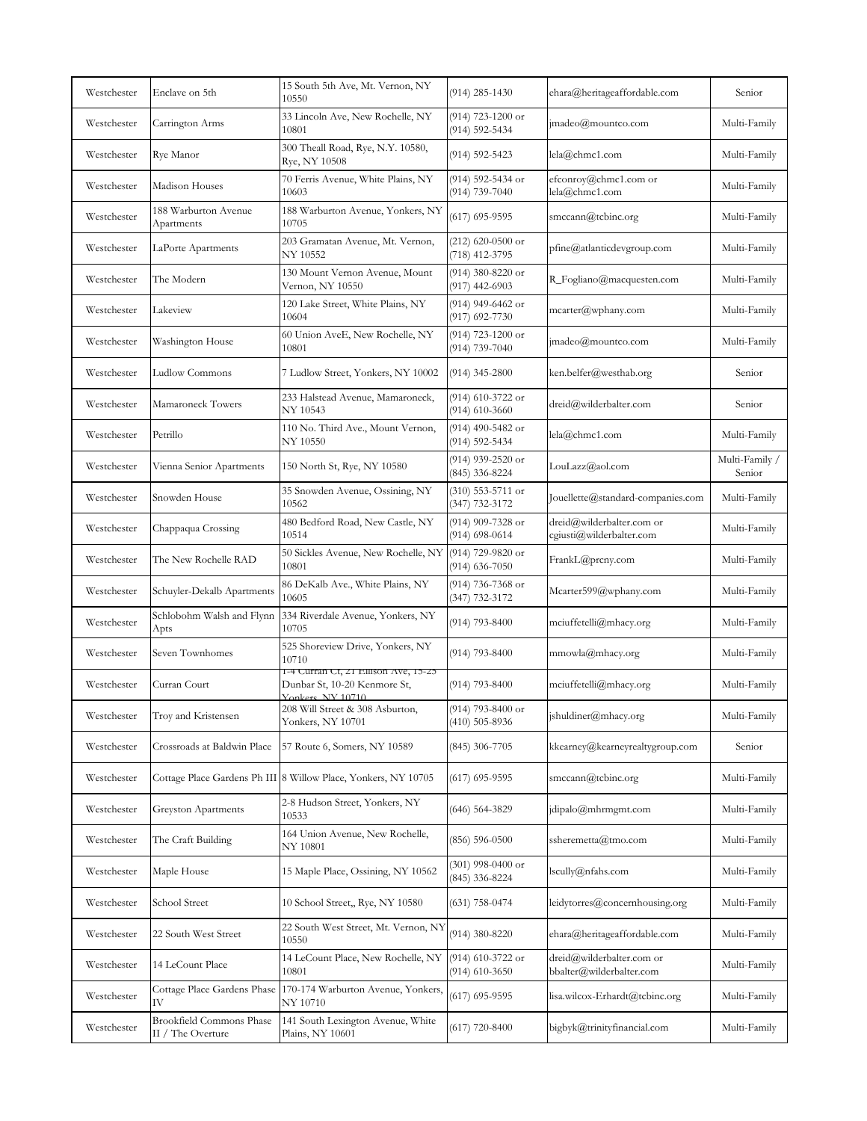| Westchester | Enclave on 5th                                       | 15 South 5th Ave, Mt. Vernon, NY<br>10550                                                | $(914)$ 285-1430                        | ehara@heritageaffordable.com                          | Senior                   |
|-------------|------------------------------------------------------|------------------------------------------------------------------------------------------|-----------------------------------------|-------------------------------------------------------|--------------------------|
| Westchester | Carrington Arms                                      | 33 Lincoln Ave, New Rochelle, NY<br>10801                                                | (914) 723-1200 or<br>(914) 592-5434     | jmadeo@mountco.com                                    | Multi-Family             |
| Westchester | Rye Manor                                            | 300 Theall Road, Rye, N.Y. 10580,<br>Rye, NY 10508                                       | (914) 592-5423                          | lela@chmc1.com                                        | Multi-Family             |
| Westchester | Madison Houses                                       | 70 Ferris Avenue, White Plains, NY<br>10603                                              | (914) 592-5434 or<br>(914) 739-7040     | efconroy@chmc1.com or<br>lela@chmc1.com               | Multi-Family             |
| Westchester | 188 Warburton Avenue<br>Apartments                   | 188 Warburton Avenue, Yonkers, NY<br>10705                                               | $(617)$ 695-9595                        | smccann@tcbinc.org                                    | Multi-Family             |
| Westchester | LaPorte Apartments                                   | 203 Gramatan Avenue, Mt. Vernon,<br>NY 10552                                             | $(212)$ 620-0500 or<br>(718) 412-3795   | pfine@atlanticdevgroup.com                            | Multi-Family             |
| Westchester | The Modern                                           | 130 Mount Vernon Avenue, Mount<br>Vernon, NY 10550                                       | (914) 380-8220 or<br>$(917)$ 442-6903   | R_Fogliano@macquesten.com                             | Multi-Family             |
| Westchester | Lakeview                                             | 120 Lake Street, White Plains, NY<br>10604                                               | (914) 949-6462 or<br>(917) 692-7730     | mcarter@wphany.com                                    | Multi-Family             |
| Westchester | Washington House                                     | 60 Union AveE, New Rochelle, NY<br>10801                                                 | (914) 723-1200 or<br>(914) 739-7040     | jmadeo@mountco.com                                    | Multi-Family             |
| Westchester | Ludlow Commons                                       | 7 Ludlow Street, Yonkers, NY 10002                                                       | $(914)$ 345-2800                        | ken.belfer@westhab.org                                | Senior                   |
| Westchester | Mamaroneck Towers                                    | 233 Halstead Avenue, Mamaroneck,<br>NY 10543                                             | (914) 610-3722 or<br>$(914) 610 - 3660$ | dreid@wilderbalter.com                                | Senior                   |
| Westchester | Petrillo                                             | 110 No. Third Ave., Mount Vernon,<br>NY 10550                                            | (914) 490-5482 or<br>(914) 592-5434     | lela@chmc1.com                                        | Multi-Family             |
| Westchester | Vienna Senior Apartments                             | 150 North St, Rye, NY 10580                                                              | (914) 939-2520 or<br>(845) 336-8224     | LouLazz@aol.com                                       | Multi-Family /<br>Senior |
| Westchester | Snowden House                                        | 35 Snowden Avenue, Ossining, NY<br>10562                                                 | $(310)$ 553-5711 or<br>(347) 732-3172   | Jouellette@standard-companies.com                     | Multi-Family             |
| Westchester | Chappaqua Crossing                                   | 480 Bedford Road, New Castle, NY<br>10514                                                | (914) 909-7328 or<br>$(914)$ 698-0614   | dreid@wilderbalter.com or<br>cgiusti@wilderbalter.com | Multi-Family             |
| Westchester | The New Rochelle RAD                                 | 50 Sickles Avenue, New Rochelle, NY<br>10801                                             | (914) 729-9820 or<br>$(914) 636 - 7050$ | FrankL@prcny.com                                      | Multi-Family             |
| Westchester | Schuyler-Dekalb Apartments                           | 86 DeKalb Ave., White Plains, NY<br>10605                                                | (914) 736-7368 or<br>(347) 732-3172     | Mcarter599@wphany.com                                 | Multi-Family             |
| Westchester | Schlobohm Walsh and Flynn<br>Apts                    | 334 Riverdale Avenue, Yonkers, NY<br>10705                                               | $(914)$ 793-8400                        | mciuffetelli@mhacy.org                                | Multi-Family             |
| Westchester | Seven Townhomes                                      | 525 Shoreview Drive, Yonkers, NY<br>10710                                                | (914) 793-8400                          | mmowla@mhacy.org                                      | Multi-Family             |
| Westchester | Curran Court                                         | 1-4 Curran Ct, 21 Ellison Ave, 15-25<br>Dunbar St, 10-20 Kenmore St,<br>Yonkers NY 10710 | $(914)$ 793-8400                        | mciuffetelli@mhacy.org                                | Multi-Family             |
| Westchester | Troy and Kristensen                                  | 208 Will Street & 308 Asburton,<br>Yonkers, NY 10701                                     | $(914)$ 793-8400 or<br>$(410)$ 505-8936 | jshuldiner@mhacy.org                                  | Multi-Family             |
| Westchester | Crossroads at Baldwin Place                          | 57 Route 6, Somers, NY 10589                                                             | $(845)$ 306-7705                        | kkearney@kearneyrealtygroup.com                       | Senior                   |
| Westchester |                                                      | Cottage Place Gardens Ph III 8 Willow Place, Yonkers, NY 10705                           | $(617)$ 695-9595                        | smccann@tcbinc.org                                    | Multi-Family             |
| Westchester | <b>Greyston Apartments</b>                           | 2-8 Hudson Street, Yonkers, NY<br>10533                                                  | $(646)$ 564-3829                        | jdipalo@mhrmgmt.com                                   | Multi-Family             |
| Westchester | The Craft Building                                   | 164 Union Avenue, New Rochelle,<br>NY 10801                                              | $(856) 596 - 0500$                      | ssheremetta@tmo.com                                   | Multi-Family             |
| Westchester | Maple House                                          | 15 Maple Place, Ossining, NY 10562                                                       | $(301)$ 998-0400 or<br>(845) 336-8224   | lscully@nfahs.com                                     | Multi-Family             |
| Westchester | School Street                                        | 10 School Street,, Rye, NY 10580                                                         | $(631)$ 758-0474                        | leidytorres@concernhousing.org                        | Multi-Family             |
| Westchester | 22 South West Street                                 | 22 South West Street, Mt. Vernon, NY<br>10550                                            | (914) 380-8220                          | ehara@heritageaffordable.com                          | Multi-Family             |
| Westchester | 14 LeCount Place                                     | 14 LeCount Place, New Rochelle, NY<br>10801                                              | $(914)$ 610-3722 or<br>$(914)$ 610-3650 | dreid@wilderbalter.com or<br>bbalter@wilderbalter.com | Multi-Family             |
| Westchester | Cottage Place Gardens Phase<br>IV                    | 170-174 Warburton Avenue, Yonkers,<br>NY 10710                                           | $(617)$ 695-9595                        | lisa.wilcox-Erhardt@tcbinc.org                        | Multi-Family             |
| Westchester | <b>Brookfield Commons Phase</b><br>II / The Overture | 141 South Lexington Avenue, White<br>Plains, NY 10601                                    | $(617)$ 720-8400                        | bigbyk@trinityfinancial.com                           | Multi-Family             |